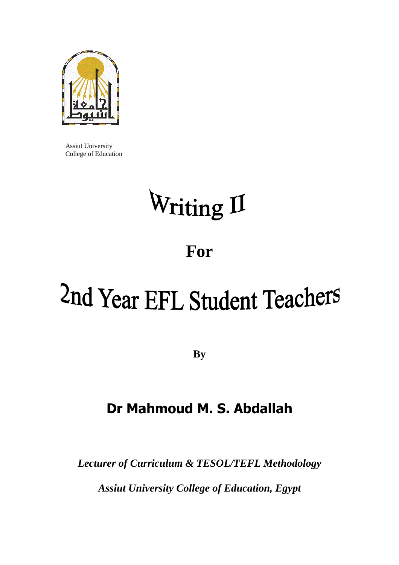

 Assiut University College of Education

## Writing II

## **For**

# 2nd Year EFL Student Teachers

**By** 

## **Dr Mahmoud M. S. Abdallah**

*Lecturer of Curriculum & TESOL/TEFL Methodology* 

*Assiut University College of Education, Egypt*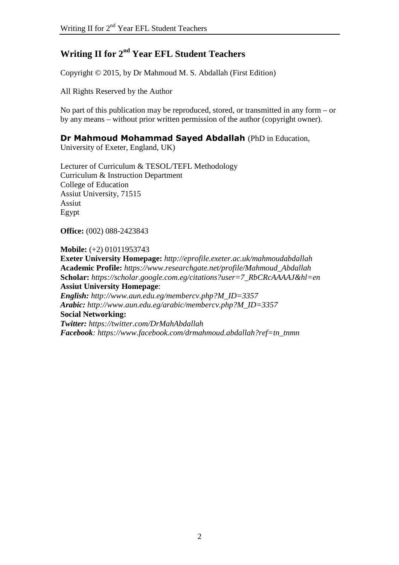## **Writing II for 2nd Year EFL Student Teachers**

Copyright © 2015, by Dr Mahmoud M. S. Abdallah (First Edition)

All Rights Reserved by the Author

No part of this publication may be reproduced, stored, or transmitted in any form – or by any means – without prior written permission of the author (copyright owner).

#### **Dr Mahmoud Mohammad Sayed Abdallah** (PhD in Education,

University of Exeter, England, UK)

Lecturer of Curriculum & TESOL/TEFL Methodology Curriculum & Instruction Department College of Education Assiut University, 71515 Assiut Egypt

**Office:** (002) 088-2423843

#### **Mobile:** (+2) 01011953743

**Exeter University Homepage:** *http://eprofile.exeter.ac.uk/mahmoudabdallah* **Academic Profile:** *https://www.researchgate.net/profile/Mahmoud\_Abdallah* **Scholar:** *https://scholar.google.com.eg/citations?user=7\_RbCRcAAAAJ&hl=en* **Assiut University Homepage**: *English: http://www.aun.edu.eg/membercv.php?M\_ID=3357 Arabic: http://www.aun.edu.eg/arabic/membercv.php?M\_ID=3357* **Social Networking:**  *Twitter: https://twitter.com/DrMahAbdallah Facebook: https://www.facebook.com/drmahmoud.abdallah?ref=tn\_tnmn*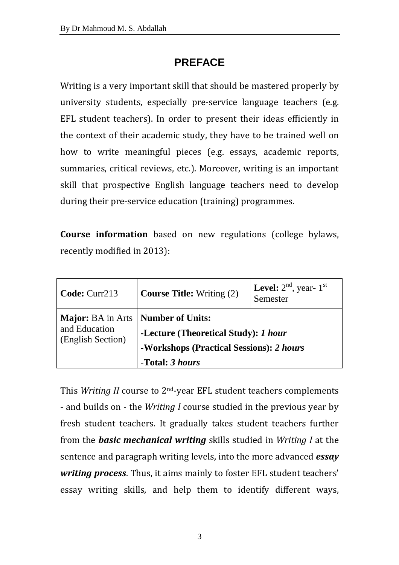## **PREFACE**

Writing is a very important skill that should be mastered properly by university students, especially pre-service language teachers (e.g. EFL student teachers). In order to present their ideas efficiently in the context of their academic study, they have to be trained well on how to write meaningful pieces (e.g. essays, academic reports, summaries, critical reviews, etc.). Moreover, writing is an important skill that prospective English language teachers need to develop during their pre-service education (training) programmes.

**Course information** based on new regulations (college bylaws, recently modified in 2013):

| Code: Curr213                                                                     | <b>Course Title:</b> Writing (2)                                                                    | <b>Level:</b> $2nd$ , year- $1st$<br>Semester |
|-----------------------------------------------------------------------------------|-----------------------------------------------------------------------------------------------------|-----------------------------------------------|
| <b>Major: BA in Arts   Number of Units:</b><br>and Education<br>(English Section) | -Lecture (Theoretical Study): 1 hour<br>-Workshops (Practical Sessions): 2 hours<br>-Total: 3 hours |                                               |

This *Writing II* course to 2nd-year EFL student teachers complements - and builds on - the *Writing I* course studied in the previous year by fresh student teachers. It gradually takes student teachers further from the *basic mechanical writing* skills studied in *Writing I* at the sentence and paragraph writing levels, into the more advanced *essay writing process*. Thus, it aims mainly to foster EFL student teachers' essay writing skills, and help them to identify different ways,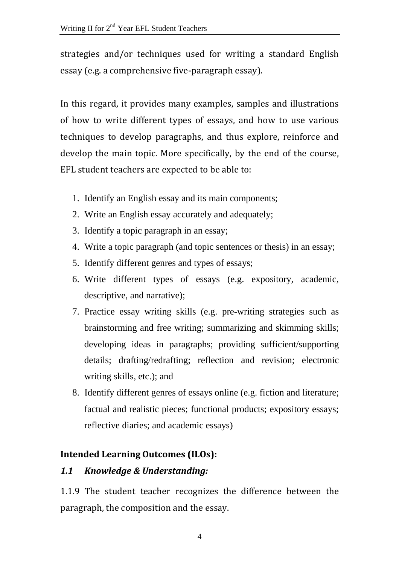strategies and/or techniques used for writing a standard English essay (e.g. a comprehensive five-paragraph essay).

In this regard, it provides many examples, samples and illustrations of how to write different types of essays, and how to use various techniques to develop paragraphs, and thus explore, reinforce and develop the main topic. More specifically, by the end of the course, EFL student teachers are expected to be able to:

- 1. Identify an English essay and its main components;
- 2. Write an English essay accurately and adequately;
- 3. Identify a topic paragraph in an essay;
- 4. Write a topic paragraph (and topic sentences or thesis) in an essay;
- 5. Identify different genres and types of essays;
- 6. Write different types of essays (e.g. expository, academic, descriptive, and narrative);
- 7. Practice essay writing skills (e.g. pre-writing strategies such as brainstorming and free writing; summarizing and skimming skills; developing ideas in paragraphs; providing sufficient/supporting details; drafting/redrafting; reflection and revision; electronic writing skills, etc.); and
- 8. Identify different genres of essays online (e.g. fiction and literature; factual and realistic pieces; functional products; expository essays; reflective diaries; and academic essays)

#### **Intended Learning Outcomes (ILOs):**

#### *1.1 Knowledge & Understanding:*

1.1.9 The student teacher recognizes the difference between the paragraph, the composition and the essay.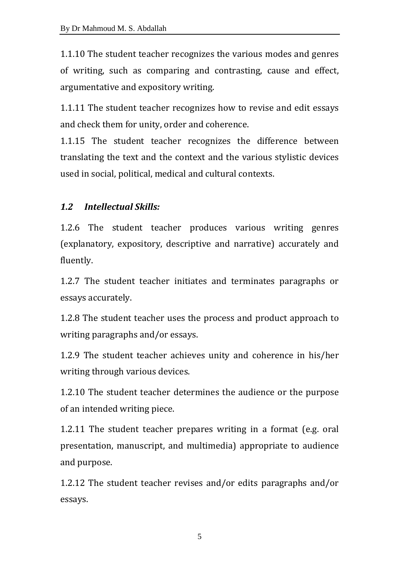1.1.10 The student teacher recognizes the various modes and genres of writing, such as comparing and contrasting, cause and effect, argumentative and expository writing.

1.1.11 The student teacher recognizes how to revise and edit essays and check them for unity, order and coherence.

1.1.15 The student teacher recognizes the difference between translating the text and the context and the various stylistic devices used in social, political, medical and cultural contexts.

#### *1.2 Intellectual Skills:*

1.2.6 The student teacher produces various writing genres (explanatory, expository, descriptive and narrative) accurately and fluently.

1.2.7 The student teacher initiates and terminates paragraphs or essays accurately.

1.2.8 The student teacher uses the process and product approach to writing paragraphs and/or essays.

1.2.9 The student teacher achieves unity and coherence in his/her writing through various devices.

1.2.10 The student teacher determines the audience or the purpose of an intended writing piece.

1.2.11 The student teacher prepares writing in a format (e.g. oral presentation, manuscript, and multimedia) appropriate to audience and purpose.

1.2.12 The student teacher revises and/or edits paragraphs and/or essays.

5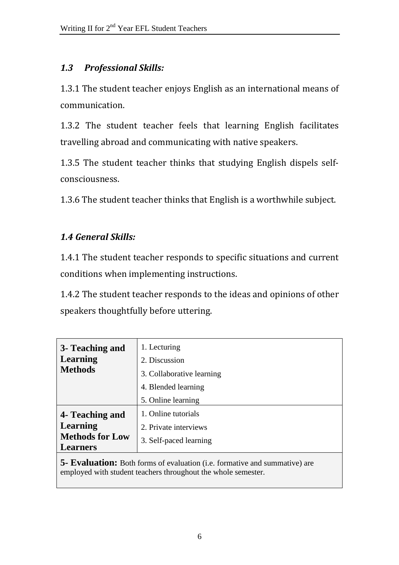#### *1.3 Professional Skills:*

1.3.1 The student teacher enjoys English as an international means of communication.

1.3.2 The student teacher feels that learning English facilitates travelling abroad and communicating with native speakers.

1.3.5 The student teacher thinks that studying English dispels selfconsciousness.

1.3.6 The student teacher thinks that English is a worthwhile subject.

#### *1.4 General Skills:*

1.4.1 The student teacher responds to specific situations and current conditions when implementing instructions.

1.4.2 The student teacher responds to the ideas and opinions of other speakers thoughtfully before uttering.

| 3- Teaching and<br><b>Learning</b><br><b>Methods</b>                                           | 1. Lecturing<br>2. Discussion<br>3. Collaborative learning<br>4. Blended learning<br>5. Online learning |  |
|------------------------------------------------------------------------------------------------|---------------------------------------------------------------------------------------------------------|--|
| 4- Teaching and<br>Learning<br><b>Methods for Low</b><br><b>Learners</b>                       | 1. Online tutorials<br>2. Private interviews<br>3. Self-paced learning                                  |  |
| $\mathbf{5}$ . <b>Fyaluation</b> : Roth forms of evaluation (i.e. formative and summative) are |                                                                                                         |  |

th forms of evaluation (i.e. formative and summative) are employed with student teachers throughout the whole semester.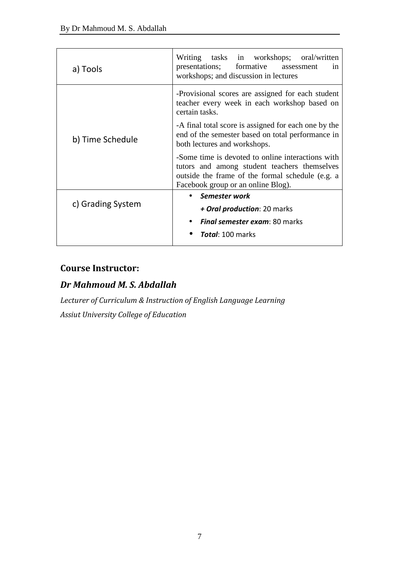| a) Tools          | Writing tasks in workshops; oral/written<br>presentations; formative assessment<br>in<br>workshops; and discussion in lectures                                                              |  |
|-------------------|---------------------------------------------------------------------------------------------------------------------------------------------------------------------------------------------|--|
|                   | -Provisional scores are assigned for each student<br>teacher every week in each workshop based on<br>certain tasks.                                                                         |  |
| b) Time Schedule  | -A final total score is assigned for each one by the<br>end of the semester based on total performance in<br>both lectures and workshops.                                                   |  |
|                   | -Some time is devoted to online interactions with<br>tutors and among student teachers themselves<br>outside the frame of the formal schedule (e.g. a<br>Facebook group or an online Blog). |  |
| c) Grading System | Semester work<br>+ Oral production: 20 marks                                                                                                                                                |  |
|                   | <b>Final semester exam: 80 marks</b>                                                                                                                                                        |  |
|                   | Total: 100 marks                                                                                                                                                                            |  |

#### **Course Instructor:**

#### *Dr Mahmoud M. S. Abdallah*

*Lecturer of Curriculum & Instruction of English Language Learning Assiut University College of Education*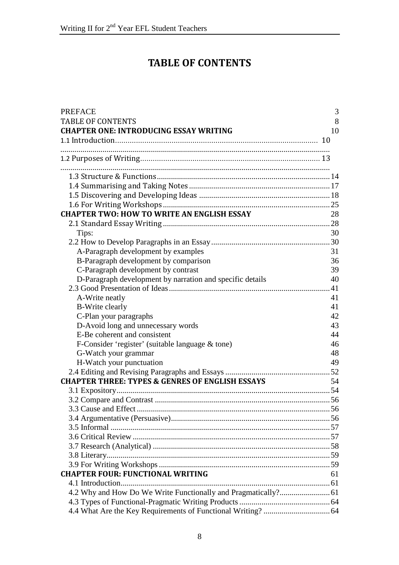## **TABLE OF CONTENTS**

| <b>PREFACE</b>                                             | 3   |
|------------------------------------------------------------|-----|
| <b>TABLE OF CONTENTS</b>                                   | 8   |
| <b>CHAPTER ONE: INTRODUCING ESSAY WRITING</b>              | 10  |
|                                                            |     |
|                                                            |     |
|                                                            |     |
|                                                            |     |
|                                                            |     |
|                                                            |     |
|                                                            |     |
| <b>CHAPTER TWO: HOW TO WRITE AN ENGLISH ESSAY</b>          | 28  |
|                                                            |     |
| Tips:                                                      | 30  |
|                                                            | .30 |
| A-Paragraph development by examples                        | 31  |
| B-Paragraph development by comparison                      | 36  |
| C-Paragraph development by contrast                        | 39  |
| D-Paragraph development by narration and specific details  | 40  |
|                                                            | 41  |
| A-Write neatly                                             | 41  |
| <b>B-Write clearly</b>                                     | 41  |
| C-Plan your paragraphs                                     | 42  |
| D-Avoid long and unnecessary words                         | 43  |
| E-Be coherent and consistent                               | 44  |
| F-Consider 'register' (suitable language $&$ tone)         | 46  |
| G-Watch your grammar                                       | 48  |
| H-Watch your punctuation                                   | 49  |
|                                                            |     |
| <b>CHAPTER THREE: TYPES &amp; GENRES OF ENGLISH ESSAYS</b> | 54  |
|                                                            |     |
|                                                            |     |
|                                                            |     |
|                                                            |     |
|                                                            |     |
|                                                            |     |
|                                                            |     |
|                                                            |     |
|                                                            | 61  |
| <b>CHAPTER FOUR: FUNCTIONAL WRITING</b>                    |     |
|                                                            |     |
|                                                            |     |
|                                                            |     |
|                                                            |     |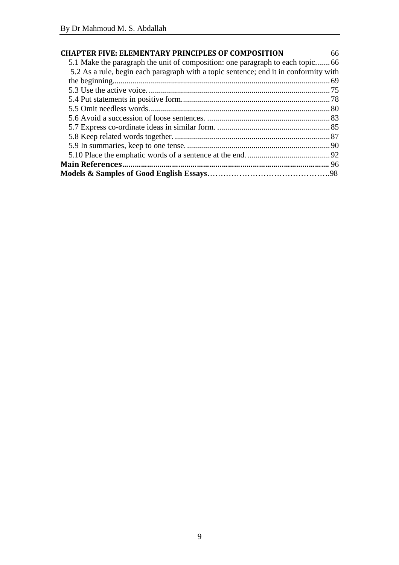| <b>CHAPTER FIVE: ELEMENTARY PRINCIPLES OF COMPOSITION</b>                            | 66 |
|--------------------------------------------------------------------------------------|----|
|                                                                                      |    |
| 5.2 As a rule, begin each paragraph with a topic sentence; end it in conformity with |    |
|                                                                                      |    |
|                                                                                      |    |
|                                                                                      |    |
|                                                                                      |    |
|                                                                                      |    |
|                                                                                      |    |
|                                                                                      |    |
|                                                                                      |    |
|                                                                                      |    |
|                                                                                      |    |
|                                                                                      |    |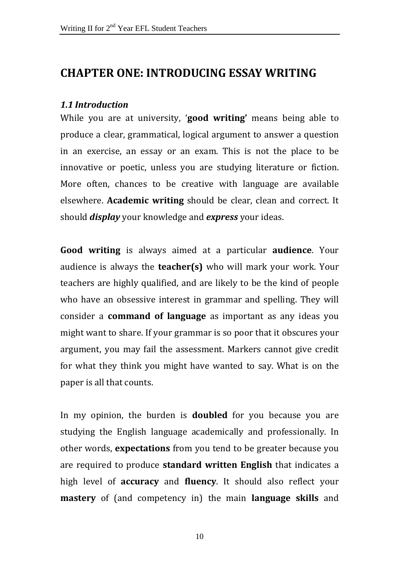### **CHAPTER ONE: INTRODUCING ESSAY WRITING**

#### *1.1 Introduction*

While you are at university, '**good writing'** means being able to produce a clear, grammatical, logical argument to answer a question in an exercise, an essay or an exam. This is not the place to be innovative or poetic, unless you are studying literature or fiction. More often, chances to be creative with language are available elsewhere. **Academic writing** should be clear, clean and correct. It should *display* your knowledge and *express* your ideas.

**Good writing** is always aimed at a particular **audience**. Your audience is always the **teacher(s)** who will mark your work. Your teachers are highly qualified, and are likely to be the kind of people who have an obsessive interest in grammar and spelling. They will consider a **command of language** as important as any ideas you might want to share. If your grammar is so poor that it obscures your argument, you may fail the assessment. Markers cannot give credit for what they think you might have wanted to say. What is on the paper is all that counts.

In my opinion, the burden is **doubled** for you because you are studying the English language academically and professionally. In other words, **expectations** from you tend to be greater because you are required to produce **standard written English** that indicates a high level of **accuracy** and **fluency**. It should also reflect your **mastery** of (and competency in) the main **language skills** and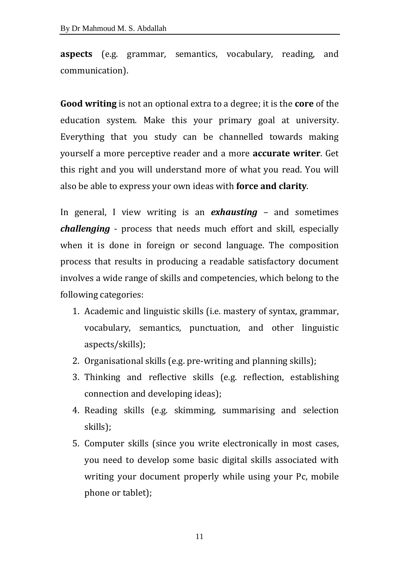**aspects** (e.g. grammar, semantics, vocabulary, reading, and communication).

**Good writing** is not an optional extra to a degree; it is the **core** of the education system. Make this your primary goal at university. Everything that you study can be channelled towards making yourself a more perceptive reader and a more **accurate writer**. Get this right and you will understand more of what you read. You will also be able to express your own ideas with **force and clarity**.

In general, I view writing is an *exhausting* – and sometimes *challenging* - process that needs much effort and skill, especially when it is done in foreign or second language. The composition process that results in producing a readable satisfactory document involves a wide range of skills and competencies, which belong to the following categories:

- 1. Academic and linguistic skills (i.e. mastery of syntax, grammar, vocabulary, semantics, punctuation, and other linguistic aspects/skills);
- 2. Organisational skills (e.g. pre-writing and planning skills);
- 3. Thinking and reflective skills (e.g. reflection, establishing connection and developing ideas);
- 4. Reading skills (e.g. skimming, summarising and selection skills);
- 5. Computer skills (since you write electronically in most cases, you need to develop some basic digital skills associated with writing your document properly while using your Pc, mobile phone or tablet);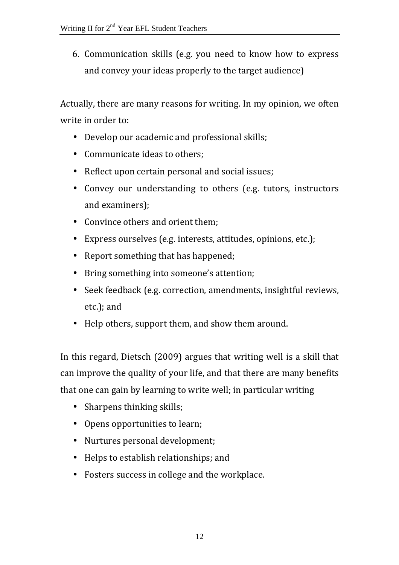6. Communication skills (e.g. you need to know how to express and convey your ideas properly to the target audience)

Actually, there are many reasons for writing. In my opinion, we often write in order to:

- Develop our academic and professional skills;
- Communicate ideas to others;
- Reflect upon certain personal and social issues;
- Convey our understanding to others (e.g. tutors, instructors and examiners);
- Convince others and orient them;
- Express ourselves (e.g. interests, attitudes, opinions, etc.);
- Report something that has happened;
- Bring something into someone's attention;
- Seek feedback (e.g. correction, amendments, insightful reviews, etc.); and
- Help others, support them, and show them around.

In this regard, Dietsch (2009) argues that writing well is a skill that can improve the quality of your life, and that there are many benefits that one can gain by learning to write well; in particular writing

- Sharpens thinking skills;
- Opens opportunities to learn;
- Nurtures personal development;
- Helps to establish relationships; and
- Fosters success in college and the workplace.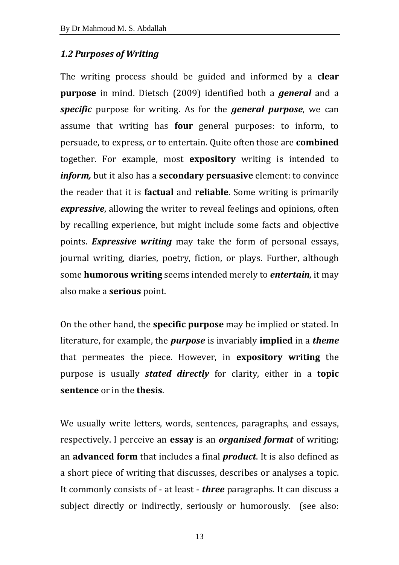#### *1.2 Purposes of Writing*

The writing process should be guided and informed by a **clear purpose** in mind. Dietsch (2009) identified both a *general* and a *specific* purpose for writing. As for the *general purpose*, we can assume that writing has **four** general purposes: to inform, to persuade, to express, or to entertain. Quite often those are **combined** together. For example, most **expository** writing is intended to *inform,* but it also has a **secondary persuasive** element: to convince the reader that it is **factual** and **reliable**. Some writing is primarily *expressive*, allowing the writer to reveal feelings and opinions, often by recalling experience, but might include some facts and objective points. *Expressive writing* may take the form of personal essays, journal writing, diaries, poetry, fiction, or plays. Further, although some **humorous writing** seems intended merely to *entertain*, it may also make a **serious** point.

On the other hand, the **specific purpose** may be implied or stated. In literature, for example, the *purpose* is invariably **implied** in a *theme* that permeates the piece. However, in **expository writing** the purpose is usually *stated directly* for clarity, either in a **topic sentence** or in the **thesis**.

We usually write letters, words, sentences, paragraphs, and essays, respectively. I perceive an **essay** is an *organised format* of writing; an **advanced form** that includes a final *product*. It is also defined as a short piece of writing that discusses, describes or analyses a topic. It commonly consists of - at least - *three* paragraphs. It can discuss a subject directly or indirectly, seriously or humorously. (see also: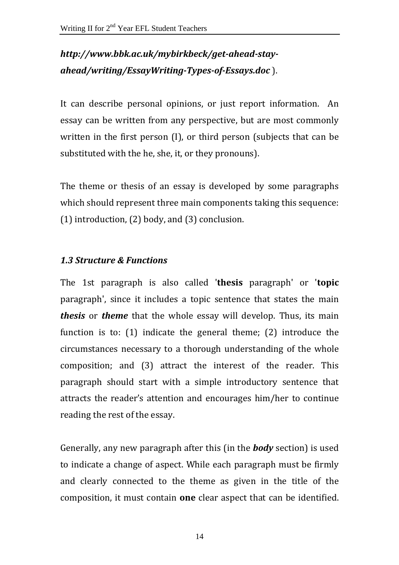## *http://www.bbk.ac.uk/mybirkbeck/get-ahead-stayahead/writing/EssayWriting-Types-of-Essays.doc* ).

It can describe personal opinions, or just report information. An essay can be written from any perspective, but are most commonly written in the first person (I), or third person (subjects that can be substituted with the he, she, it, or they pronouns).

The theme or thesis of an essay is developed by some paragraphs which should represent three main components taking this sequence: (1) introduction, (2) body, and (3) conclusion.

#### *1.3 Structure & Functions*

The 1st paragraph is also called '**thesis** paragraph' or '**topic**  paragraph', since it includes a topic sentence that states the main *thesis* or *theme* that the whole essay will develop. Thus, its main function is to: (1) indicate the general theme; (2) introduce the circumstances necessary to a thorough understanding of the whole composition; and (3) attract the interest of the reader. This paragraph should start with a simple introductory sentence that attracts the reader's attention and encourages him/her to continue reading the rest of the essay.

Generally, any new paragraph after this (in the *body* section) is used to indicate a change of aspect. While each paragraph must be firmly and clearly connected to the theme as given in the title of the composition, it must contain **one** clear aspect that can be identified.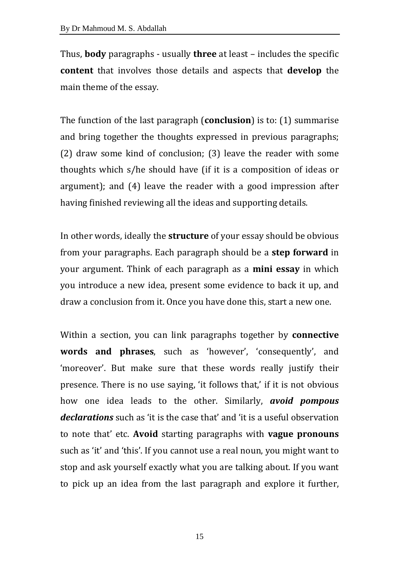Thus, **body** paragraphs - usually **three** at least – includes the specific **content** that involves those details and aspects that **develop** the main theme of the essay.

The function of the last paragraph (**conclusion**) is to: (1) summarise and bring together the thoughts expressed in previous paragraphs; (2) draw some kind of conclusion; (3) leave the reader with some thoughts which s/he should have (if it is a composition of ideas or argument); and (4) leave the reader with a good impression after having finished reviewing all the ideas and supporting details.

In other words, ideally the **structure** of your essay should be obvious from your paragraphs. Each paragraph should be a **step forward** in your argument. Think of each paragraph as a **mini essay** in which you introduce a new idea, present some evidence to back it up, and draw a conclusion from it. Once you have done this, start a new one.

Within a section, you can link paragraphs together by **connective words and phrases**, such as 'however', 'consequently', and 'moreover'. But make sure that these words really justify their presence. There is no use saying, 'it follows that,' if it is not obvious how one idea leads to the other. Similarly, *avoid pompous declarations* such as 'it is the case that' and 'it is a useful observation to note that' etc. **Avoid** starting paragraphs with **vague pronouns** such as 'it' and 'this'. If you cannot use a real noun, you might want to stop and ask yourself exactly what you are talking about. If you want to pick up an idea from the last paragraph and explore it further,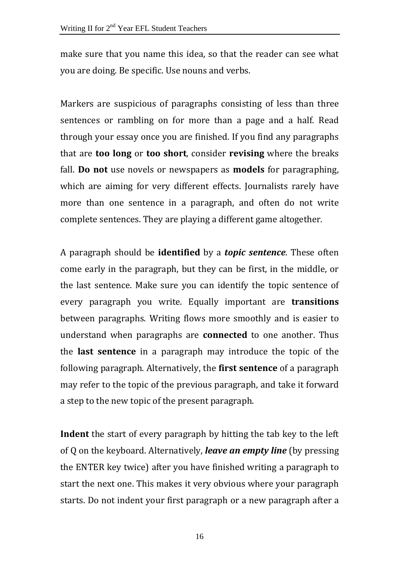make sure that you name this idea, so that the reader can see what you are doing. Be specific. Use nouns and verbs.

Markers are suspicious of paragraphs consisting of less than three sentences or rambling on for more than a page and a half. Read through your essay once you are finished. If you find any paragraphs that are **too long** or **too short**, consider **revising** where the breaks fall. **Do not** use novels or newspapers as **models** for paragraphing, which are aiming for very different effects. Journalists rarely have more than one sentence in a paragraph, and often do not write complete sentences. They are playing a different game altogether.

A paragraph should be **identified** by a *topic sentence*. These often come early in the paragraph, but they can be first, in the middle, or the last sentence. Make sure you can identify the topic sentence of every paragraph you write. Equally important are **transitions** between paragraphs. Writing flows more smoothly and is easier to understand when paragraphs are **connected** to one another. Thus the **last sentence** in a paragraph may introduce the topic of the following paragraph. Alternatively, the **first sentence** of a paragraph may refer to the topic of the previous paragraph, and take it forward a step to the new topic of the present paragraph.

**Indent** the start of every paragraph by hitting the tab key to the left of Q on the keyboard. Alternatively, *leave an empty line* (by pressing the ENTER key twice) after you have finished writing a paragraph to start the next one. This makes it very obvious where your paragraph starts. Do not indent your first paragraph or a new paragraph after a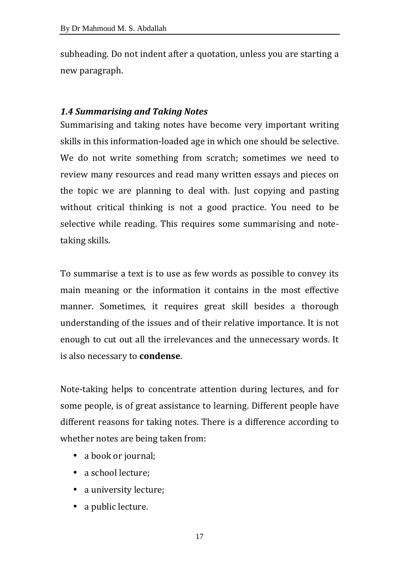subheading. Do not indent after a quotation, unless you are starting a new paragraph.

#### *1.4 Summarising and Taking Notes*

Summarising and taking notes have become very important writing skills in this information-loaded age in which one should be selective. We do not write something from scratch; sometimes we need to review many resources and read many written essays and pieces on the topic we are planning to deal with. Just copying and pasting without critical thinking is not a good practice. You need to be selective while reading. This requires some summarising and notetaking skills.

To summarise a text is to use as few words as possible to convey its main meaning or the information it contains in the most effective manner. Sometimes, it requires great skill besides a thorough understanding of the issues and of their relative importance. It is not enough to cut out all the irrelevances and the unnecessary words. It is also necessary to **condense**.

Note-taking helps to concentrate attention during lectures, and for some people, is of great assistance to learning. Different people have different reasons for taking notes. There is a difference according to whether notes are being taken from:

- a book or journal;
- a school lecture;
- a university lecture;
- a public lecture.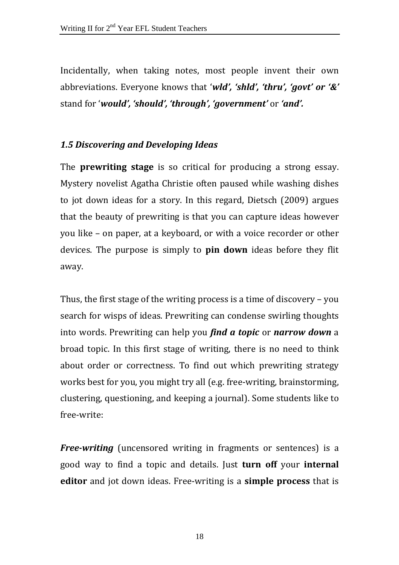Incidentally, when taking notes, most people invent their own abbreviations. Everyone knows that '*wld', 'shld', 'thru', 'govt' or '&'* stand for '*would', 'should', 'through', 'government'* or *'and'.*

#### *1.5 Discovering and Developing Ideas*

The **prewriting stage** is so critical for producing a strong essay. Mystery novelist Agatha Christie often paused while washing dishes to jot down ideas for a story. In this regard, Dietsch (2009) argues that the beauty of prewriting is that you can capture ideas however you like – on paper, at a keyboard, or with a voice recorder or other devices. The purpose is simply to **pin down** ideas before they flit away.

Thus, the first stage of the writing process is a time of discovery – you search for wisps of ideas. Prewriting can condense swirling thoughts into words. Prewriting can help you *find a topic* or *narrow down* a broad topic. In this first stage of writing, there is no need to think about order or correctness. To find out which prewriting strategy works best for you, you might try all (e.g. free-writing, brainstorming, clustering, questioning, and keeping a journal). Some students like to free-write:

*Free-writing* (uncensored writing in fragments or sentences) is a good way to find a topic and details. Just **turn off** your **internal editor** and jot down ideas. Free-writing is a **simple process** that is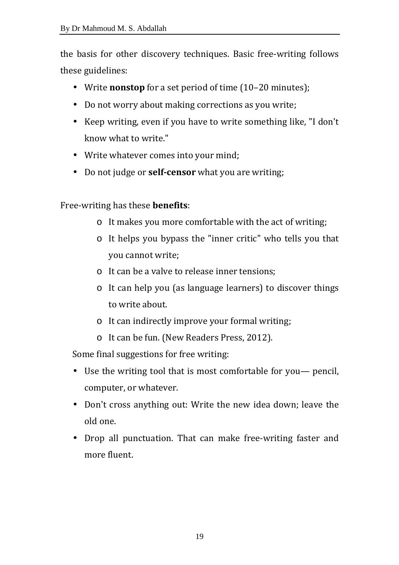the basis for other discovery techniques. Basic free-writing follows these guidelines:

- Write **nonstop** for a set period of time (10–20 minutes);
- Do not worry about making corrections as you write;
- Keep writing, even if you have to write something like, "I don't know what to write."
- Write whatever comes into your mind;
- Do not judge or **self-censor** what you are writing;

Free-writing has these **benefits**:

- o It makes you more comfortable with the act of writing;
- o It helps you bypass the "inner critic" who tells you that you cannot write;
- o It can be a valve to release inner tensions;
- o It can help you (as language learners) to discover things to write about.
- o It can indirectly improve your formal writing;
- o It can be fun. (New Readers Press, 2012).

Some final suggestions for free writing:

- Use the writing tool that is most comfortable for you— pencil, computer, or whatever.
- Don't cross anything out: Write the new idea down; leave the old one.
- Drop all punctuation. That can make free-writing faster and more fluent.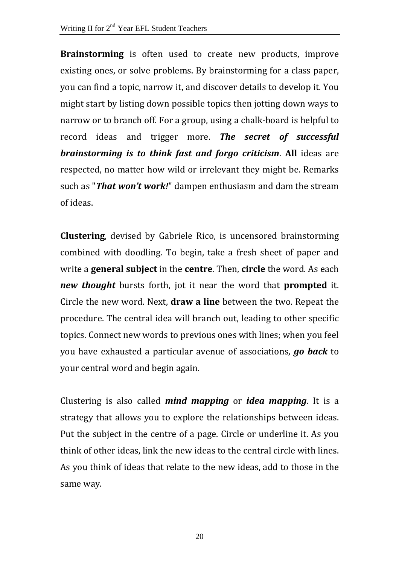**Brainstorming** is often used to create new products, improve existing ones, or solve problems. By brainstorming for a class paper, you can find a topic, narrow it, and discover details to develop it. You might start by listing down possible topics then jotting down ways to narrow or to branch off. For a group, using a chalk-board is helpful to record ideas and trigger more. *The secret of successful brainstorming is to think fast and forgo criticism*. **All** ideas are respected, no matter how wild or irrelevant they might be. Remarks such as "*That won't work!*" dampen enthusiasm and dam the stream of ideas.

**Clustering**, devised by Gabriele Rico, is uncensored brainstorming combined with doodling. To begin, take a fresh sheet of paper and write a **general subject** in the **centre**. Then, **circle** the word. As each *new thought* bursts forth, jot it near the word that **prompted** it. Circle the new word. Next, **draw a line** between the two. Repeat the procedure. The central idea will branch out, leading to other specific topics. Connect new words to previous ones with lines; when you feel you have exhausted a particular avenue of associations, *go back* to your central word and begin again.

Clustering is also called *mind mapping* or *idea mapping*. It is a strategy that allows you to explore the relationships between ideas. Put the subject in the centre of a page. Circle or underline it. As you think of other ideas, link the new ideas to the central circle with lines. As you think of ideas that relate to the new ideas, add to those in the same way.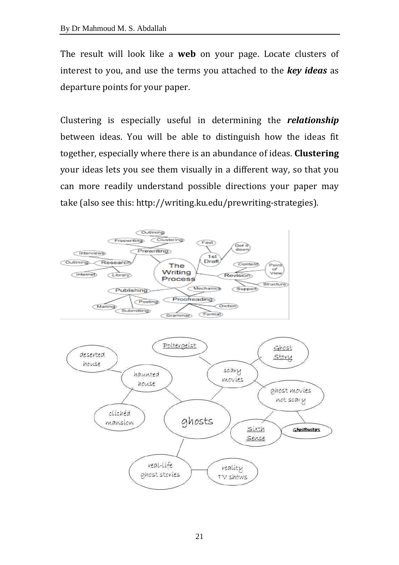The result will look like a **web** on your page. Locate clusters of interest to you, and use the terms you attached to the *key ideas* as departure points for your paper.

Clustering is especially useful in determining the *relationship* between ideas. You will be able to distinguish how the ideas fit together, especially where there is an abundance of ideas. **Clustering** your ideas lets you see them visually in a different way, so that you can more readily understand possible directions your paper may take (also see this: http://writing.ku.edu/prewriting-strategies).



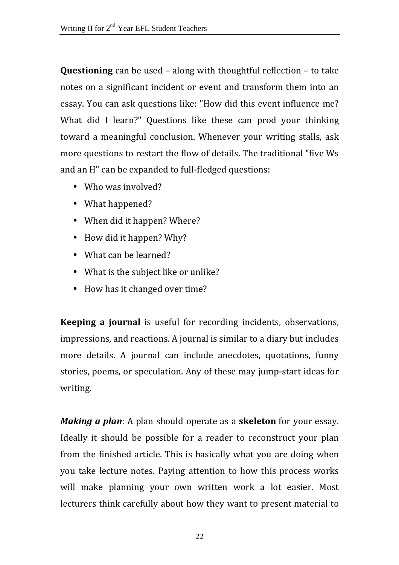**Questioning** can be used – along with thoughtful reflection – to take notes on a significant incident or event and transform them into an essay. You can ask questions like: "How did this event influence me? What did I learn?" Questions like these can prod your thinking toward a meaningful conclusion. Whenever your writing stalls, ask more questions to restart the flow of details. The traditional "five Ws and an H" can be expanded to full-fledged questions:

- Who was involved?
- What happened?
- When did it happen? Where?
- How did it happen? Why?
- What can be learned?
- What is the subject like or unlike?
- How has it changed over time?

**Keeping a journal** is useful for recording incidents, observations, impressions, and reactions. A journal is similar to a diary but includes more details. A journal can include anecdotes, quotations, funny stories, poems, or speculation. Any of these may jump-start ideas for writing.

*Making a plan*: A plan should operate as a **skeleton** for your essay. Ideally it should be possible for a reader to reconstruct your plan from the finished article. This is basically what you are doing when you take lecture notes. Paying attention to how this process works will make planning your own written work a lot easier. Most lecturers think carefully about how they want to present material to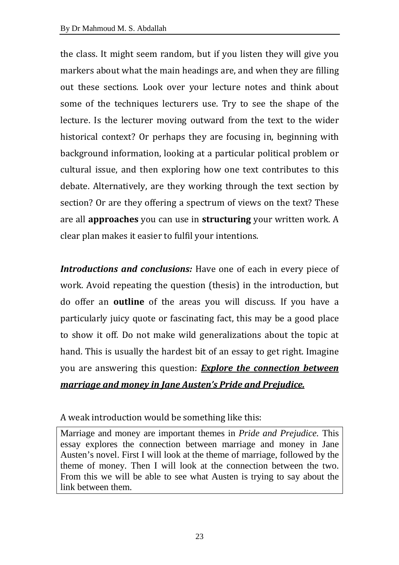the class. It might seem random, but if you listen they will give you markers about what the main headings are, and when they are filling out these sections. Look over your lecture notes and think about some of the techniques lecturers use. Try to see the shape of the lecture. Is the lecturer moving outward from the text to the wider historical context? Or perhaps they are focusing in, beginning with background information, looking at a particular political problem or cultural issue, and then exploring how one text contributes to this debate. Alternatively, are they working through the text section by section? Or are they offering a spectrum of views on the text? These are all **approaches** you can use in **structuring** your written work. A clear plan makes it easier to fulfil your intentions.

*Introductions and conclusions:* Have one of each in every piece of work. Avoid repeating the question (thesis) in the introduction, but do offer an **outline** of the areas you will discuss. If you have a particularly juicy quote or fascinating fact, this may be a good place to show it off. Do not make wild generalizations about the topic at hand. This is usually the hardest bit of an essay to get right. Imagine you are answering this question: *Explore the connection between marriage and money in Jane Austen's Pride and Prejudice.* 

A weak introduction would be something like this:

Marriage and money are important themes in *Pride and Prejudice.* This essay explores the connection between marriage and money in Jane Austen's novel. First I will look at the theme of marriage, followed by the theme of money. Then I will look at the connection between the two. From this we will be able to see what Austen is trying to say about the link between them.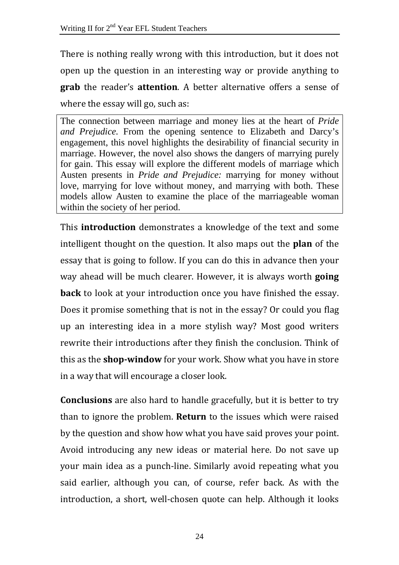There is nothing really wrong with this introduction, but it does not open up the question in an interesting way or provide anything to **grab** the reader's **attention**. A better alternative offers a sense of where the essay will go, such as:

The connection between marriage and money lies at the heart of *Pride and Prejudice.* From the opening sentence to Elizabeth and Darcy's engagement, this novel highlights the desirability of financial security in marriage. However, the novel also shows the dangers of marrying purely for gain. This essay will explore the different models of marriage which Austen presents in *Pride and Prejudice:* marrying for money without love, marrying for love without money, and marrying with both. These models allow Austen to examine the place of the marriageable woman within the society of her period.

This **introduction** demonstrates a knowledge of the text and some intelligent thought on the question. It also maps out the **plan** of the essay that is going to follow. If you can do this in advance then your way ahead will be much clearer. However, it is always worth **going back** to look at your introduction once you have finished the essay. Does it promise something that is not in the essay? Or could you flag up an interesting idea in a more stylish way? Most good writers rewrite their introductions after they finish the conclusion. Think of this as the **shop-window** for your work. Show what you have in store in a way that will encourage a closer look.

**Conclusions** are also hard to handle gracefully, but it is better to try than to ignore the problem. **Return** to the issues which were raised by the question and show how what you have said proves your point. Avoid introducing any new ideas or material here. Do not save up your main idea as a punch-line. Similarly avoid repeating what you said earlier, although you can, of course, refer back. As with the introduction, a short, well-chosen quote can help. Although it looks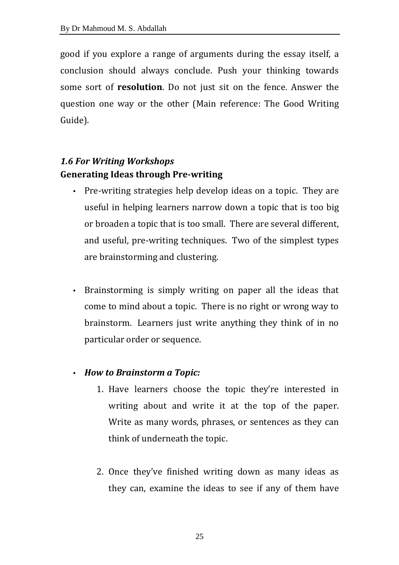good if you explore a range of arguments during the essay itself, a conclusion should always conclude. Push your thinking towards some sort of **resolution**. Do not just sit on the fence. Answer the question one way or the other (Main reference: The Good Writing Guide).

#### *1.6 For Writing Workshops*  **Generating Ideas through Pre-writing**

- Pre-writing strategies help develop ideas on a topic. They are useful in helping learners narrow down a topic that is too big or broaden a topic that is too small. There are several different, and useful, pre-writing techniques. Two of the simplest types are brainstorming and clustering.
- Brainstorming is simply writing on paper all the ideas that come to mind about a topic. There is no right or wrong way to brainstorm. Learners just write anything they think of in no particular order or sequence.

#### • *How to Brainstorm a Topic:*

- 1. Have learners choose the topic they're interested in writing about and write it at the top of the paper. Write as many words, phrases, or sentences as they can think of underneath the topic.
- 2. Once they've finished writing down as many ideas as they can, examine the ideas to see if any of them have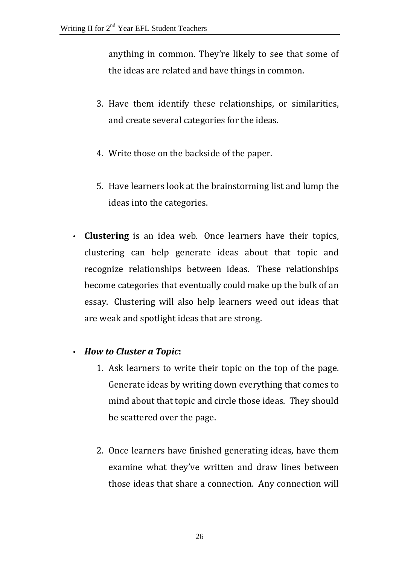anything in common. They're likely to see that some of the ideas are related and have things in common.

- 3. Have them identify these relationships, or similarities, and create several categories for the ideas.
- 4. Write those on the backside of the paper.
- 5. Have learners look at the brainstorming list and lump the ideas into the categories.
- **Clustering** is an idea web. Once learners have their topics, clustering can help generate ideas about that topic and recognize relationships between ideas. These relationships become categories that eventually could make up the bulk of an essay. Clustering will also help learners weed out ideas that are weak and spotlight ideas that are strong.

#### • *How to Cluster a Topic***:**

- 1. Ask learners to write their topic on the top of the page. Generate ideas by writing down everything that comes to mind about that topic and circle those ideas. They should be scattered over the page.
- 2. Once learners have finished generating ideas, have them examine what they've written and draw lines between those ideas that share a connection. Any connection will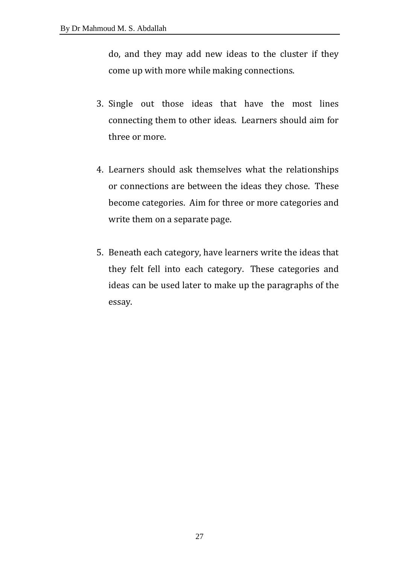do, and they may add new ideas to the cluster if they come up with more while making connections.

- 3. Single out those ideas that have the most lines connecting them to other ideas. Learners should aim for three or more.
- 4. Learners should ask themselves what the relationships or connections are between the ideas they chose. These become categories. Aim for three or more categories and write them on a separate page.
- 5. Beneath each category, have learners write the ideas that they felt fell into each category. These categories and ideas can be used later to make up the paragraphs of the essay.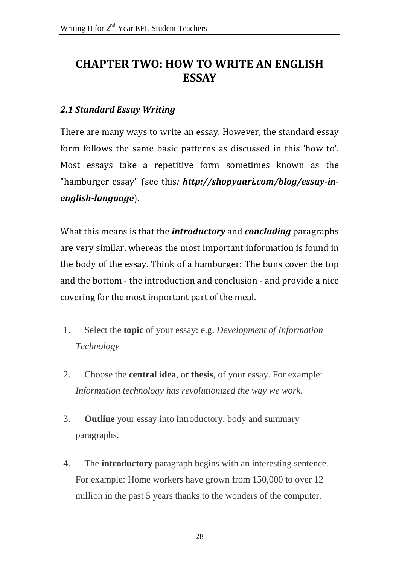## **CHAPTER TWO: HOW TO WRITE AN ENGLISH ESSAY**

#### *2.1 Standard Essay Writing*

There are many ways to write an essay. However, the standard essay form follows the same basic patterns as discussed in this 'how to'. Most essays take a repetitive form sometimes known as the "hamburger essay" (see this*: http://shopyaari.com/blog/essay-inenglish-language*).

What this means is that the *introductory* and *concluding* paragraphs are very similar, whereas the most important information is found in the body of the essay. Think of a hamburger: The buns cover the top and the bottom - the introduction and conclusion - and provide a nice covering for the most important part of the meal.

- 1. Select the **topic** of your essay: e.g. *Development of Information Technology*
- 2. Choose the **central idea**, or **thesis**, of your essay. For example: *Information technology has revolutionized the way we work*.
- 3. **Outline** your essay into introductory, body and summary paragraphs.
- 4. The **introductory** paragraph begins with an interesting sentence. For example: Home workers have grown from 150,000 to over 12 million in the past 5 years thanks to the wonders of the computer.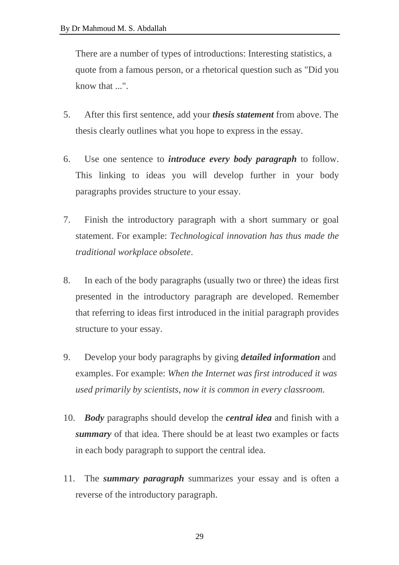There are a number of types of introductions: Interesting statistics, a quote from a famous person, or a rhetorical question such as "Did you know that ...".

- 5. After this first sentence, add your *thesis statement* from above. The thesis clearly outlines what you hope to express in the essay.
- 6. Use one sentence to *introduce every body paragraph* to follow. This linking to ideas you will develop further in your body paragraphs provides structure to your essay.
- 7. Finish the introductory paragraph with a short summary or goal statement. For example: *Technological innovation has thus made the traditional workplace obsolete*.
- 8. In each of the body paragraphs (usually two or three) the ideas first presented in the introductory paragraph are developed. Remember that referring to ideas first introduced in the initial paragraph provides structure to your essay.
- 9. Develop your body paragraphs by giving *detailed information* and examples. For example: *When the Internet was first introduced it was used primarily by scientists, now it is common in every classroom.*
- 10. *Body* paragraphs should develop the *central idea* and finish with a *summary* of that idea. There should be at least two examples or facts in each body paragraph to support the central idea.
- 11. The *summary paragraph* summarizes your essay and is often a reverse of the introductory paragraph.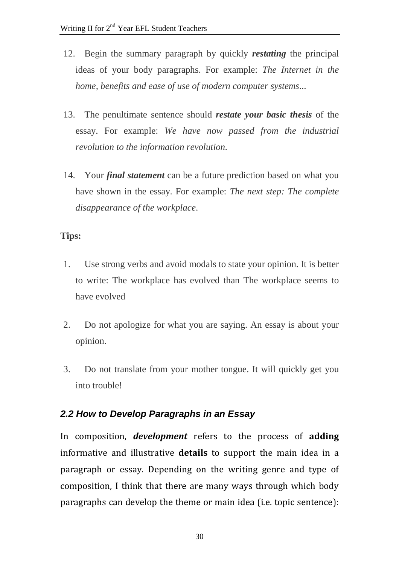- 12. Begin the summary paragraph by quickly *restating* the principal ideas of your body paragraphs. For example: *The Internet in the home, benefits and ease of use of modern computer systems*...
- 13. The penultimate sentence should *restate your basic thesis* of the essay. For example: *We have now passed from the industrial revolution to the information revolution.*
- 14. Your *final statement* can be a future prediction based on what you have shown in the essay. For example: *The next step: The complete disappearance of the workplace*.

#### **Tips:**

- 1. Use strong verbs and avoid modals to state your opinion. It is better to write: The workplace has evolved than The workplace seems to have evolved
- 2. Do not apologize for what you are saying. An essay is about your opinion.
- 3. Do not translate from your mother tongue. It will quickly get you into trouble!

#### **2.2 How to Develop Paragraphs in an Essay**

In composition, *development* refers to the process of **adding** informative and illustrative **details** to support the main idea in a paragraph or essay. Depending on the writing genre and type of composition, I think that there are many ways through which body paragraphs can develop the theme or main idea (i.e. topic sentence):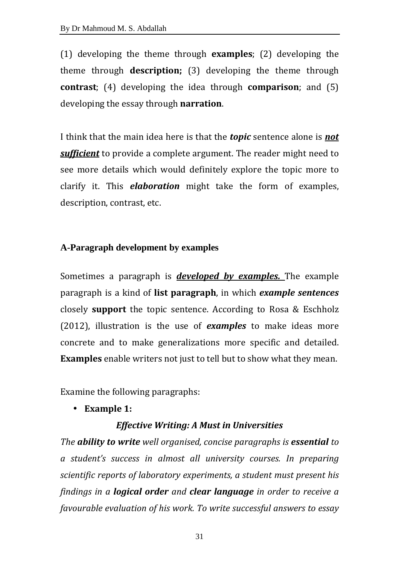(1) developing the theme through **examples**; (2) developing the theme through **description;** (3) developing the theme through **contrast**; (4) developing the idea through **comparison**; and (5) developing the essay through **narration**.

I think that the main idea here is that the *topic* sentence alone is *not sufficient* to provide a complete argument. The reader might need to see more details which would definitely explore the topic more to clarify it. This *elaboration* might take the form of examples, description, contrast, etc.

#### **A-Paragraph development by examples**

Sometimes a paragraph is *developed by examples.* The example paragraph is a kind of **list paragraph**, in which *example sentences*  closely **support** the topic sentence. According to Rosa & Eschholz (2012), illustration is the use of *examples* to make ideas more concrete and to make generalizations more specific and detailed. **Examples** enable writers not just to tell but to show what they mean.

Examine the following paragraphs:

• **Example 1:** 

#### *Effective Writing: A Must in Universities*

*The ability to write well organised, concise paragraphs is essential to a student's success in almost all university courses. In preparing scientific reports of laboratory experiments, a student must present his findings in a logical order and clear language in order to receive a favourable evaluation of his work. To write successful answers to essay*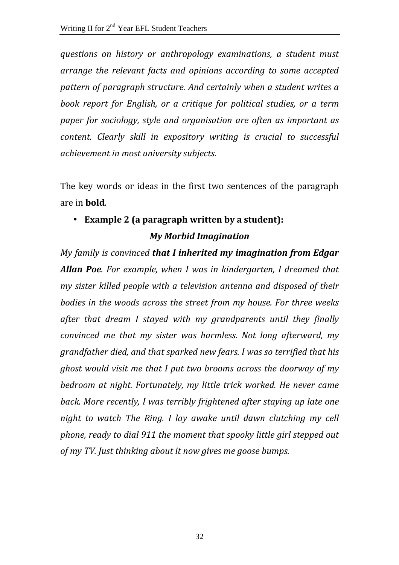*questions on history or anthropology examinations, a student must arrange the relevant facts and opinions according to some accepted pattern of paragraph structure. And certainly when a student writes a book report for English, or a critique for political studies, or a term paper for sociology, style and organisation are often as important as content. Clearly skill in expository writing is crucial to successful achievement in most university subjects.* 

The key words or ideas in the first two sentences of the paragraph are in **bold**.

#### • **Example 2 (a paragraph written by a student):**

#### *My Morbid Imagination*

*My family is convinced that I inherited my imagination from Edgar Allan Poe. For example, when I was in kindergarten, I dreamed that my sister killed people with a television antenna and disposed of their bodies in the woods across the street from my house. For three weeks after that dream I stayed with my grandparents until they finally convinced me that my sister was harmless. Not long afterward, my grandfather died, and that sparked new fears. I was so terrified that his ghost would visit me that I put two brooms across the doorway of my bedroom at night. Fortunately, my little trick worked. He never came back. More recently, I was terribly frightened after staying up late one night to watch The Ring. I lay awake until dawn clutching my cell phone, ready to dial 911 the moment that spooky little girl stepped out of my TV. Just thinking about it now gives me goose bumps.*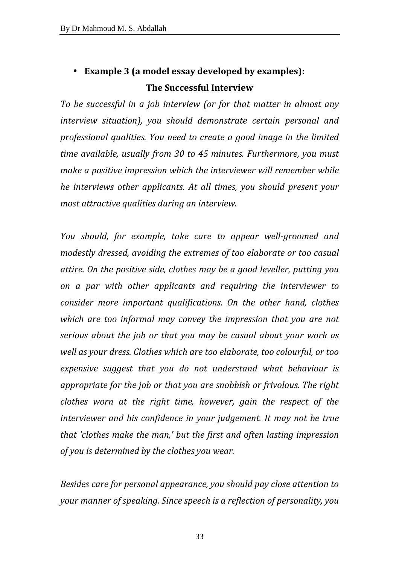## • **Example 3 (a model essay developed by examples): The Successful Interview**

*To be successful in a job interview (or for that matter in almost any interview situation), you should demonstrate certain personal and professional qualities. You need to create a good image in the limited time available, usually from 30 to 45 minutes. Furthermore, you must make a positive impression which the interviewer will remember while he interviews other applicants. At all times, you should present your most attractive qualities during an interview.* 

*You should, for example, take care to appear well-groomed and modestly dressed, avoiding the extremes of too elaborate or too casual attire. On the positive side, clothes may be a good leveller, putting you on a par with other applicants and requiring the interviewer to consider more important qualifications. On the other hand, clothes which are too informal may convey the impression that you are not serious about the job or that you may be casual about your work as well as your dress. Clothes which are too elaborate, too colourful, or too expensive suggest that you do not understand what behaviour is appropriate for the job or that you are snobbish or frivolous. The right clothes worn at the right time, however, gain the respect of the interviewer and his confidence in your judgement. It may not be true that 'clothes make the man,' but the first and often lasting impression of you is determined by the clothes you wear.* 

*Besides care for personal appearance, you should pay close attention to your manner of speaking. Since speech is a reflection of personality, you*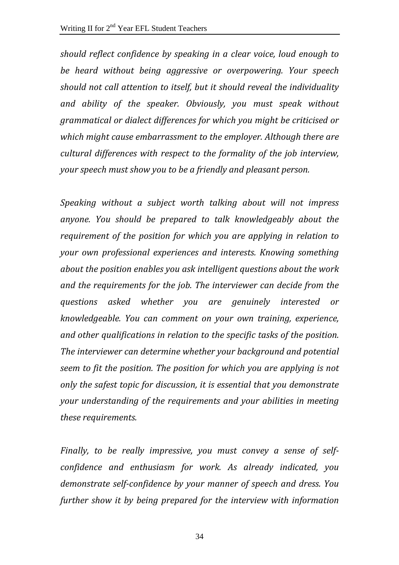*should reflect confidence by speaking in a clear voice, loud enough to be heard without being aggressive or overpowering. Your speech should not call attention to itself, but it should reveal the individuality and ability of the speaker. Obviously, you must speak without grammatical or dialect differences for which you might be criticised or which might cause embarrassment to the employer. Although there are cultural differences with respect to the formality of the job interview, your speech must show you to be a friendly and pleasant person.* 

*Speaking without a subject worth talking about will not impress anyone. You should be prepared to talk knowledgeably about the requirement of the position for which you are applying in relation to your own professional experiences and interests. Knowing something about the position enables you ask intelligent questions about the work and the requirements for the job. The interviewer can decide from the questions asked whether you are genuinely interested or knowledgeable. You can comment on your own training, experience, and other qualifications in relation to the specific tasks of the position. The interviewer can determine whether your background and potential seem to fit the position. The position for which you are applying is not only the safest topic for discussion, it is essential that you demonstrate your understanding of the requirements and your abilities in meeting these requirements.* 

*Finally, to be really impressive, you must convey a sense of selfconfidence and enthusiasm for work. As already indicated, you demonstrate self-confidence by your manner of speech and dress. You further show it by being prepared for the interview with information* 

34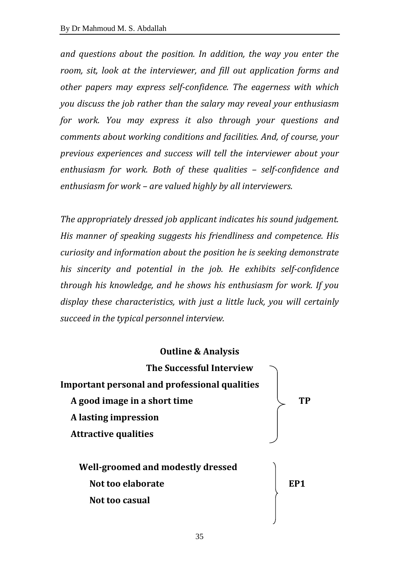*and questions about the position. In addition, the way you enter the room, sit, look at the interviewer, and fill out application forms and other papers may express self-confidence. The eagerness with which you discuss the job rather than the salary may reveal your enthusiasm for work. You may express it also through your questions and comments about working conditions and facilities. And, of course, your previous experiences and success will tell the interviewer about your enthusiasm for work. Both of these qualities – self-confidence and enthusiasm for work – are valued highly by all interviewers.* 

*The appropriately dressed job applicant indicates his sound judgement. His manner of speaking suggests his friendliness and competence. His curiosity and information about the position he is seeking demonstrate his sincerity and potential in the job. He exhibits self-confidence through his knowledge, and he shows his enthusiasm for work. If you display these characteristics, with just a little luck, you will certainly succeed in the typical personnel interview.* 

#### **Outline & Analysis**



35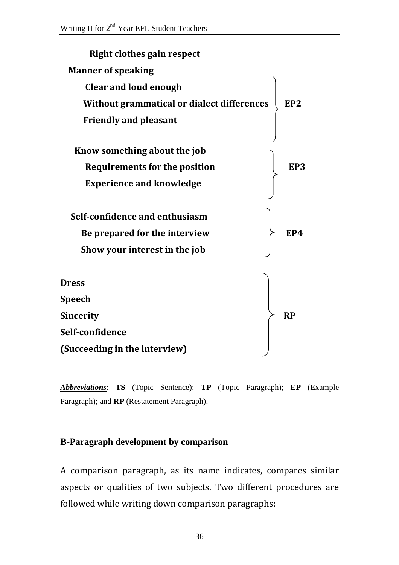

*Abbreviations*: **TS** (Topic Sentence); **TP** (Topic Paragraph); **EP** (Example Paragraph); and **RP** (Restatement Paragraph).

#### **B-Paragraph development by comparison**

A comparison paragraph, as its name indicates, compares similar aspects or qualities of two subjects. Two different procedures are followed while writing down comparison paragraphs: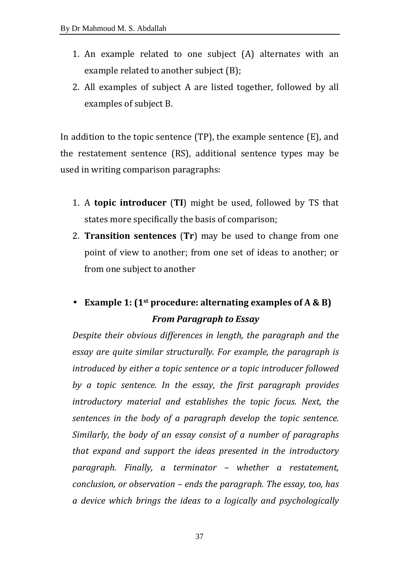- 1. An example related to one subject (A) alternates with an example related to another subject (B);
- 2. All examples of subject A are listed together, followed by all examples of subject B.

In addition to the topic sentence (TP), the example sentence (E), and the restatement sentence (RS), additional sentence types may be used in writing comparison paragraphs:

- 1. A **topic introducer** (**TI**) might be used, followed by TS that states more specifically the basis of comparison;
- 2. **Transition sentences** (**Tr**) may be used to change from one point of view to another; from one set of ideas to another; or from one subject to another

# • **Example 1: (1st procedure: alternating examples of A & B)** *From Paragraph to Essay*

*Despite their obvious differences in length, the paragraph and the essay are quite similar structurally. For example, the paragraph is introduced by either a topic sentence or a topic introducer followed by a topic sentence. In the essay, the first paragraph provides introductory material and establishes the topic focus. Next, the sentences in the body of a paragraph develop the topic sentence. Similarly, the body of an essay consist of a number of paragraphs that expand and support the ideas presented in the introductory paragraph. Finally, a terminator – whether a restatement, conclusion, or observation – ends the paragraph. The essay, too, has a device which brings the ideas to a logically and psychologically*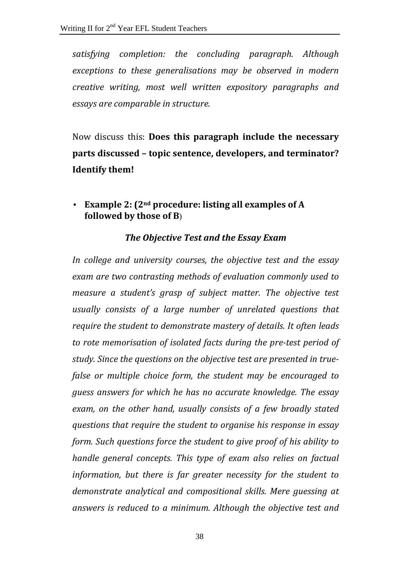*satisfying completion: the concluding paragraph. Although exceptions to these generalisations may be observed in modern creative writing, most well written expository paragraphs and essays are comparable in structure.* 

Now discuss this: **Does this paragraph include the necessary parts discussed – topic sentence, developers, and terminator? Identify them!**

• **Example 2: (2nd procedure: listing all examples of A followed by those of B**)

#### *The Objective Test and the Essay Exam*

*In college and university courses, the objective test and the essay exam are two contrasting methods of evaluation commonly used to measure a student's grasp of subject matter. The objective test usually consists of a large number of unrelated questions that require the student to demonstrate mastery of details. It often leads to rote memorisation of isolated facts during the pre-test period of study. Since the questions on the objective test are presented in truefalse or multiple choice form, the student may be encouraged to guess answers for which he has no accurate knowledge. The essay exam, on the other hand, usually consists of a few broadly stated questions that require the student to organise his response in essay form. Such questions force the student to give proof of his ability to handle general concepts. This type of exam also relies on factual information, but there is far greater necessity for the student to demonstrate analytical and compositional skills. Mere guessing at answers is reduced to a minimum. Although the objective test and*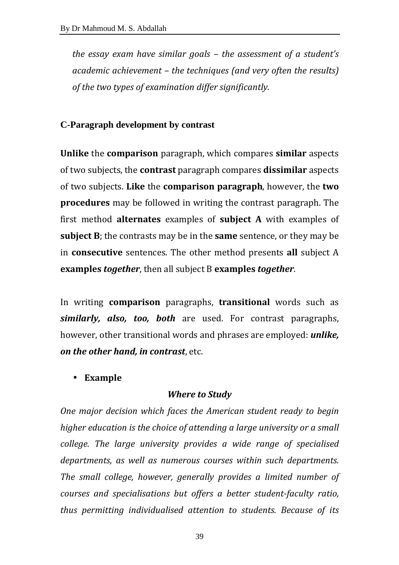*the essay exam have similar goals – the assessment of a student's academic achievement – the techniques (and very often the results) of the two types of examination differ significantly.*

#### **C-Paragraph development by contrast**

**Unlike** the **comparison** paragraph, which compares **similar** aspects of two subjects, the **contrast** paragraph compares **dissimilar** aspects of two subjects. **Like** the **comparison paragraph**, however, the **two procedures** may be followed in writing the contrast paragraph. The first method **alternates** examples of **subject A** with examples of **subject B**; the contrasts may be in the **same** sentence, or they may be in **consecutive** sentences. The other method presents **all** subject A **examples** *together*, then all subject B **examples** *together*.

In writing **comparison** paragraphs, **transitional** words such as *similarly, also, too, both* are used. For contrast paragraphs, however, other transitional words and phrases are employed: *unlike, on the other hand, in contrast*, etc.

• **Example** 

#### *Where to Study*

*One major decision which faces the American student ready to begin higher education is the choice of attending a large university or a small college. The large university provides a wide range of specialised departments, as well as numerous courses within such departments. The small college, however, generally provides a limited number of courses and specialisations but offers a better student-faculty ratio, thus permitting individualised attention to students. Because of its*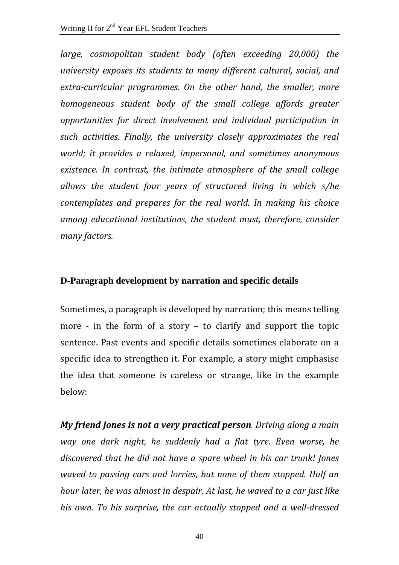*large, cosmopolitan student body (often exceeding 20,000) the university exposes its students to many different cultural, social, and extra-curricular programmes. On the other hand, the smaller, more homogeneous student body of the small college affords greater opportunities for direct involvement and individual participation in such activities. Finally, the university closely approximates the real world; it provides a relaxed, impersonal, and sometimes anonymous existence. In contrast, the intimate atmosphere of the small college allows the student four years of structured living in which s/he contemplates and prepares for the real world. In making his choice among educational institutions, the student must, therefore, consider many factors.* 

#### **D-Paragraph development by narration and specific details**

Sometimes, a paragraph is developed by narration; this means telling more - in the form of a story – to clarify and support the topic sentence. Past events and specific details sometimes elaborate on a specific idea to strengthen it. For example, a story might emphasise the idea that someone is careless or strange, like in the example below:

*My friend Jones is not a very practical person. Driving along a main way one dark night, he suddenly had a flat tyre. Even worse, he discovered that he did not have a spare wheel in his car trunk! Jones waved to passing cars and lorries, but none of them stopped. Half an hour later, he was almost in despair. At last, he waved to a car just like his own. To his surprise, the car actually stopped and a well-dressed*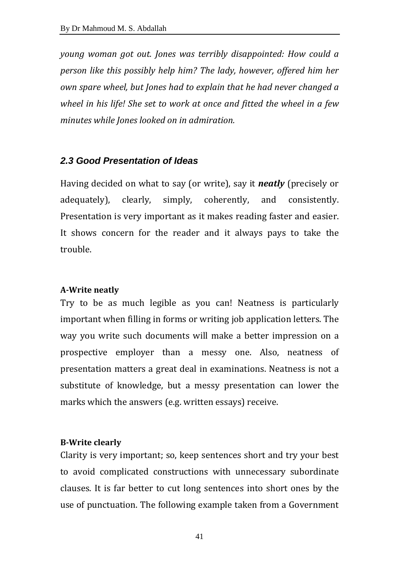*young woman got out. Jones was terribly disappointed: How could a person like this possibly help him? The lady, however, offered him her own spare wheel, but Jones had to explain that he had never changed a wheel in his life! She set to work at once and fitted the wheel in a few minutes while Jones looked on in admiration.* 

### **2.3 Good Presentation of Ideas**

Having decided on what to say (or write), say it *neatly* (precisely or adequately), clearly, simply, coherently, and consistently. Presentation is very important as it makes reading faster and easier. It shows concern for the reader and it always pays to take the trouble.

#### **A-Write neatly**

Try to be as much legible as you can! Neatness is particularly important when filling in forms or writing job application letters. The way you write such documents will make a better impression on a prospective employer than a messy one. Also, neatness of presentation matters a great deal in examinations. Neatness is not a substitute of knowledge, but a messy presentation can lower the marks which the answers (e.g. written essays) receive.

#### **B-Write clearly**

Clarity is very important; so, keep sentences short and try your best to avoid complicated constructions with unnecessary subordinate clauses. It is far better to cut long sentences into short ones by the use of punctuation. The following example taken from a Government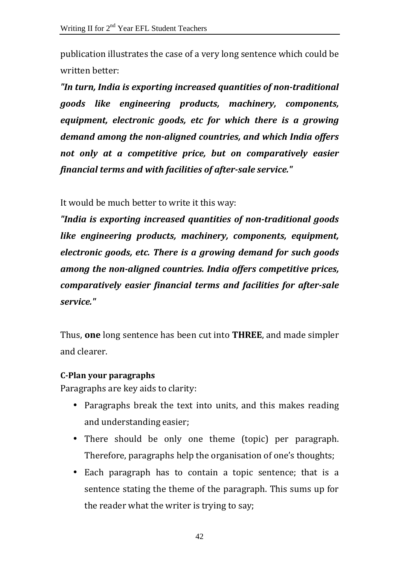publication illustrates the case of a very long sentence which could be written better:

*"In turn, India is exporting increased quantities of non-traditional goods like engineering products, machinery, components, equipment, electronic goods, etc for which there is a growing demand among the non-aligned countries, and which India offers not only at a competitive price, but on comparatively easier financial terms and with facilities of after-sale service."* 

It would be much better to write it this way:

*"India is exporting increased quantities of non-traditional goods like engineering products, machinery, components, equipment, electronic goods, etc. There is a growing demand for such goods among the non-aligned countries. India offers competitive prices, comparatively easier financial terms and facilities for after-sale service."* 

Thus, **one** long sentence has been cut into **THREE**, and made simpler and clearer.

## **C-Plan your paragraphs**

Paragraphs are key aids to clarity:

- Paragraphs break the text into units, and this makes reading and understanding easier;
- There should be only one theme (topic) per paragraph. Therefore, paragraphs help the organisation of one's thoughts;
- Each paragraph has to contain a topic sentence; that is a sentence stating the theme of the paragraph. This sums up for the reader what the writer is trying to say;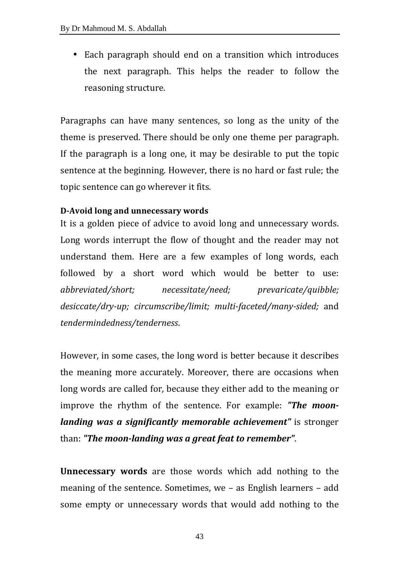• Each paragraph should end on a transition which introduces the next paragraph. This helps the reader to follow the reasoning structure.

Paragraphs can have many sentences, so long as the unity of the theme is preserved. There should be only one theme per paragraph. If the paragraph is a long one, it may be desirable to put the topic sentence at the beginning. However, there is no hard or fast rule; the topic sentence can go wherever it fits.

#### **D-Avoid long and unnecessary words**

It is a golden piece of advice to avoid long and unnecessary words. Long words interrupt the flow of thought and the reader may not understand them. Here are a few examples of long words, each followed by a short word which would be better to use: *abbreviated/short; necessitate/need; prevaricate/quibble; desiccate/dry-up; circumscribe/limit; multi-faceted/many-sided;* and *tendermindedness/tenderness*.

However, in some cases, the long word is better because it describes the meaning more accurately. Moreover, there are occasions when long words are called for, because they either add to the meaning or improve the rhythm of the sentence. For example: *"The moonlanding was a significantly memorable achievement"* is stronger than: *"The moon-landing was a great feat to remember"*.

**Unnecessary words** are those words which add nothing to the meaning of the sentence. Sometimes, we – as English learners – add some empty or unnecessary words that would add nothing to the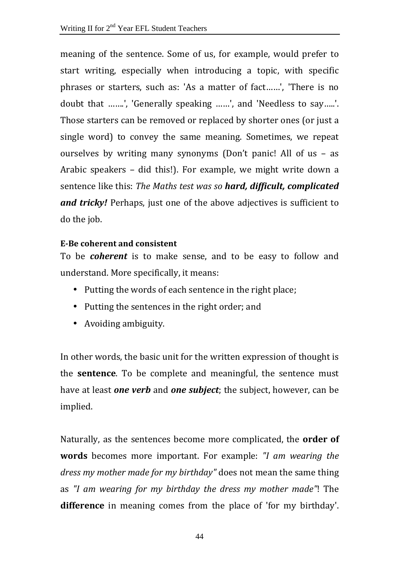meaning of the sentence. Some of us, for example, would prefer to start writing, especially when introducing a topic, with specific phrases or starters, such as: 'As a matter of fact……', 'There is no doubt that …….', 'Generally speaking ……', and 'Needless to say…..'. Those starters can be removed or replaced by shorter ones (or just a single word) to convey the same meaning. Sometimes, we repeat ourselves by writing many synonyms (Don't panic! All of us – as Arabic speakers – did this!). For example, we might write down a sentence like this: *The Maths test was so hard, difficult, complicated and tricky!* Perhaps, just one of the above adjectives is sufficient to do the job.

#### **E-Be coherent and consistent**

To be *coherent* is to make sense, and to be easy to follow and understand. More specifically, it means:

- Putting the words of each sentence in the right place;
- Putting the sentences in the right order; and
- Avoiding ambiguity.

In other words, the basic unit for the written expression of thought is the **sentence**. To be complete and meaningful, the sentence must have at least *one verb* and *one subject*; the subject, however, can be implied.

Naturally, as the sentences become more complicated, the **order of words** becomes more important. For example: *"I am wearing the dress my mother made for my birthday"* does not mean the same thing as *"I am wearing for my birthday the dress my mother made"*! The **difference** in meaning comes from the place of 'for my birthday'.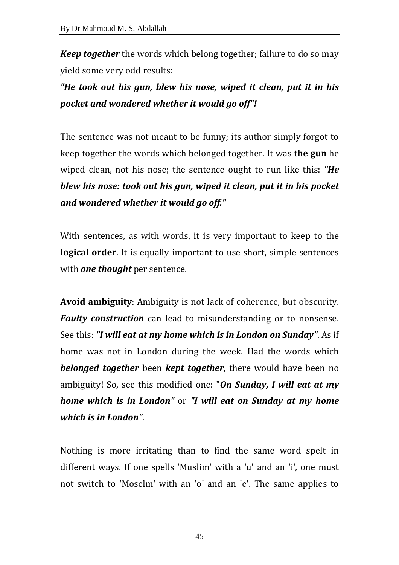*Keep together* the words which belong together; failure to do so may yield some very odd results:

# *"He took out his gun, blew his nose, wiped it clean, put it in his pocket and wondered whether it would go off"!*

The sentence was not meant to be funny; its author simply forgot to keep together the words which belonged together. It was **the gun** he wiped clean, not his nose; the sentence ought to run like this: *"He blew his nose: took out his gun, wiped it clean, put it in his pocket and wondered whether it would go off."* 

With sentences, as with words, it is very important to keep to the **logical order**. It is equally important to use short, simple sentences with *one thought* per sentence.

**Avoid ambiguity**: Ambiguity is not lack of coherence, but obscurity. *Faulty construction* can lead to misunderstanding or to nonsense. See this: *"I will eat at my home which is in London on Sunday"*. As if home was not in London during the week. Had the words which *belonged together* been *kept together*, there would have been no ambiguity! So, see this modified one: "*On Sunday, I will eat at my home which is in London"* or *"I will eat on Sunday at my home which is in London"*.

Nothing is more irritating than to find the same word spelt in different ways. If one spells 'Muslim' with a 'u' and an 'i', one must not switch to 'Moselm' with an 'o' and an 'e'. The same applies to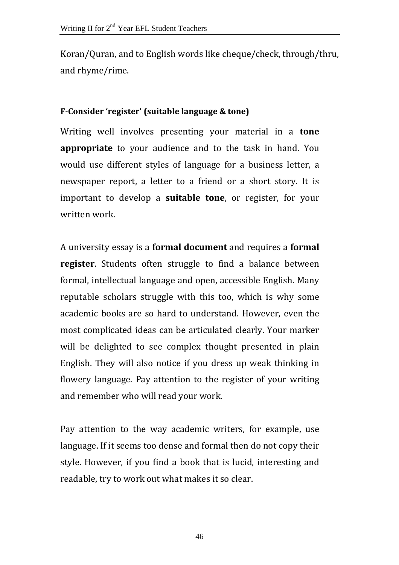Koran/Quran, and to English words like cheque/check, through/thru, and rhyme/rime.

#### **F-Consider 'register' (suitable language & tone)**

Writing well involves presenting your material in a **tone appropriate** to your audience and to the task in hand. You would use different styles of language for a business letter, a newspaper report, a letter to a friend or a short story. It is important to develop a **suitable tone**, or register, for your written work.

A university essay is a **formal document** and requires a **formal register**. Students often struggle to find a balance between formal, intellectual language and open, accessible English. Many reputable scholars struggle with this too, which is why some academic books are so hard to understand. However, even the most complicated ideas can be articulated clearly. Your marker will be delighted to see complex thought presented in plain English. They will also notice if you dress up weak thinking in flowery language. Pay attention to the register of your writing and remember who will read your work.

Pay attention to the way academic writers, for example, use language. If it seems too dense and formal then do not copy their style. However, if you find a book that is lucid, interesting and readable, try to work out what makes it so clear.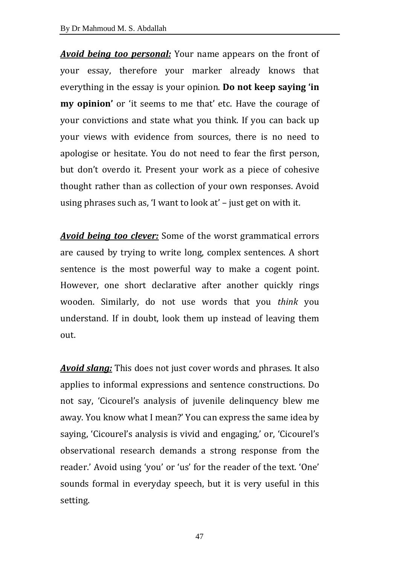*Avoid being too personal:* Your name appears on the front of your essay, therefore your marker already knows that everything in the essay is your opinion. **Do not keep saying 'in my opinion'** or 'it seems to me that' etc. Have the courage of your convictions and state what you think. If you can back up your views with evidence from sources, there is no need to apologise or hesitate. You do not need to fear the first person, but don't overdo it. Present your work as a piece of cohesive thought rather than as collection of your own responses. Avoid using phrases such as, 'I want to look at' – just get on with it.

*Avoid being too clever:* Some of the worst grammatical errors are caused by trying to write long, complex sentences. A short sentence is the most powerful way to make a cogent point. However, one short declarative after another quickly rings wooden. Similarly, do not use words that you *think* you understand. If in doubt, look them up instead of leaving them out.

*Avoid slang:* This does not just cover words and phrases. It also applies to informal expressions and sentence constructions. Do not say, 'Cicourel's analysis of juvenile delinquency blew me away. You know what I mean?' You can express the same idea by saying, 'Cicourel's analysis is vivid and engaging,' or, 'Cicourel's observational research demands a strong response from the reader.' Avoid using 'you' or 'us' for the reader of the text. 'One' sounds formal in everyday speech, but it is very useful in this setting.

47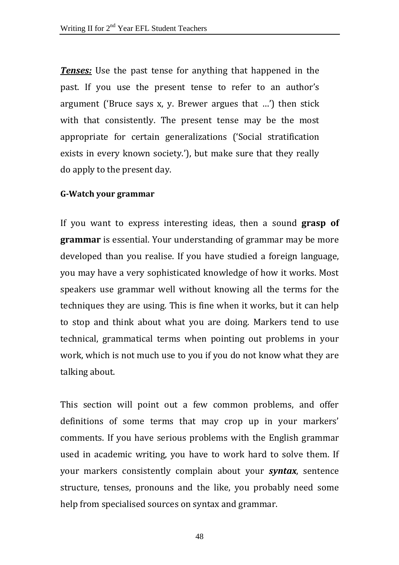*Tenses:* Use the past tense for anything that happened in the past. If you use the present tense to refer to an author's argument ('Bruce says x, y. Brewer argues that …') then stick with that consistently. The present tense may be the most appropriate for certain generalizations ('Social stratification exists in every known society.'), but make sure that they really do apply to the present day.

#### **G-Watch your grammar**

If you want to express interesting ideas, then a sound **grasp of grammar** is essential. Your understanding of grammar may be more developed than you realise. If you have studied a foreign language, you may have a very sophisticated knowledge of how it works. Most speakers use grammar well without knowing all the terms for the techniques they are using. This is fine when it works, but it can help to stop and think about what you are doing. Markers tend to use technical, grammatical terms when pointing out problems in your work, which is not much use to you if you do not know what they are talking about.

This section will point out a few common problems, and offer definitions of some terms that may crop up in your markers' comments. If you have serious problems with the English grammar used in academic writing, you have to work hard to solve them. If your markers consistently complain about your *syntax*, sentence structure, tenses, pronouns and the like, you probably need some help from specialised sources on syntax and grammar.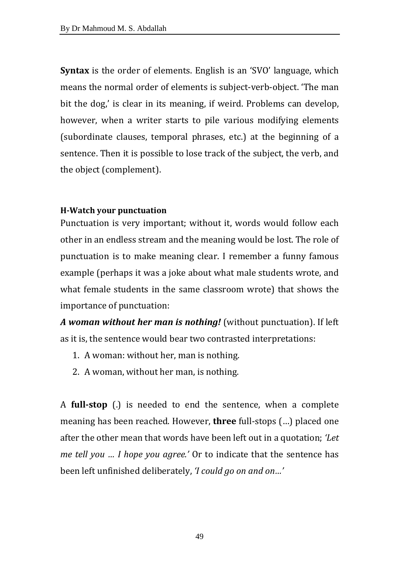**Syntax** is the order of elements. English is an 'SVO' language, which means the normal order of elements is subject-verb-object. 'The man bit the dog,' is clear in its meaning, if weird. Problems can develop, however, when a writer starts to pile various modifying elements (subordinate clauses, temporal phrases, etc.) at the beginning of a sentence. Then it is possible to lose track of the subject, the verb, and the object (complement).

#### **H-Watch your punctuation**

Punctuation is very important; without it, words would follow each other in an endless stream and the meaning would be lost. The role of punctuation is to make meaning clear. I remember a funny famous example (perhaps it was a joke about what male students wrote, and what female students in the same classroom wrote) that shows the importance of punctuation:

*A woman without her man is nothing!* (without punctuation). If left as it is, the sentence would bear two contrasted interpretations:

- 1. A woman: without her, man is nothing.
- 2. A woman, without her man, is nothing.

A **full-stop** (.) is needed to end the sentence, when a complete meaning has been reached. However, **three** full-stops (…) placed one after the other mean that words have been left out in a quotation; *'Let me tell you … I hope you agree.'* Or to indicate that the sentence has been left unfinished deliberately, *'I could go on and on…'*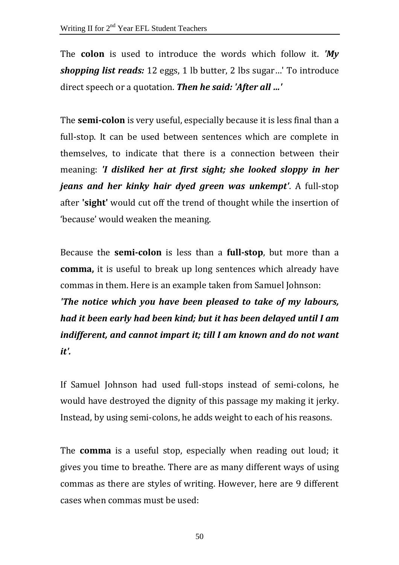The **colon** is used to introduce the words which follow it. *'My shopping list reads:* 12 eggs, 1 lb butter, 2 lbs sugar…' To introduce direct speech or a quotation. *Then he said: 'After all …'* 

The **semi-colon** is very useful, especially because it is less final than a full-stop. It can be used between sentences which are complete in themselves, to indicate that there is a connection between their meaning: *'I disliked her at first sight; she looked sloppy in her jeans and her kinky hair dyed green was unkempt'*. A full-stop after **'sight'** would cut off the trend of thought while the insertion of 'because' would weaken the meaning.

Because the **semi-colon** is less than a **full-stop**, but more than a **comma,** it is useful to break up long sentences which already have commas in them. Here is an example taken from Samuel Johnson:

*'The notice which you have been pleased to take of my labours, had it been early had been kind; but it has been delayed until I am indifferent, and cannot impart it; till I am known and do not want it'.* 

If Samuel Johnson had used full-stops instead of semi-colons, he would have destroyed the dignity of this passage my making it jerky. Instead, by using semi-colons, he adds weight to each of his reasons.

The **comma** is a useful stop, especially when reading out loud; it gives you time to breathe. There are as many different ways of using commas as there are styles of writing. However, here are 9 different cases when commas must be used: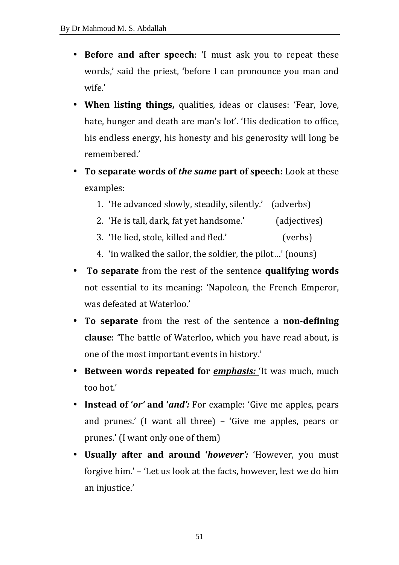- **Before and after speech**: 'I must ask you to repeat these words,' said the priest, 'before I can pronounce you man and wife.'
- **When listing things,** qualities, ideas or clauses: 'Fear, love, hate, hunger and death are man's lot'. 'His dedication to office, his endless energy, his honesty and his generosity will long be remembered.'
- **To separate words of** *the same* **part of speech:** Look at these examples:
	- 1. 'He advanced slowly, steadily, silently.' (adverbs)
	- 2. 'He is tall, dark, fat yet handsome.' (adjectives)
	- 3. 'He lied, stole, killed and fled.' (verbs)
	- 4. 'in walked the sailor, the soldier, the pilot…' (nouns)
- **To separate** from the rest of the sentence **qualifying words** not essential to its meaning: 'Napoleon, the French Emperor, was defeated at Waterloo.'
- **To separate** from the rest of the sentence a **non-defining clause**: 'The battle of Waterloo, which you have read about, is one of the most important events in history.'
- **Between words repeated for** *emphasis:* 'It was much, much too hot.'
- **Instead of '***or'* **and '***and':* For example: 'Give me apples, pears and prunes.' (I want all three) – 'Give me apples, pears or prunes.' (I want only one of them)
- **Usually after and around '***however':* 'However, you must forgive him.' – 'Let us look at the facts, however, lest we do him an injustice.'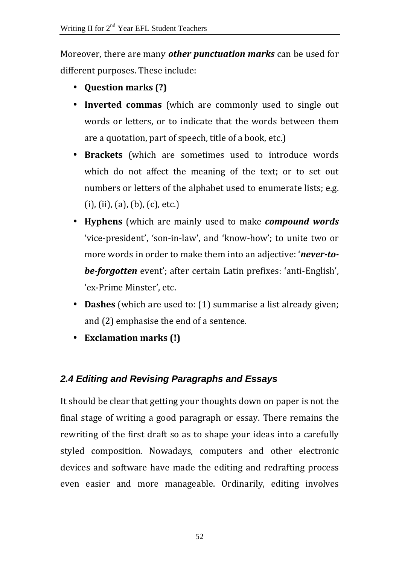Moreover, there are many *other punctuation marks* can be used for different purposes. These include:

- **Question marks (?)**
- **Inverted commas** (which are commonly used to single out words or letters, or to indicate that the words between them are a quotation, part of speech, title of a book, etc.)
- **Brackets** (which are sometimes used to introduce words which do not affect the meaning of the text; or to set out numbers or letters of the alphabet used to enumerate lists; e.g.  $(i)$ ,  $(ii)$ ,  $(a)$ ,  $(b)$ ,  $(c)$ , etc.)
- **Hyphens** (which are mainly used to make *compound words* 'vice-president', 'son-in-law', and 'know-how'; to unite two or more words in order to make them into an adjective: '*never-tobe-forgotten* event'; after certain Latin prefixes: 'anti-English', 'ex-Prime Minster', etc.
- **Dashes** (which are used to: (1) summarise a list already given; and (2) emphasise the end of a sentence.
- **Exclamation marks (!)**

# **2.4 Editing and Revising Paragraphs and Essays**

It should be clear that getting your thoughts down on paper is not the final stage of writing a good paragraph or essay. There remains the rewriting of the first draft so as to shape your ideas into a carefully styled composition. Nowadays, computers and other electronic devices and software have made the editing and redrafting process even easier and more manageable. Ordinarily, editing involves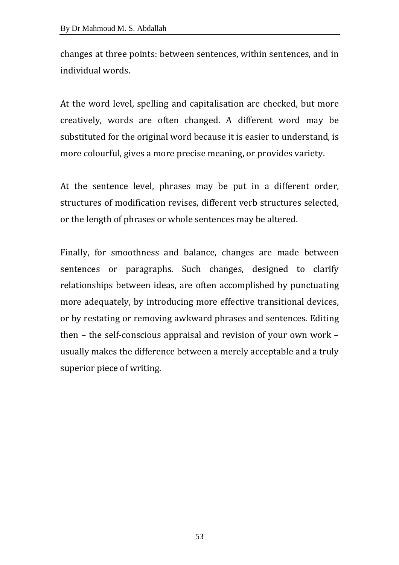changes at three points: between sentences, within sentences, and in individual words.

At the word level, spelling and capitalisation are checked, but more creatively, words are often changed. A different word may be substituted for the original word because it is easier to understand, is more colourful, gives a more precise meaning, or provides variety.

At the sentence level, phrases may be put in a different order, structures of modification revises, different verb structures selected, or the length of phrases or whole sentences may be altered.

Finally, for smoothness and balance, changes are made between sentences or paragraphs. Such changes, designed to clarify relationships between ideas, are often accomplished by punctuating more adequately, by introducing more effective transitional devices, or by restating or removing awkward phrases and sentences. Editing then – the self-conscious appraisal and revision of your own work – usually makes the difference between a merely acceptable and a truly superior piece of writing.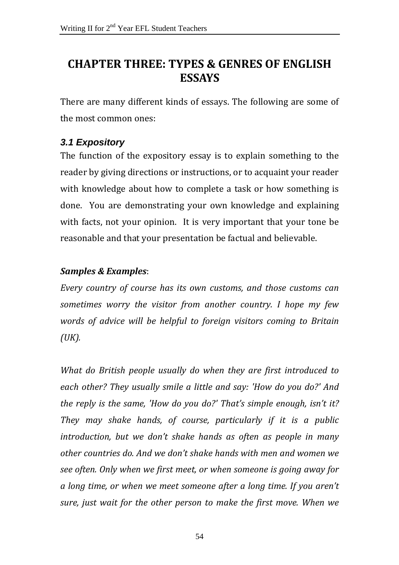# **CHAPTER THREE: TYPES & GENRES OF ENGLISH ESSAYS**

There are many different kinds of essays. The following are some of the most common ones:

## **3.1 Expository**

The function of the expository essay is to explain something to the reader by giving directions or instructions, or to acquaint your reader with knowledge about how to complete a task or how something is done. You are demonstrating your own knowledge and explaining with facts, not your opinion. It is very important that your tone be reasonable and that your presentation be factual and believable.

### *Samples & Examples*:

*Every country of course has its own customs, and those customs can sometimes worry the visitor from another country. I hope my few words of advice will be helpful to foreign visitors coming to Britain (UK).* 

*What do British people usually do when they are first introduced to each other? They usually smile a little and say: 'How do you do?' And the reply is the same, 'How do you do?' That's simple enough, isn't it? They may shake hands, of course, particularly if it is a public introduction, but we don't shake hands as often as people in many other countries do. And we don't shake hands with men and women we see often. Only when we first meet, or when someone is going away for a long time, or when we meet someone after a long time. If you aren't sure, just wait for the other person to make the first move. When we*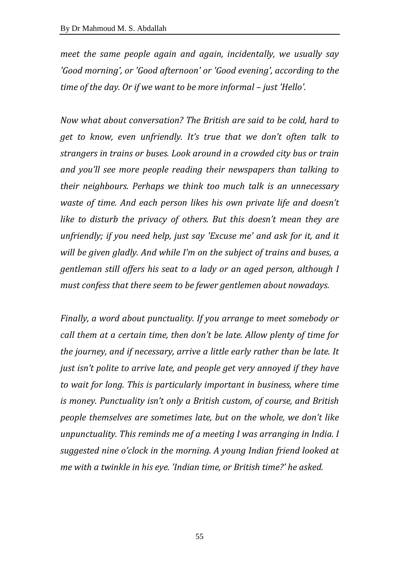*meet the same people again and again, incidentally, we usually say 'Good morning', or 'Good afternoon' or 'Good evening', according to the time of the day. Or if we want to be more informal – just 'Hello'.* 

*Now what about conversation? The British are said to be cold, hard to get to know, even unfriendly. It's true that we don't often talk to strangers in trains or buses. Look around in a crowded city bus or train and you'll see more people reading their newspapers than talking to their neighbours. Perhaps we think too much talk is an unnecessary waste of time. And each person likes his own private life and doesn't like to disturb the privacy of others. But this doesn't mean they are unfriendly; if you need help, just say 'Excuse me' and ask for it, and it will be given gladly. And while I'm on the subject of trains and buses, a gentleman still offers his seat to a lady or an aged person, although I must confess that there seem to be fewer gentlemen about nowadays.* 

*Finally, a word about punctuality. If you arrange to meet somebody or call them at a certain time, then don't be late. Allow plenty of time for the journey, and if necessary, arrive a little early rather than be late. It just isn't polite to arrive late, and people get very annoyed if they have to wait for long. This is particularly important in business, where time is money. Punctuality isn't only a British custom, of course, and British people themselves are sometimes late, but on the whole, we don't like unpunctuality. This reminds me of a meeting I was arranging in India. I suggested nine o'clock in the morning. A young Indian friend looked at me with a twinkle in his eye. 'Indian time, or British time?' he asked.*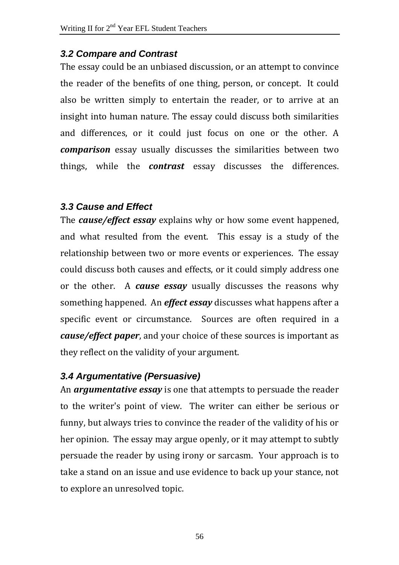## **3.2 Compare and Contrast**

The essay could be an unbiased discussion, or an attempt to convince the reader of the benefits of one thing, person, or concept. It could also be written simply to entertain the reader, or to arrive at an insight into human nature. The essay could discuss both similarities and differences, or it could just focus on one or the other. A *comparison* essay usually discusses the similarities between two things, while the *contrast* essay discusses the differences.

## **3.3 Cause and Effect**

The *cause/effect essay* explains why or how some event happened, and what resulted from the event. This essay is a study of the relationship between two or more events or experiences. The essay could discuss both causes and effects, or it could simply address one or the other. A *cause essay* usually discusses the reasons why something happened. An *effect essay* discusses what happens after a specific event or circumstance. Sources are often required in a *cause/effect paper*, and your choice of these sources is important as they reflect on the validity of your argument.

## **3.4 Argumentative (Persuasive)**

An *argumentative essay* is one that attempts to persuade the reader to the writer's point of view. The writer can either be serious or funny, but always tries to convince the reader of the validity of his or her opinion. The essay may argue openly, or it may attempt to subtly persuade the reader by using irony or sarcasm. Your approach is to take a stand on an issue and use evidence to back up your stance, not to explore an unresolved topic.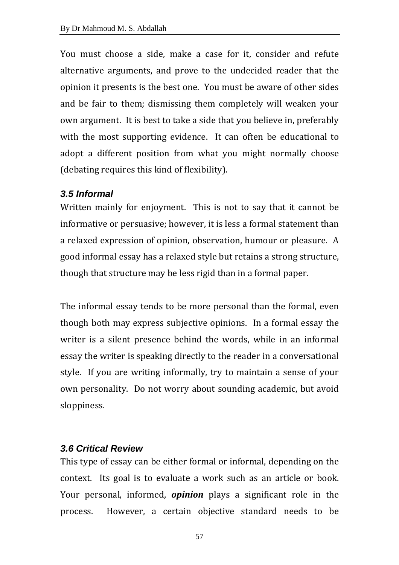You must choose a side, make a case for it, consider and refute alternative arguments, and prove to the undecided reader that the opinion it presents is the best one. You must be aware of other sides and be fair to them; dismissing them completely will weaken your own argument. It is best to take a side that you believe in, preferably with the most supporting evidence. It can often be educational to adopt a different position from what you might normally choose (debating requires this kind of flexibility).

#### **3.5 Informal**

Written mainly for enjoyment. This is not to say that it cannot be informative or persuasive; however, it is less a formal statement than a relaxed expression of opinion, observation, humour or pleasure. A good informal essay has a relaxed style but retains a strong structure, though that structure may be less rigid than in a formal paper.

The informal essay tends to be more personal than the formal, even though both may express subjective opinions. In a formal essay the writer is a silent presence behind the words, while in an informal essay the writer is speaking directly to the reader in a conversational style. If you are writing informally, try to maintain a sense of your own personality. Do not worry about sounding academic, but avoid sloppiness.

#### **3.6 Critical Review**

This type of essay can be either formal or informal, depending on the context. Its goal is to evaluate a work such as an article or book. Your personal, informed, *opinion* plays a significant role in the process. However, a certain objective standard needs to be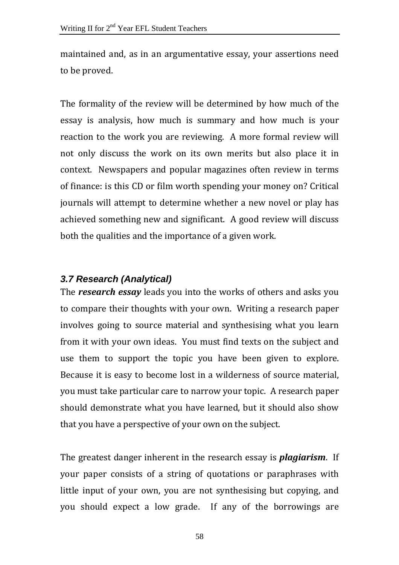maintained and, as in an argumentative essay, your assertions need to be proved.

The formality of the review will be determined by how much of the essay is analysis, how much is summary and how much is your reaction to the work you are reviewing. A more formal review will not only discuss the work on its own merits but also place it in context. Newspapers and popular magazines often review in terms of finance: is this CD or film worth spending your money on? Critical journals will attempt to determine whether a new novel or play has achieved something new and significant. A good review will discuss both the qualities and the importance of a given work.

# **3.7 Research (Analytical)**

The *research essay* leads you into the works of others and asks you to compare their thoughts with your own. Writing a research paper involves going to source material and synthesising what you learn from it with your own ideas. You must find texts on the subject and use them to support the topic you have been given to explore. Because it is easy to become lost in a wilderness of source material, you must take particular care to narrow your topic. A research paper should demonstrate what you have learned, but it should also show that you have a perspective of your own on the subject.

The greatest danger inherent in the research essay is *plagiarism*. If your paper consists of a string of quotations or paraphrases with little input of your own, you are not synthesising but copying, and you should expect a low grade. If any of the borrowings are

58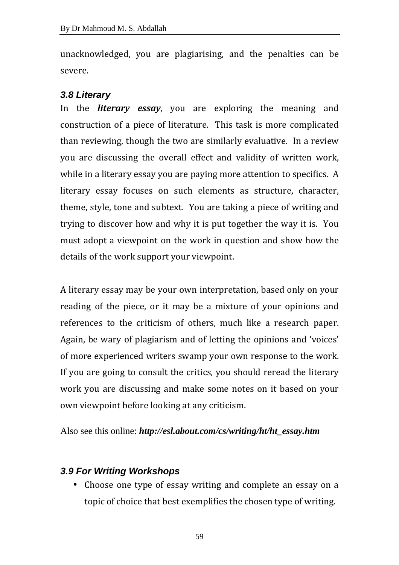unacknowledged, you are plagiarising, and the penalties can be severe.

### **3.8 Literary**

In the *literary essay*, you are exploring the meaning and construction of a piece of literature. This task is more complicated than reviewing, though the two are similarly evaluative. In a review you are discussing the overall effect and validity of written work, while in a literary essay you are paying more attention to specifics. A literary essay focuses on such elements as structure, character, theme, style, tone and subtext. You are taking a piece of writing and trying to discover how and why it is put together the way it is. You must adopt a viewpoint on the work in question and show how the details of the work support your viewpoint.

A literary essay may be your own interpretation, based only on your reading of the piece, or it may be a mixture of your opinions and references to the criticism of others, much like a research paper. Again, be wary of plagiarism and of letting the opinions and 'voices' of more experienced writers swamp your own response to the work. If you are going to consult the critics, you should reread the literary work you are discussing and make some notes on it based on your own viewpoint before looking at any criticism.

Also see this online: *http://esl.about.com/cs/writing/ht/ht\_essay.htm*

## **3.9 For Writing Workshops**

• Choose one type of essay writing and complete an essay on a topic of choice that best exemplifies the chosen type of writing.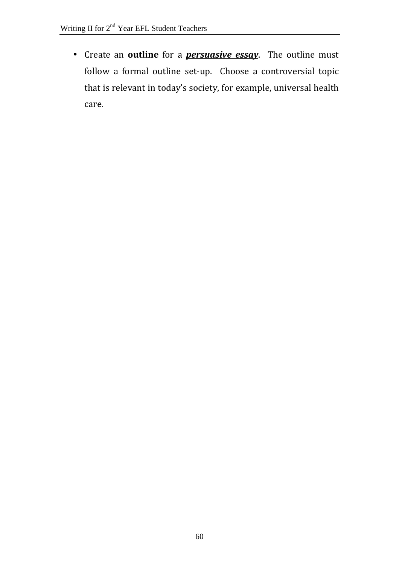• Create an **outline** for a *persuasive essay*. The outline must follow a formal outline set-up. Choose a controversial topic that is relevant in today's society, for example, universal health care.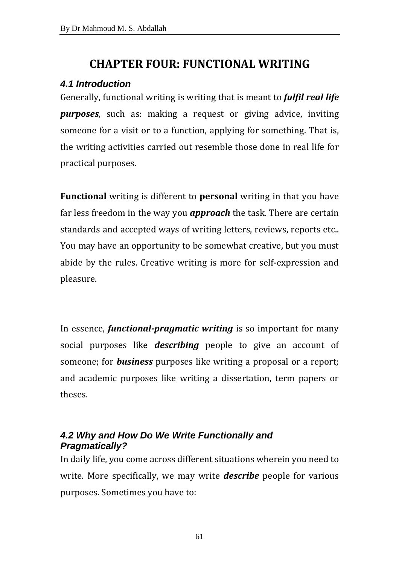# **CHAPTER FOUR: FUNCTIONAL WRITING**

### **4.1 Introduction**

Generally, functional writing is writing that is meant to *fulfil real life purposes*, such as: making a request or giving advice, inviting someone for a visit or to a function, applying for something. That is, the writing activities carried out resemble those done in real life for practical purposes.

**Functional** writing is different to **personal** writing in that you have far less freedom in the way you *approach* the task. There are certain standards and accepted ways of writing letters, reviews, reports etc.. You may have an opportunity to be somewhat creative, but you must abide by the rules. Creative writing is more for self-expression and pleasure.

In essence, *functional-pragmatic writing* is so important for many social purposes like *describing* people to give an account of someone; for *business* purposes like writing a proposal or a report; and academic purposes like writing a dissertation, term papers or theses.

## **4.2 Why and How Do We Write Functionally and Pragmatically?**

In daily life, you come across different situations wherein you need to write. More specifically, we may write *describe* people for various purposes. Sometimes you have to: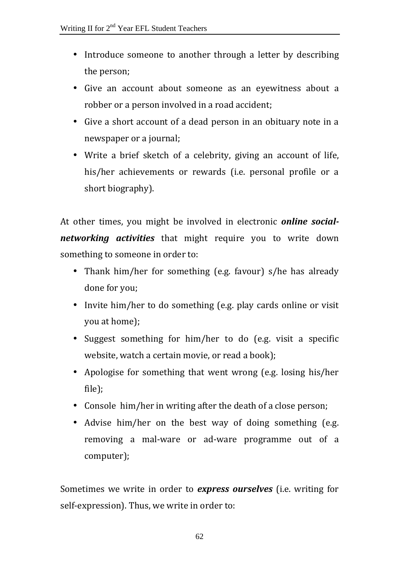- Introduce someone to another through a letter by describing the person;
- Give an account about someone as an eyewitness about a robber or a person involved in a road accident;
- Give a short account of a dead person in an obituary note in a newspaper or a journal;
- Write a brief sketch of a celebrity, giving an account of life, his/her achievements or rewards (i.e. personal profile or a short biography).

At other times, you might be involved in electronic *online socialnetworking activities* that might require you to write down something to someone in order to:

- Thank him/her for something (e.g. favour) s/he has already done for you;
- Invite him/her to do something (e.g. play cards online or visit you at home);
- Suggest something for him/her to do (e.g. visit a specific website, watch a certain movie, or read a book);
- Apologise for something that went wrong (e.g. losing his/her file);
- Console him/her in writing after the death of a close person;
- Advise him/her on the best way of doing something (e.g. removing a mal-ware or ad-ware programme out of a computer);

Sometimes we write in order to *express ourselves* (i.e. writing for self-expression). Thus, we write in order to: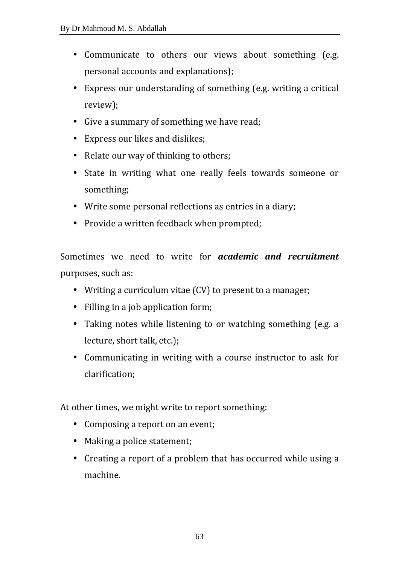- Communicate to others our views about something (e.g. personal accounts and explanations);
- Express our understanding of something (e.g. writing a critical review);
- Give a summary of something we have read;
- Express our likes and dislikes;
- Relate our way of thinking to others;
- State in writing what one really feels towards someone or something;
- Write some personal reflections as entries in a diary;
- Provide a written feedback when prompted;

Sometimes we need to write for *academic and recruitment* purposes, such as:

- Writing a curriculum vitae (CV) to present to a manager;
- Filling in a job application form;
- Taking notes while listening to or watching something (e.g. a lecture, short talk, etc.);
- Communicating in writing with a course instructor to ask for clarification;

At other times, we might write to report something:

- Composing a report on an event;
- Making a police statement;
- Creating a report of a problem that has occurred while using a machine.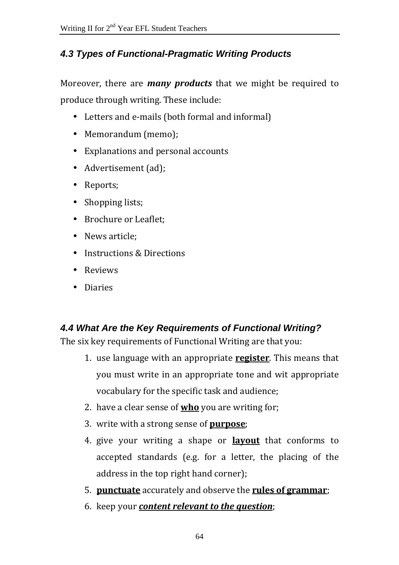# **4.3 Types of Functional-Pragmatic Writing Products**

Moreover, there are *many products* that we might be required to produce through writing. These include:

- Letters and e-mails (both formal and informal)
- Memorandum (memo);
- Explanations and personal accounts
- Advertisement (ad);
- Reports;
- Shopping lists;
- Brochure or Leaflet;
- News article:
- Instructions & Directions
- Reviews
- Diaries

# **4.4 What Are the Key Requirements of Functional Writing?**

The six key requirements of Functional Writing are that you:

- 1. use language with an appropriate **register**. This means that you must write in an appropriate tone and wit appropriate vocabulary for the specific task and audience;
- 2. have a clear sense of **who** you are writing for;
- 3. write with a strong sense of **purpose**;
- 4. give your writing a shape or **layout** that conforms to accepted standards (e.g. for a letter, the placing of the address in the top right hand corner);
- 5. **punctuate** accurately and observe the **rules of grammar**;
- 6. keep your *content relevant to the question*;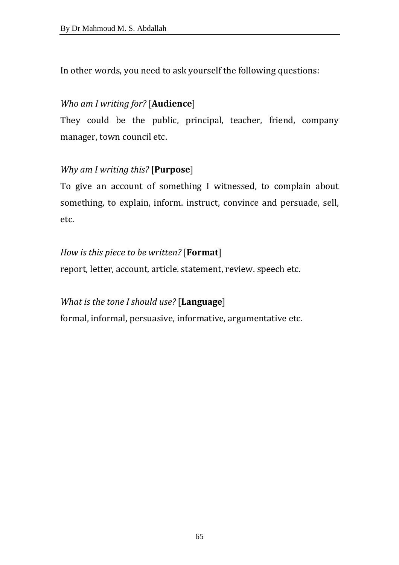In other words, you need to ask yourself the following questions:

## *Who am I writing for?* [**Audience**]

They could be the public, principal, teacher, friend, company manager, town council etc.

## *Why am I writing this?* [**Purpose**]

To give an account of something I witnessed, to complain about something, to explain, inform. instruct, convince and persuade, sell, etc.

## *How is this piece to be written?* [**Format**]

report, letter, account, article. statement, review. speech etc.

## *What is the tone I should use?* [**Language**]

formal, informal, persuasive, informative, argumentative etc.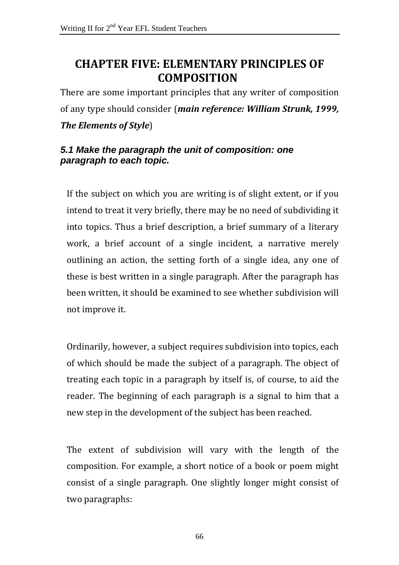# **CHAPTER FIVE: ELEMENTARY PRINCIPLES OF COMPOSITION**

There are some important principles that any writer of composition of any type should consider (*main reference: William Strunk, 1999, The Elements of Style*)

## **5.1 Make the paragraph the unit of composition: one paragraph to each topic.**

If the subject on which you are writing is of slight extent, or if you intend to treat it very briefly, there may be no need of subdividing it into topics. Thus a brief description, a brief summary of a literary work, a brief account of a single incident, a narrative merely outlining an action, the setting forth of a single idea, any one of these is best written in a single paragraph. After the paragraph has been written, it should be examined to see whether subdivision will not improve it.

Ordinarily, however, a subject requires subdivision into topics, each of which should be made the subject of a paragraph. The object of treating each topic in a paragraph by itself is, of course, to aid the reader. The beginning of each paragraph is a signal to him that a new step in the development of the subject has been reached.

The extent of subdivision will vary with the length of the composition. For example, a short notice of a book or poem might consist of a single paragraph. One slightly longer might consist of two paragraphs: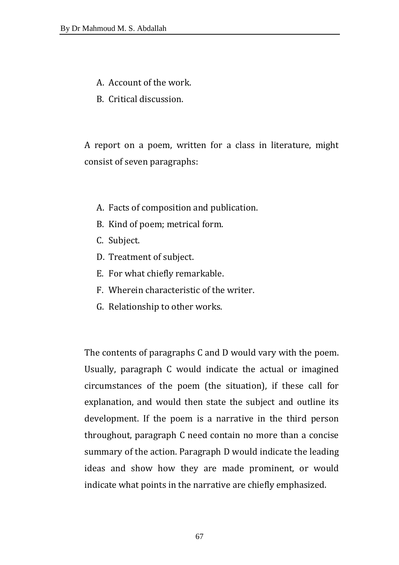- A. Account of the work.
- B. Critical discussion.

A report on a poem, written for a class in literature, might consist of seven paragraphs:

- A. Facts of composition and publication.
- B. Kind of poem; metrical form.
- C. Subject.
- D. Treatment of subject.
- E. For what chiefly remarkable.
- F. Wherein characteristic of the writer.
- G. Relationship to other works.

The contents of paragraphs C and D would vary with the poem. Usually, paragraph C would indicate the actual or imagined circumstances of the poem (the situation), if these call for explanation, and would then state the subject and outline its development. If the poem is a narrative in the third person throughout, paragraph C need contain no more than a concise summary of the action. Paragraph D would indicate the leading ideas and show how they are made prominent, or would indicate what points in the narrative are chiefly emphasized.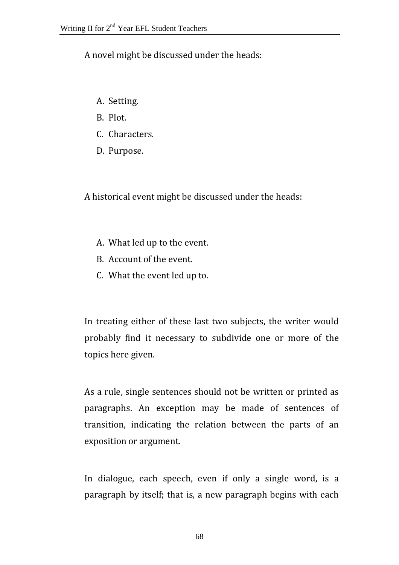A novel might be discussed under the heads:

- A. Setting.
- B. Plot.
- C. Characters.
- D. Purpose.

A historical event might be discussed under the heads:

- A. What led up to the event.
- B. Account of the event.
- C. What the event led up to.

In treating either of these last two subjects, the writer would probably find it necessary to subdivide one or more of the topics here given.

As a rule, single sentences should not be written or printed as paragraphs. An exception may be made of sentences of transition, indicating the relation between the parts of an exposition or argument.

In dialogue, each speech, even if only a single word, is a paragraph by itself; that is, a new paragraph begins with each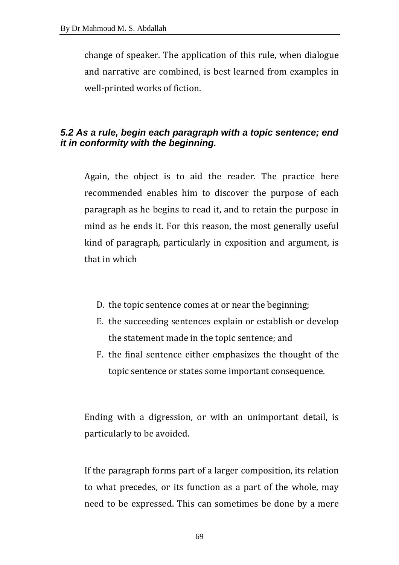change of speaker. The application of this rule, when dialogue and narrative are combined, is best learned from examples in well-printed works of fiction.

## **5.2 As a rule, begin each paragraph with a topic sentence; end it in conformity with the beginning.**

Again, the object is to aid the reader. The practice here recommended enables him to discover the purpose of each paragraph as he begins to read it, and to retain the purpose in mind as he ends it. For this reason, the most generally useful kind of paragraph, particularly in exposition and argument, is that in which

- D. the topic sentence comes at or near the beginning;
- E. the succeeding sentences explain or establish or develop the statement made in the topic sentence; and
- F. the final sentence either emphasizes the thought of the topic sentence or states some important consequence.

Ending with a digression, or with an unimportant detail, is particularly to be avoided.

If the paragraph forms part of a larger composition, its relation to what precedes, or its function as a part of the whole, may need to be expressed. This can sometimes be done by a mere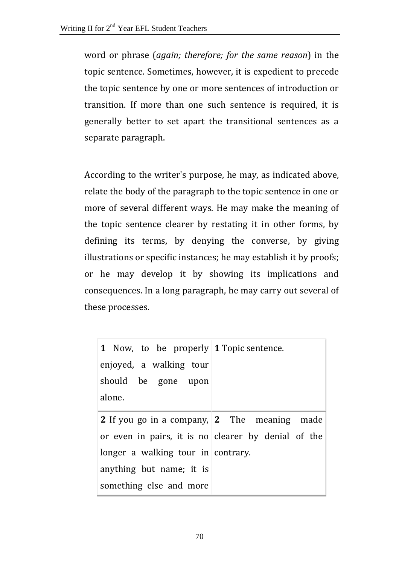word or phrase (*again; therefore; for the same reason*) in the topic sentence. Sometimes, however, it is expedient to precede the topic sentence by one or more sentences of introduction or transition. If more than one such sentence is required, it is generally better to set apart the transitional sentences as a separate paragraph.

According to the writer's purpose, he may, as indicated above, relate the body of the paragraph to the topic sentence in one or more of several different ways. He may make the meaning of the topic sentence clearer by restating it in other forms, by defining its terms, by denying the converse, by giving illustrations or specific instances; he may establish it by proofs; or he may develop it by showing its implications and consequences. In a long paragraph, he may carry out several of these processes.

| 1 Now, to be properly 1 Topic sentence. |                                                     |
|-----------------------------------------|-----------------------------------------------------|
| enjoyed, a walking tour                 |                                                     |
| should be gone upon                     |                                                     |
| alone.                                  |                                                     |
|                                         | 2 If you go in a company, $ 2$ The meaning made     |
|                                         | or even in pairs, it is no clearer by denial of the |
| longer a walking tour in contrary.      |                                                     |
| anything but name; it is                |                                                     |
| something else and more                 |                                                     |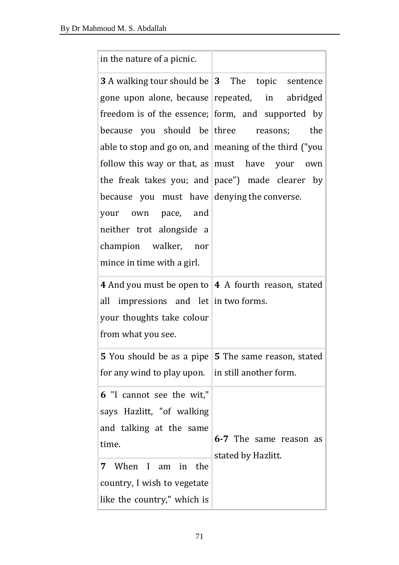| in the nature of a picnic.                                |                                                                   |
|-----------------------------------------------------------|-------------------------------------------------------------------|
| <b>3</b> A walking tour should be $ 3$ The topic sentence |                                                                   |
| gone upon alone, because repeated, in abridged            |                                                                   |
|                                                           | freedom is of the essence; form, and supported by                 |
| because you should be three reasons;                      | the                                                               |
|                                                           | able to stop and go on, and meaning of the third ("you            |
| follow this way or that, as $\vert$ must have             | your own                                                          |
|                                                           | the freak takes you; and $\vert$ pace") made clearer by           |
| because you must have denying the converse.               |                                                                   |
| your own pace, and                                        |                                                                   |
| neither trot alongside a                                  |                                                                   |
| champion walker, nor                                      |                                                                   |
| mince in time with a girl.                                |                                                                   |
|                                                           | 4 And you must be open to $\vert$ 4 A fourth reason, stated       |
| all impressions and $let$ in two forms.                   |                                                                   |
| your thoughts take colour                                 |                                                                   |
| from what you see.                                        |                                                                   |
|                                                           | <b>5</b> You should be as a pipe <b>5</b> The same reason, stated |
| for any wind to play upon. $\parallel$                    | in still another form.                                            |
| 6 "I cannot see the wit,"                                 |                                                                   |
| says Hazlitt, "of walking                                 |                                                                   |
| and talking at the same                                   |                                                                   |
| time.                                                     | 6-7 The same reason as                                            |
| 7 When I am in the                                        | stated by Hazlitt.                                                |
| country, I wish to vegetate                               |                                                                   |
| like the country," which is                               |                                                                   |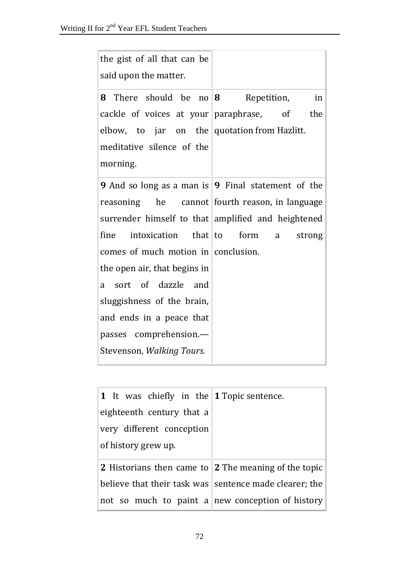| the gist of all that can be<br>said upon the matter. |                                                                  |
|------------------------------------------------------|------------------------------------------------------------------|
| <b>8</b> There should be no <b>8</b>                 | Repetition,<br>in                                                |
|                                                      | cackle of voices at your paraphrase, of the                      |
| elbow, to jar on the quotation from Hazlitt.         |                                                                  |
| meditative silence of the                            |                                                                  |
| morning.                                             |                                                                  |
|                                                      | <b>9</b> And so long as a man is <b>9</b> Final statement of the |
|                                                      | reasoning he cannot fourth reason, in language                   |
|                                                      | surrender himself to that amplified and heightened               |
| fine intoxication that to form                       | a<br>strong                                                      |
| comes of much motion in conclusion.                  |                                                                  |
| the open air, that begins in                         |                                                                  |
| sort of dazzle and<br>a a                            |                                                                  |
| sluggishness of the brain,                           |                                                                  |
| and ends in a peace that                             |                                                                  |
| passes comprehension.-                               |                                                                  |
| Stevenson, Walking Tours.                            |                                                                  |

| 1 It was chiefly in the 1 Topic sentence. |                                                        |
|-------------------------------------------|--------------------------------------------------------|
| eighteenth century that a                 |                                                        |
| very different conception                 |                                                        |
| of history grew up.                       |                                                        |
|                                           | 2 Historians then came to 2 The meaning of the topic   |
|                                           | believe that their task was sentence made clearer; the |
|                                           | not so much to paint a new conception of history       |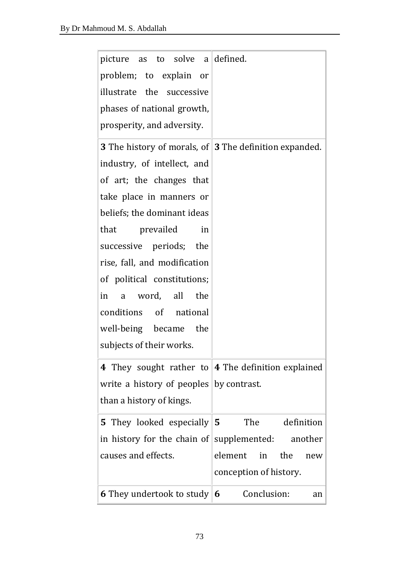| picture as to solve a defined.                   |                                                                  |  |  |
|--------------------------------------------------|------------------------------------------------------------------|--|--|
| problem; to explain or                           |                                                                  |  |  |
| illustrate the successive                        |                                                                  |  |  |
| phases of national growth,                       |                                                                  |  |  |
| prosperity, and adversity.                       |                                                                  |  |  |
|                                                  | <b>3</b> The history of morals, of $ 3$ The definition expanded. |  |  |
| industry, of intellect, and                      |                                                                  |  |  |
| of art; the changes that                         |                                                                  |  |  |
| take place in manners or                         |                                                                  |  |  |
| beliefs; the dominant ideas                      |                                                                  |  |  |
| that<br>prevailed<br><i>in</i>                   |                                                                  |  |  |
| successive periods; the                          |                                                                  |  |  |
| rise, fall, and modification                     |                                                                  |  |  |
| of political constitutions;                      |                                                                  |  |  |
| a word, all<br>the<br>in                         |                                                                  |  |  |
| conditions of national                           |                                                                  |  |  |
| well-being became the                            |                                                                  |  |  |
| subjects of their works.                         |                                                                  |  |  |
|                                                  | 4 They sought rather to $ 4$ The definition explained            |  |  |
| write a history of peoples                       | by contrast.                                                     |  |  |
| than a history of kings.                         |                                                                  |  |  |
| <b>5</b> They looked especially                  | The definition<br>$5^{\circ}$                                    |  |  |
| in history for the chain of                      | supplemented: another                                            |  |  |
| causes and effects.                              | element in the<br>new                                            |  |  |
|                                                  | conception of history.                                           |  |  |
| <b>6</b> They undertook to study $\vert 6 \vert$ | Conclusion:<br>an                                                |  |  |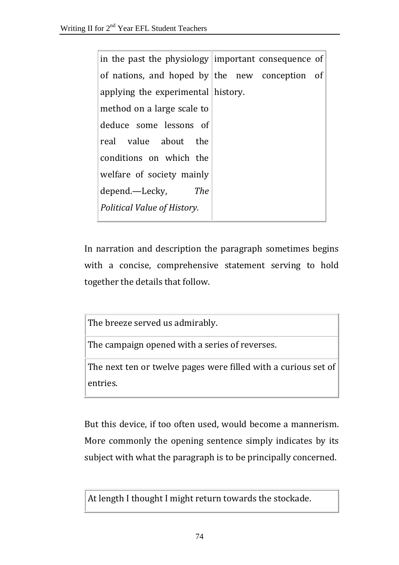|                                    | in the past the physiology important consequence of |
|------------------------------------|-----------------------------------------------------|
|                                    | of nations, and hoped by the new conception of      |
| applying the experimental history. |                                                     |
| method on a large scale to         |                                                     |
| deduce some lessons of             |                                                     |
| real value about the               |                                                     |
| conditions on which the            |                                                     |
| welfare of society mainly          |                                                     |
| depend.—Lecky, The                 |                                                     |
| Political Value of History.        |                                                     |
|                                    |                                                     |

In narration and description the paragraph sometimes begins with a concise, comprehensive statement serving to hold together the details that follow.

The breeze served us admirably.

The campaign opened with a series of reverses.

The next ten or twelve pages were filled with a curious set of entries.

But this device, if too often used, would become a mannerism. More commonly the opening sentence simply indicates by its subject with what the paragraph is to be principally concerned.

At length I thought I might return towards the stockade.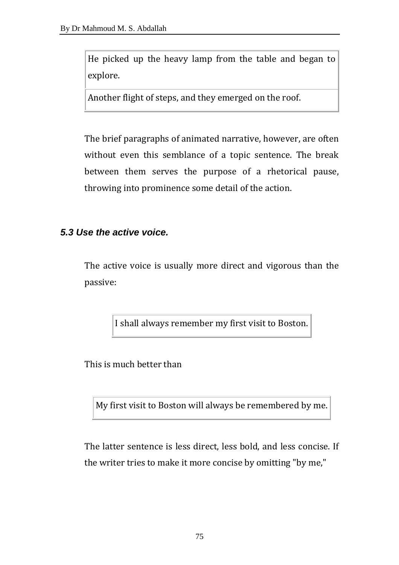He picked up the heavy lamp from the table and began to explore.

Another flight of steps, and they emerged on the roof.

The brief paragraphs of animated narrative, however, are often without even this semblance of a topic sentence. The break between them serves the purpose of a rhetorical pause, throwing into prominence some detail of the action.

# **5.3 Use the active voice.**

The active voice is usually more direct and vigorous than the passive:

I shall always remember my first visit to Boston.

This is much better than

My first visit to Boston will always be remembered by me.

The latter sentence is less direct, less bold, and less concise. If the writer tries to make it more concise by omitting "by me,"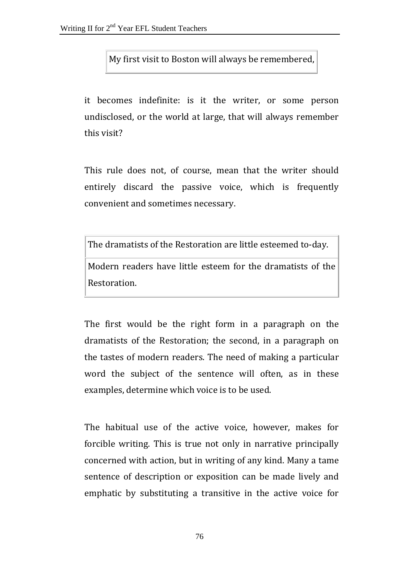# My first visit to Boston will always be remembered,

it becomes indefinite: is it the writer, or some person undisclosed, or the world at large, that will always remember this visit?

This rule does not, of course, mean that the writer should entirely discard the passive voice, which is frequently convenient and sometimes necessary.

The dramatists of the Restoration are little esteemed to-day.

Modern readers have little esteem for the dramatists of the Restoration.

The first would be the right form in a paragraph on the dramatists of the Restoration; the second, in a paragraph on the tastes of modern readers. The need of making a particular word the subject of the sentence will often, as in these examples, determine which voice is to be used.

The habitual use of the active voice, however, makes for forcible writing. This is true not only in narrative principally concerned with action, but in writing of any kind. Many a tame sentence of description or exposition can be made lively and emphatic by substituting a transitive in the active voice for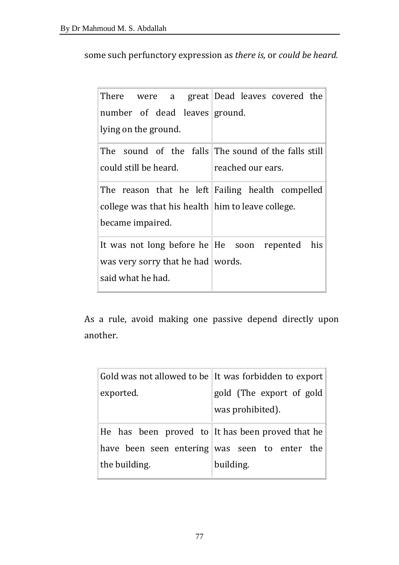some such perfunctory expression as *there is,* or *could be heard.*

|                                                           | There were a great Dead leaves covered the          |  |  |  |
|-----------------------------------------------------------|-----------------------------------------------------|--|--|--|
| number of dead leaves ground.                             |                                                     |  |  |  |
| lying on the ground.                                      |                                                     |  |  |  |
|                                                           | The sound of the falls The sound of the falls still |  |  |  |
| could still be heard.                                     | $\parallel$ reached our ears.                       |  |  |  |
| The reason that he left Failing health compelled          |                                                     |  |  |  |
| college was that his health $\vert$ him to leave college. |                                                     |  |  |  |
| became impaired.                                          |                                                     |  |  |  |
|                                                           | It was not long before he $ He$ soon repented his   |  |  |  |
| was very sorry that he had words.                         |                                                     |  |  |  |
| said what he had.                                         |                                                     |  |  |  |

As a rule, avoid making one passive depend directly upon another.

|                                                  | Gold was not allowed to be It was forbidden to export |
|--------------------------------------------------|-------------------------------------------------------|
| exported.                                        | gold (The export of gold)                             |
|                                                  | was prohibited).                                      |
| He has been proved to It has been proved that he |                                                       |
| have been seen entering was seen to enter the    |                                                       |
| the building.                                    | building.                                             |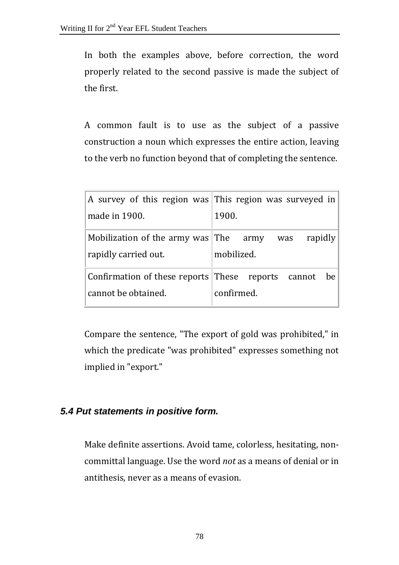In both the examples above, before correction, the word properly related to the second passive is made the subject of the first.

A common fault is to use as the subject of a passive construction a noun which expresses the entire action, leaving to the verb no function beyond that of completing the sentence.

|                                           | A survey of this region was This region was surveyed in |
|-------------------------------------------|---------------------------------------------------------|
| made in 1900.                             | 1900.                                                   |
| Mobilization of the army was The army was | rapidly                                                 |
| rapidly carried out.                      | mobilized.                                              |
|                                           | Confirmation of these reports These reports cannot be   |
| cannot be obtained.                       | confirmed.                                              |

Compare the sentence, "The export of gold was prohibited," in which the predicate "was prohibited" expresses something not implied in "export."

# **5.4 Put statements in positive form.**

Make definite assertions. Avoid tame, colorless, hesitating, noncommittal language. Use the word *not* as a means of denial or in antithesis, never as a means of evasion.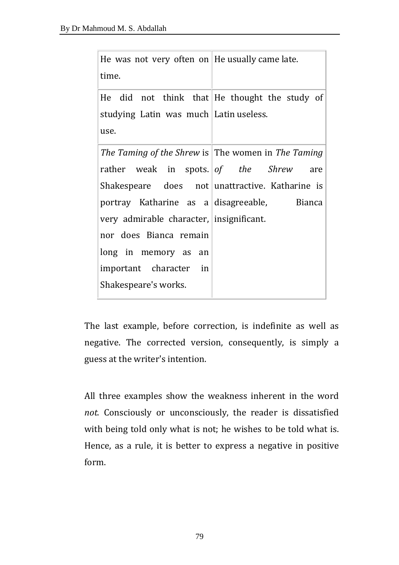| He was not very often on He usually came late. |                                                    |  |  |  |  |
|------------------------------------------------|----------------------------------------------------|--|--|--|--|
| time.                                          |                                                    |  |  |  |  |
|                                                | He did not think that $\ $ He thought the study of |  |  |  |  |
| studying Latin was much Latin useless.         |                                                    |  |  |  |  |
| use.                                           |                                                    |  |  |  |  |
|                                                | The Taming of the Shrew is The women in The Taming |  |  |  |  |
|                                                | rather weak in spots. $\log$ the Shrew are         |  |  |  |  |
|                                                | Shakespeare does not unattractive. Katharine is    |  |  |  |  |
|                                                | portray Katharine as a disagreeable, Bianca        |  |  |  |  |
| very admirable character, insignificant.       |                                                    |  |  |  |  |
| nor does Bianca remain                         |                                                    |  |  |  |  |
| long in memory as an                           |                                                    |  |  |  |  |
| important character in                         |                                                    |  |  |  |  |
| Shakespeare's works.                           |                                                    |  |  |  |  |

The last example, before correction, is indefinite as well as negative. The corrected version, consequently, is simply a guess at the writer's intention.

All three examples show the weakness inherent in the word *not.* Consciously or unconsciously, the reader is dissatisfied with being told only what is not; he wishes to be told what is. Hence, as a rule, it is better to express a negative in positive form.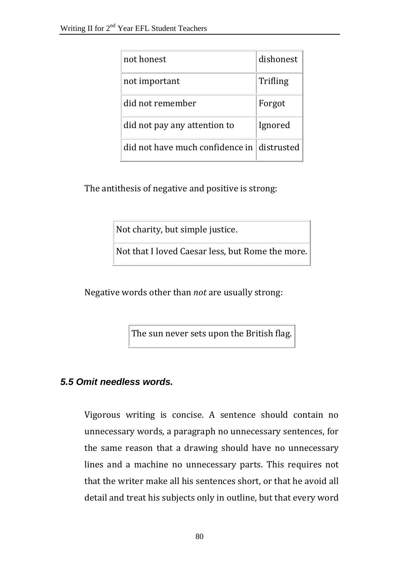| not honest                                 | dishonest |
|--------------------------------------------|-----------|
| not important                              | Trifling  |
| did not remember                           | Forgot    |
| did not pay any attention to               | Ignored   |
| did not have much confidence in distrusted |           |

The antithesis of negative and positive is strong:

Not charity, but simple justice.

Not that I loved Caesar less, but Rome the more.

Negative words other than *not* are usually strong:

The sun never sets upon the British flag.

# **5.5 Omit needless words.**

Vigorous writing is concise. A sentence should contain no unnecessary words, a paragraph no unnecessary sentences, for the same reason that a drawing should have no unnecessary lines and a machine no unnecessary parts. This requires not that the writer make all his sentences short, or that he avoid all detail and treat his subjects only in outline, but that every word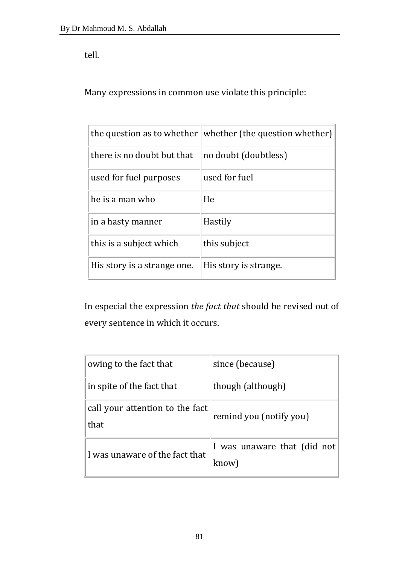tell.

Many expressions in common use violate this principle:

|                             | the question as to whether whether (the question whether) |
|-----------------------------|-----------------------------------------------------------|
| there is no doubt but that  | no doubt (doubtless)                                      |
| used for fuel purposes      | used for fuel                                             |
| he is a man who             | He                                                        |
| in a hasty manner           | Hastily                                                   |
| this is a subject which     | this subject                                              |
| His story is a strange one. | His story is strange.                                     |

In especial the expression *the fact that* should be revised out of every sentence in which it occurs.

| owing to the fact that                  | since (because)                      |
|-----------------------------------------|--------------------------------------|
| in spite of the fact that               | though (although)                    |
| call your attention to the fact<br>that | remind you (notify you)              |
| I was unaware of the fact that          | I was unaware that (did not<br>know) |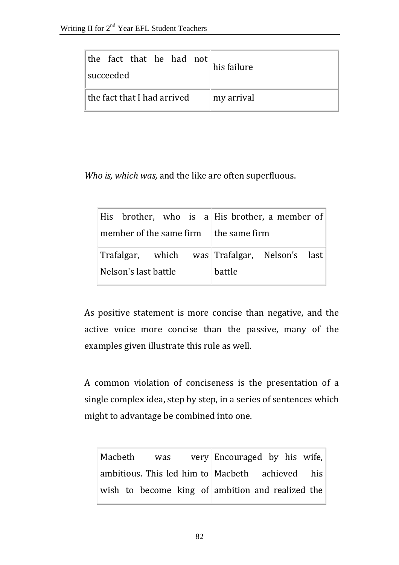| the fact that he had not<br><i>succeeded</i> | his failure |
|----------------------------------------------|-------------|
| the fact that I had arrived                  | my arrival  |

*Who is, which was,* and the like are often superfluous.

|                                                         |  |  |  |        | His brother, who is a His brother, a member of |  |  |  |  |  |
|---------------------------------------------------------|--|--|--|--------|------------------------------------------------|--|--|--|--|--|
| $\lceil$ member of the same firm $\lceil$ the same firm |  |  |  |        |                                                |  |  |  |  |  |
|                                                         |  |  |  |        | Trafalgar, which was Trafalgar, Nelson's last  |  |  |  |  |  |
| Nelson's last battle                                    |  |  |  | battle |                                                |  |  |  |  |  |

As positive statement is more concise than negative, and the active voice more concise than the passive, many of the examples given illustrate this rule as well.

A common violation of conciseness is the presentation of a single complex idea, step by step, in a series of sentences which might to advantage be combined into one.

|  |  |  | Macbeth was very Encouraged by his wife,         |  |  |
|--|--|--|--------------------------------------------------|--|--|
|  |  |  | ambitious. This led him to Macbeth achieved his  |  |  |
|  |  |  | wish to become king of ambition and realized the |  |  |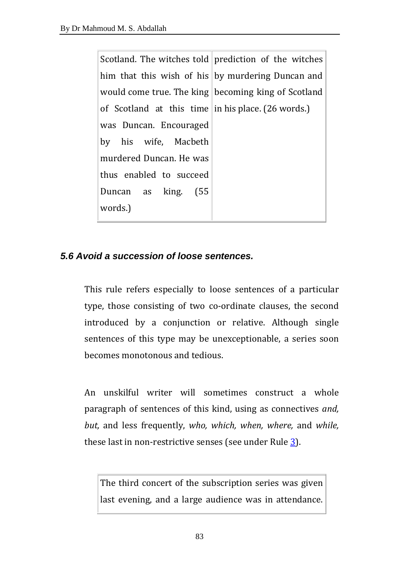|                                                              | Scotland. The witches told prediction of the witches |
|--------------------------------------------------------------|------------------------------------------------------|
|                                                              | him that this wish of his by murdering Duncan and    |
|                                                              | would come true. The king becoming king of Scotland  |
| of Scotland at this time in his place. $(26 \text{ words.})$ |                                                      |
| was Duncan. Encouraged                                       |                                                      |
| by his wife, Macbeth                                         |                                                      |
| murdered Duncan. He was                                      |                                                      |
| thus enabled to succeed                                      |                                                      |
| Duncan as king. (55                                          |                                                      |
| words.)                                                      |                                                      |

## **5.6 Avoid a succession of loose sentences.**

This rule refers especially to loose sentences of a particular type, those consisting of two co-ordinate clauses, the second introduced by a conjunction or relative. Although single sentences of this type may be unexceptionable, a series soon becomes monotonous and tedious.

An unskilful writer will sometimes construct a whole paragraph of sentences of this kind, using as connectives *and, but,* and less frequently, *who, which, when, where,* and *while,* these last in non-restrictive senses (see under Rule  $\frac{3}{2}$ ).

The third concert of the subscription series was given last evening, and a large audience was in attendance.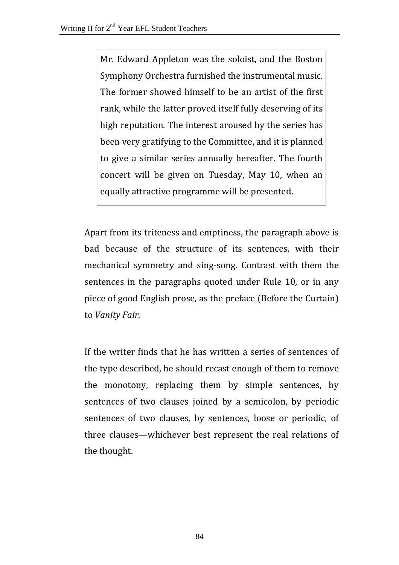Mr. Edward Appleton was the soloist, and the Boston Symphony Orchestra furnished the instrumental music. The former showed himself to be an artist of the first rank, while the latter proved itself fully deserving of its high reputation. The interest aroused by the series has been very gratifying to the Committee, and it is planned to give a similar series annually hereafter. The fourth concert will be given on Tuesday, May 10, when an equally attractive programme will be presented.

Apart from its triteness and emptiness, the paragraph above is bad because of the structure of its sentences, with their mechanical symmetry and sing-song. Contrast with them the sentences in the paragraphs quoted under Rule 10, or in any piece of good English prose, as the preface (Before the Curtain) to *Vanity Fair.*

If the writer finds that he has written a series of sentences of the type described, he should recast enough of them to remove the monotony, replacing them by simple sentences, by sentences of two clauses joined by a semicolon, by periodic sentences of two clauses, by sentences, loose or periodic, of three clauses—whichever best represent the real relations of the thought.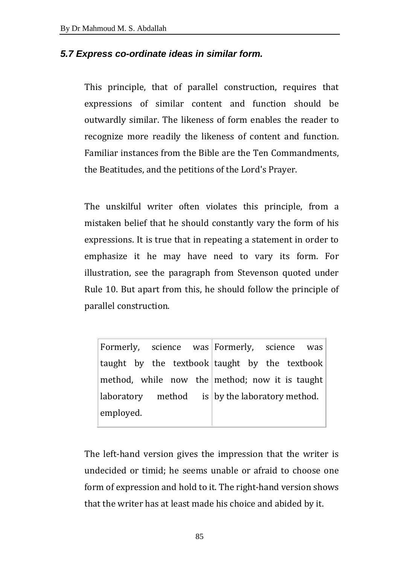## **5.7 Express co-ordinate ideas in similar form.**

This principle, that of parallel construction, requires that expressions of similar content and function should be outwardly similar. The likeness of form enables the reader to recognize more readily the likeness of content and function. Familiar instances from the Bible are the Ten Commandments, the Beatitudes, and the petitions of the Lord's Prayer.

The unskilful writer often violates this principle, from a mistaken belief that he should constantly vary the form of his expressions. It is true that in repeating a statement in order to emphasize it he may have need to vary its form. For illustration, see the paragraph from Stevenson quoted under Rule 10. But apart from this, he should follow the principle of parallel construction.

Formerly, science taught by the textbook taught by the textbook method, while now the method; now it is taught laboratory method employed. Formerly, science was is  $\vert$  by the laboratory method.

The left-hand version gives the impression that the writer is undecided or timid; he seems unable or afraid to choose one form of expression and hold to it. The right-hand version shows that the writer has at least made his choice and abided by it.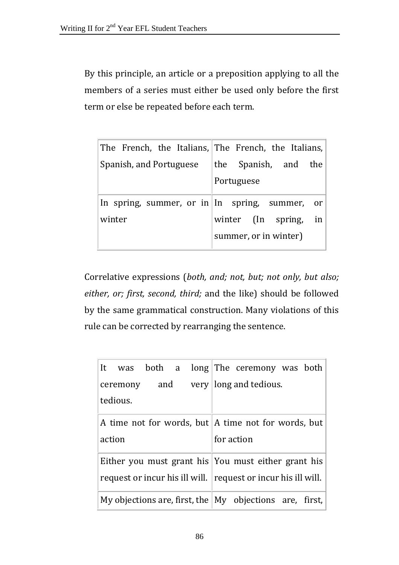By this principle, an article or a preposition applying to all the members of a series must either be used only before the first term or else be repeated before each term.

|                         | The French, the Italians, The French, the Italians, |
|-------------------------|-----------------------------------------------------|
| Spanish, and Portuguese | the Spanish, and the                                |
|                         | Portuguese                                          |
|                         | In spring, summer, or in In spring, summer, or      |
| winter                  | winter (In spring,<br>in                            |
|                         | summer, or in winter)                               |

Correlative expressions (*both, and; not, but; not only, but also; either, or; first, second, third;* and the like) should be followed by the same grammatical construction. Many violations of this rule can be corrected by rearranging the sentence.

|        |          |  |  | It was both a long The ceremony was both                        |  |
|--------|----------|--|--|-----------------------------------------------------------------|--|
|        |          |  |  | $c$ ceremony and very long and tedious.                         |  |
|        | tedious. |  |  |                                                                 |  |
|        |          |  |  | A time not for words, but $ A $ time not for words, but         |  |
| action |          |  |  | for action                                                      |  |
|        |          |  |  | Either you must grant his You must either grant his             |  |
|        |          |  |  | request or incur his ill will.   request or incur his ill will. |  |
|        |          |  |  | My objections are, first, the $\vert$ My objections are, first, |  |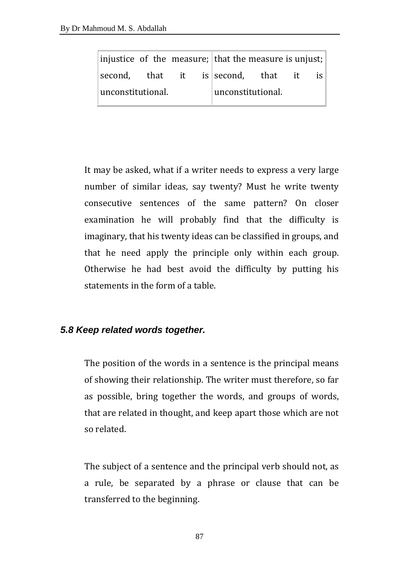|                   |  | injustice of the measure; that the measure is unjust; |  |                            |
|-------------------|--|-------------------------------------------------------|--|----------------------------|
|                   |  | second, that it is second, that it                    |  | $\overline{\mathbf{1}}$ is |
| unconstitutional. |  | unconstitutional.                                     |  |                            |

It may be asked, what if a writer needs to express a very large number of similar ideas, say twenty? Must he write twenty consecutive sentences of the same pattern? On closer examination he will probably find that the difficulty is imaginary, that his twenty ideas can be classified in groups, and that he need apply the principle only within each group. Otherwise he had best avoid the difficulty by putting his statements in the form of a table.

### **5.8 Keep related words together.**

The position of the words in a sentence is the principal means of showing their relationship. The writer must therefore, so far as possible, bring together the words, and groups of words, that are related in thought, and keep apart those which are not so related.

The subject of a sentence and the principal verb should not, as a rule, be separated by a phrase or clause that can be transferred to the beginning.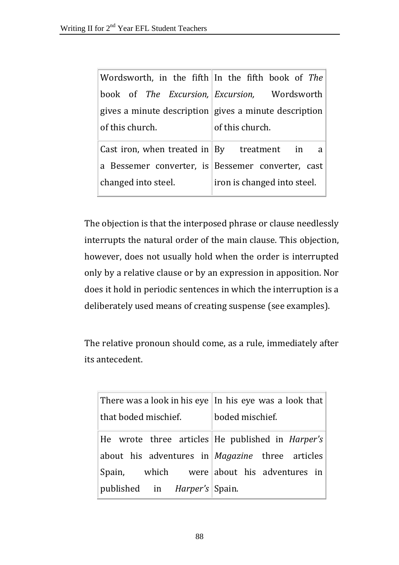|                     | Wordsworth, in the fifth In the fifth book of The     |
|---------------------|-------------------------------------------------------|
|                     | book of The Excursion, Excursion, Wordsworth          |
|                     | gives a minute description gives a minute description |
| of this church.     | of this church.                                       |
|                     | Cast iron, when treated in $\ $ By treatment in a     |
|                     | a Bessemer converter, is Bessemer converter, cast     |
| changed into steel. | iron is changed into steel.                           |
|                     |                                                       |

The objection is that the interposed phrase or clause needlessly interrupts the natural order of the main clause. This objection, however, does not usually hold when the order is interrupted only by a relative clause or by an expression in apposition. Nor does it hold in periodic sentences in which the interruption is a deliberately used means of creating suspense (see examples).

The relative pronoun should come, as a rule, immediately after its antecedent.

| There was a look in his eye In his eye was a look that |                                                         |  |  |
|--------------------------------------------------------|---------------------------------------------------------|--|--|
| that boded mischief.                                   | boded mischief.                                         |  |  |
|                                                        | He wrote three articles He published in <i>Harper's</i> |  |  |
|                                                        | about his adventures in <i>Magazine</i> three articles  |  |  |
|                                                        | Spain, which were about his adventures in               |  |  |
| published in <i>Harper's</i> Spain.                    |                                                         |  |  |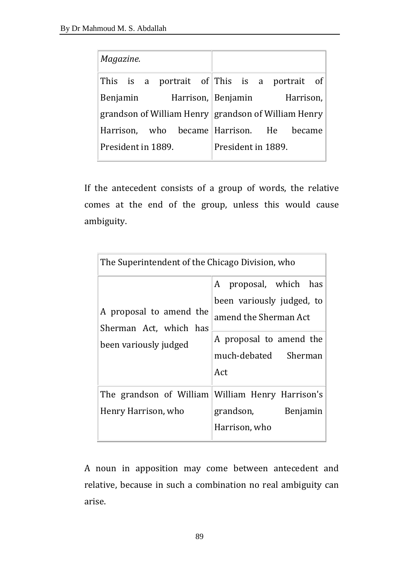| Magazine.                                                    |  |                    |  |  |  |
|--------------------------------------------------------------|--|--------------------|--|--|--|
| This is a portrait of This is a portrait of                  |  |                    |  |  |  |
| Benjamin Harrison, Benjamin Harrison,                        |  |                    |  |  |  |
| grandson of William Henry $\left $ grandson of William Henry |  |                    |  |  |  |
| Harrison, who became Harrison. He became                     |  |                    |  |  |  |
| President in 1889.                                           |  | President in 1889. |  |  |  |

If the antecedent consists of a group of words, the relative comes at the end of the group, unless this would cause ambiguity.

| The Superintendent of the Chicago Division, who                            |                                                                                                                                       |  |  |  |
|----------------------------------------------------------------------------|---------------------------------------------------------------------------------------------------------------------------------------|--|--|--|
| A proposal to amend the<br>Sherman Act, which has<br>been variously judged | A proposal, which has<br>been variously judged, to<br>amend the Sherman Act<br>A proposal to amend the<br>much-debated Sherman<br>Act |  |  |  |
| Henry Harrison, who                                                        | The grandson of William William Henry Harrison's<br>grandson,<br>Benjamin<br>Harrison, who                                            |  |  |  |

A noun in apposition may come between antecedent and relative, because in such a combination no real ambiguity can arise.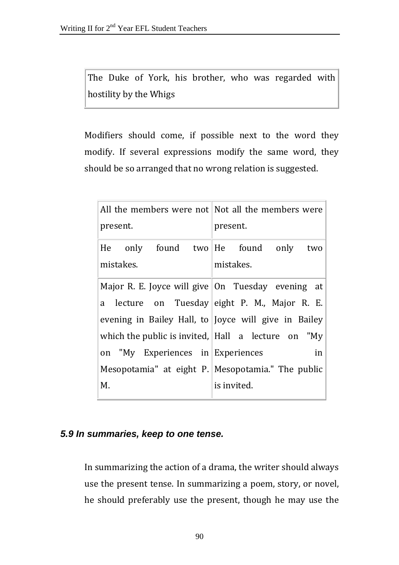The Duke of York, his brother, who was regarded with hostility by the Whigs

Modifiers should come, if possible next to the word they modify. If several expressions modify the same word, they should be so arranged that no wrong relation is suggested.

|                                    | All the members were not Not all the members were       |  |  |
|------------------------------------|---------------------------------------------------------|--|--|
| present.                           | present.                                                |  |  |
|                                    | He only found two He found only two                     |  |  |
| mistakes.                          | mistakes.                                               |  |  |
|                                    | Major R. E. Joyce will give $ 0n $ Tuesday evening at   |  |  |
|                                    | a lecture on Tuesday eight P. M., Major R. E.           |  |  |
|                                    | evening in Bailey Hall, to Joyce will give in Bailey    |  |  |
|                                    | which the public is invited, $\ $ Hall a lecture on "My |  |  |
| on "My Experiences in Experiences" | in                                                      |  |  |
|                                    | Mesopotamia" at eight P. Mesopotamia." The public       |  |  |
| M.                                 | is invited.                                             |  |  |

### **5.9 In summaries, keep to one tense.**

In summarizing the action of a drama, the writer should always use the present tense. In summarizing a poem, story, or novel, he should preferably use the present, though he may use the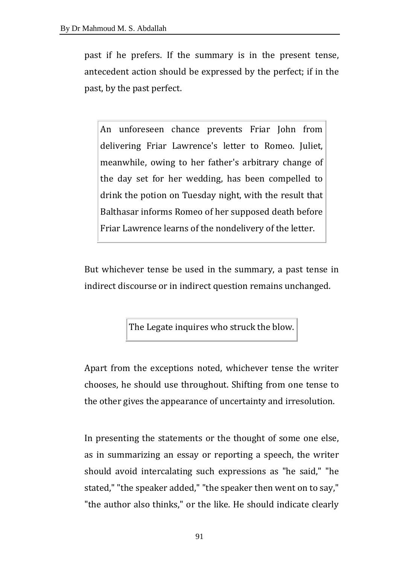past if he prefers. If the summary is in the present tense, antecedent action should be expressed by the perfect; if in the past, by the past perfect.

An unforeseen chance prevents Friar John from delivering Friar Lawrence's letter to Romeo. Juliet, meanwhile, owing to her father's arbitrary change of the day set for her wedding, has been compelled to drink the potion on Tuesday night, with the result that Balthasar informs Romeo of her supposed death before Friar Lawrence learns of the nondelivery of the letter.

But whichever tense be used in the summary, a past tense in indirect discourse or in indirect question remains unchanged.

The Legate inquires who struck the blow.

Apart from the exceptions noted, whichever tense the writer chooses, he should use throughout. Shifting from one tense to the other gives the appearance of uncertainty and irresolution.

In presenting the statements or the thought of some one else, as in summarizing an essay or reporting a speech, the writer should avoid intercalating such expressions as "he said," "he stated," "the speaker added," "the speaker then went on to say," "the author also thinks," or the like. He should indicate clearly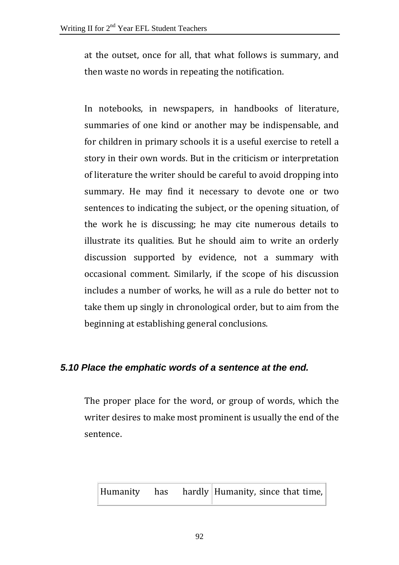at the outset, once for all, that what follows is summary, and then waste no words in repeating the notification.

In notebooks, in newspapers, in handbooks of literature, summaries of one kind or another may be indispensable, and for children in primary schools it is a useful exercise to retell a story in their own words. But in the criticism or interpretation of literature the writer should be careful to avoid dropping into summary. He may find it necessary to devote one or two sentences to indicating the subject, or the opening situation, of the work he is discussing; he may cite numerous details to illustrate its qualities. But he should aim to write an orderly discussion supported by evidence, not a summary with occasional comment. Similarly, if the scope of his discussion includes a number of works, he will as a rule do better not to take them up singly in chronological order, but to aim from the beginning at establishing general conclusions.

## **5.10 Place the emphatic words of a sentence at the end.**

The proper place for the word, or group of words, which the writer desires to make most prominent is usually the end of the sentence.

|--|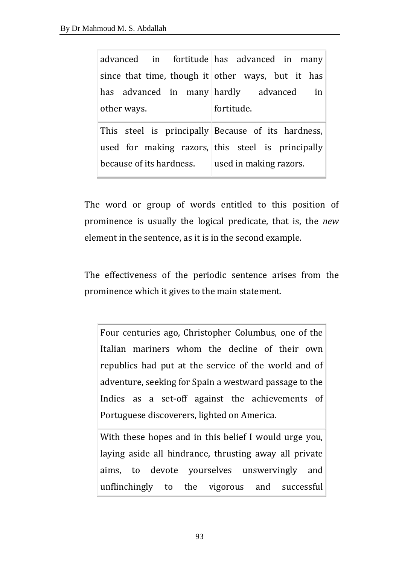| advanced in fortitude has advanced in many                       |            |
|------------------------------------------------------------------|------------|
| since that time, though it other ways, but it has                |            |
| has advanced in many hardly advanced in                          |            |
| other ways.                                                      | fortitude. |
| This steel is principally Because of its hardness,               |            |
| used for making razors, this steel is principally                |            |
| $\beta$ because of its hardness. $\alpha$ used in making razors. |            |
|                                                                  |            |

The word or group of words entitled to this position of prominence is usually the logical predicate, that is, the *new* element in the sentence, as it is in the second example.

The effectiveness of the periodic sentence arises from the prominence which it gives to the main statement.

Four centuries ago, Christopher Columbus, one of the Italian mariners whom the decline of their own republics had put at the service of the world and of adventure, seeking for Spain a westward passage to the Indies as a set-off against the achievements of Portuguese discoverers, lighted on America.

With these hopes and in this belief I would urge you, laying aside all hindrance, thrusting away all private aims, to devote yourselves unswervingly and unflinchingly to the vigorous and successful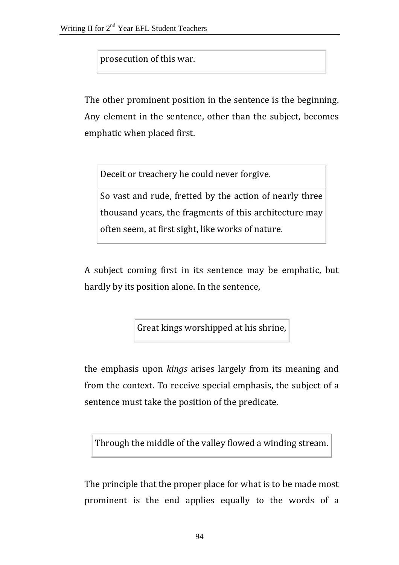prosecution of this war.

The other prominent position in the sentence is the beginning. Any element in the sentence, other than the subject, becomes emphatic when placed first.

Deceit or treachery he could never forgive.

So vast and rude, fretted by the action of nearly three thousand years, the fragments of this architecture may often seem, at first sight, like works of nature.

A subject coming first in its sentence may be emphatic, but hardly by its position alone. In the sentence,

Great kings worshipped at his shrine,

the emphasis upon *kings* arises largely from its meaning and from the context. To receive special emphasis, the subject of a sentence must take the position of the predicate.

Through the middle of the valley flowed a winding stream.

The principle that the proper place for what is to be made most prominent is the end applies equally to the words of a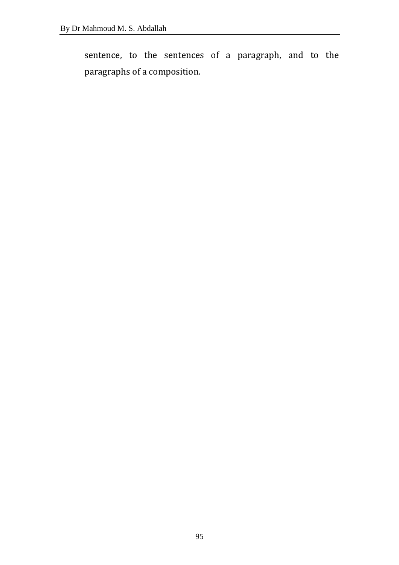sentence, to the sentences of a paragraph, and to the paragraphs of a composition.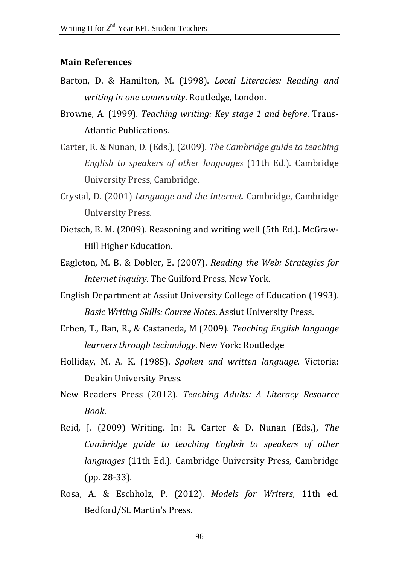#### **Main References**

- Barton, D. & Hamilton, M. (1998). *Local Literacies: Reading and writing in one community*. Routledge, London.
- Browne, A. (1999). *Teaching writing: Key stage 1 and before*. Trans-Atlantic Publications.
- Carter, R. & Nunan, D. (Eds.), (2009). *The Cambridge guide to teaching English to speakers of other languages* (11th Ed.). Cambridge University Press, Cambridge.
- Crystal, D. (2001) *Language and the Internet*. Cambridge, Cambridge University Press.
- Dietsch, B. M. (2009). Reasoning and writing well (5th Ed.). McGraw-Hill Higher Education.
- Eagleton, M. B. & Dobler, E. (2007). *Reading the Web: Strategies for Internet inquiry*. The Guilford Press, New York.
- English Department at Assiut University College of Education (1993). *Basic Writing Skills: Course Notes*. Assiut University Press.
- Erben, T., Ban, R., & Castaneda, M (2009). *Teaching English language learners through technology*. New York: Routledge
- Holliday, M. A. K. (1985). *Spoken and written language*. Victoria: Deakin University Press.
- New Readers Press (2012). *Teaching Adults: A Literacy Resource Book*.
- Reid, J. (2009) Writing. In: R. Carter & D. Nunan (Eds.), *The Cambridge guide to teaching English to speakers of other languages* (11th Ed.). Cambridge University Press, Cambridge (pp. 28-33).
- Rosa, A. & Eschholz, P. (2012). *Models for Writers*, 11th ed. Bedford/St. Martin's Press.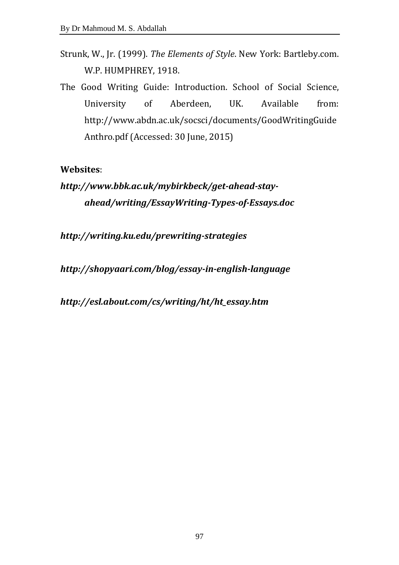- Strunk, W., Jr. (1999). *The Elements of Style*. New York: Bartleby.com. W.P. HUMPHREY, 1918.
- The Good Writing Guide: Introduction. School of Social Science, University of Aberdeen, UK. Available from: http://www.abdn.ac.uk/socsci/documents/GoodWritingGuide Anthro.pdf (Accessed: 30 June, 2015)

### **Websites**:

*http://www.bbk.ac.uk/mybirkbeck/get-ahead-stayahead/writing/EssayWriting-Types-of-Essays.doc* 

*http://writing.ku.edu/prewriting-strategies* 

*http://shopyaari.com/blog/essay-in-english-language*

*http://esl.about.com/cs/writing/ht/ht\_essay.htm*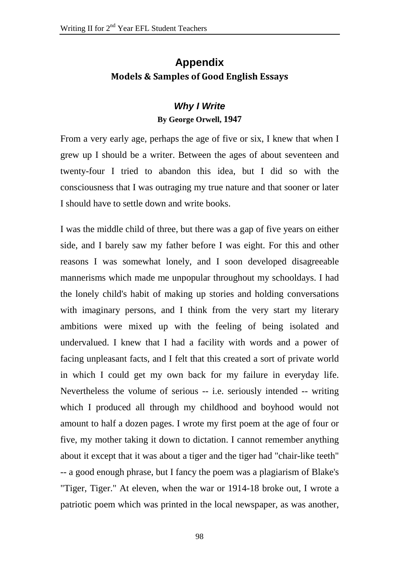# **Appendix Models & Samples of Good English Essays**

## **Why I Write By George Orwell, 1947**

From a very early age, perhaps the age of five or six, I knew that when I grew up I should be a writer. Between the ages of about seventeen and twenty-four I tried to abandon this idea, but I did so with the consciousness that I was outraging my true nature and that sooner or later I should have to settle down and write books.

I was the middle child of three, but there was a gap of five years on either side, and I barely saw my father before I was eight. For this and other reasons I was somewhat lonely, and I soon developed disagreeable mannerisms which made me unpopular throughout my schooldays. I had the lonely child's habit of making up stories and holding conversations with imaginary persons, and I think from the very start my literary ambitions were mixed up with the feeling of being isolated and undervalued. I knew that I had a facility with words and a power of facing unpleasant facts, and I felt that this created a sort of private world in which I could get my own back for my failure in everyday life. Nevertheless the volume of serious -- i.e. seriously intended -- writing which I produced all through my childhood and boyhood would not amount to half a dozen pages. I wrote my first poem at the age of four or five, my mother taking it down to dictation. I cannot remember anything about it except that it was about a tiger and the tiger had "chair-like teeth" -- a good enough phrase, but I fancy the poem was a plagiarism of Blake's "Tiger, Tiger." At eleven, when the war or 1914-18 broke out, I wrote a patriotic poem which was printed in the local newspaper, as was another,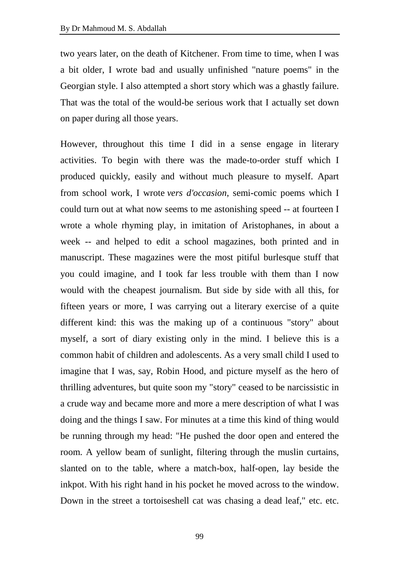two years later, on the death of Kitchener. From time to time, when I was a bit older, I wrote bad and usually unfinished "nature poems" in the Georgian style. I also attempted a short story which was a ghastly failure. That was the total of the would-be serious work that I actually set down on paper during all those years.

However, throughout this time I did in a sense engage in literary activities. To begin with there was the made-to-order stuff which I produced quickly, easily and without much pleasure to myself. Apart from school work, I wrote *vers d'occasion*, semi-comic poems which I could turn out at what now seems to me astonishing speed -- at fourteen I wrote a whole rhyming play, in imitation of Aristophanes, in about a week -- and helped to edit a school magazines, both printed and in manuscript. These magazines were the most pitiful burlesque stuff that you could imagine, and I took far less trouble with them than I now would with the cheapest journalism. But side by side with all this, for fifteen years or more, I was carrying out a literary exercise of a quite different kind: this was the making up of a continuous "story" about myself, a sort of diary existing only in the mind. I believe this is a common habit of children and adolescents. As a very small child I used to imagine that I was, say, Robin Hood, and picture myself as the hero of thrilling adventures, but quite soon my "story" ceased to be narcissistic in a crude way and became more and more a mere description of what I was doing and the things I saw. For minutes at a time this kind of thing would be running through my head: "He pushed the door open and entered the room. A yellow beam of sunlight, filtering through the muslin curtains, slanted on to the table, where a match-box, half-open, lay beside the inkpot. With his right hand in his pocket he moved across to the window. Down in the street a tortoiseshell cat was chasing a dead leaf," etc. etc.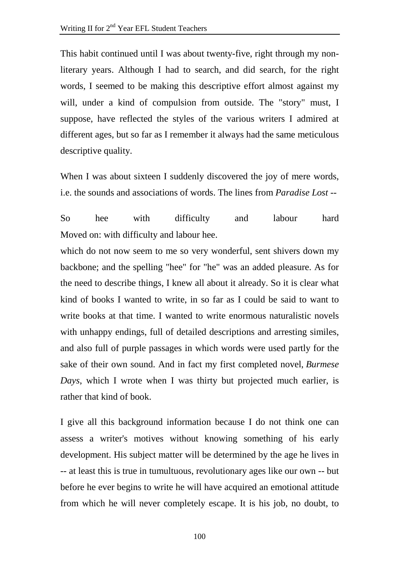This habit continued until I was about twenty-five, right through my nonliterary years. Although I had to search, and did search, for the right words, I seemed to be making this descriptive effort almost against my will, under a kind of compulsion from outside. The "story" must, I suppose, have reflected the styles of the various writers I admired at different ages, but so far as I remember it always had the same meticulous descriptive quality.

When I was about sixteen I suddenly discovered the joy of mere words, i.e. the sounds and associations of words. The lines from *Paradise Lost* --

So hee with difficulty and labour hard Moved on: with difficulty and labour hee.

which do not now seem to me so very wonderful, sent shivers down my backbone; and the spelling "hee" for "he" was an added pleasure. As for the need to describe things, I knew all about it already. So it is clear what kind of books I wanted to write, in so far as I could be said to want to write books at that time. I wanted to write enormous naturalistic novels with unhappy endings, full of detailed descriptions and arresting similes, and also full of purple passages in which words were used partly for the sake of their own sound. And in fact my first completed novel, *Burmese Days*, which I wrote when I was thirty but projected much earlier, is rather that kind of book.

I give all this background information because I do not think one can assess a writer's motives without knowing something of his early development. His subject matter will be determined by the age he lives in -- at least this is true in tumultuous, revolutionary ages like our own -- but before he ever begins to write he will have acquired an emotional attitude from which he will never completely escape. It is his job, no doubt, to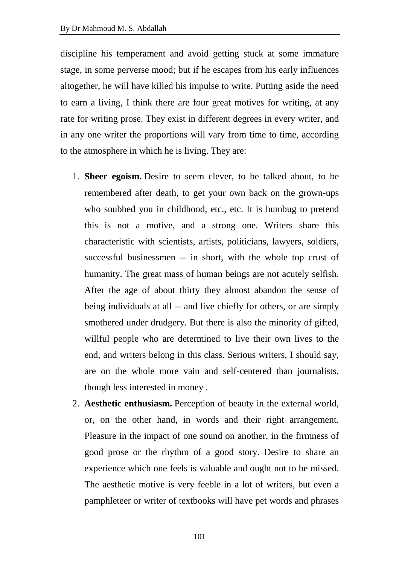discipline his temperament and avoid getting stuck at some immature stage, in some perverse mood; but if he escapes from his early influences altogether, he will have killed his impulse to write. Putting aside the need to earn a living, I think there are four great motives for writing, at any rate for writing prose. They exist in different degrees in every writer, and in any one writer the proportions will vary from time to time, according to the atmosphere in which he is living. They are:

- 1. **Sheer egoism.** Desire to seem clever, to be talked about, to be remembered after death, to get your own back on the grown-ups who snubbed you in childhood, etc., etc. It is humbug to pretend this is not a motive, and a strong one. Writers share this characteristic with scientists, artists, politicians, lawyers, soldiers, successful businessmen -- in short, with the whole top crust of humanity. The great mass of human beings are not acutely selfish. After the age of about thirty they almost abandon the sense of being individuals at all -- and live chiefly for others, or are simply smothered under drudgery. But there is also the minority of gifted, willful people who are determined to live their own lives to the end, and writers belong in this class. Serious writers, I should say, are on the whole more vain and self-centered than journalists, though less interested in money .
- 2. **Aesthetic enthusiasm.** Perception of beauty in the external world, or, on the other hand, in words and their right arrangement. Pleasure in the impact of one sound on another, in the firmness of good prose or the rhythm of a good story. Desire to share an experience which one feels is valuable and ought not to be missed. The aesthetic motive is very feeble in a lot of writers, but even a pamphleteer or writer of textbooks will have pet words and phrases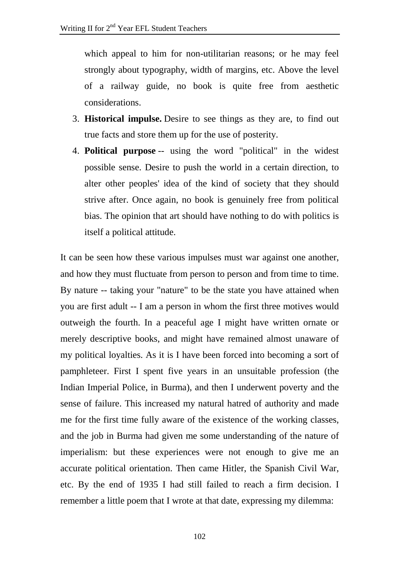which appeal to him for non-utilitarian reasons; or he may feel strongly about typography, width of margins, etc. Above the level of a railway guide, no book is quite free from aesthetic considerations.

- 3. **Historical impulse.** Desire to see things as they are, to find out true facts and store them up for the use of posterity.
- 4. **Political purpose** -- using the word "political" in the widest possible sense. Desire to push the world in a certain direction, to alter other peoples' idea of the kind of society that they should strive after. Once again, no book is genuinely free from political bias. The opinion that art should have nothing to do with politics is itself a political attitude.

It can be seen how these various impulses must war against one another, and how they must fluctuate from person to person and from time to time. By nature -- taking your "nature" to be the state you have attained when you are first adult -- I am a person in whom the first three motives would outweigh the fourth. In a peaceful age I might have written ornate or merely descriptive books, and might have remained almost unaware of my political loyalties. As it is I have been forced into becoming a sort of pamphleteer. First I spent five years in an unsuitable profession (the Indian Imperial Police, in Burma), and then I underwent poverty and the sense of failure. This increased my natural hatred of authority and made me for the first time fully aware of the existence of the working classes, and the job in Burma had given me some understanding of the nature of imperialism: but these experiences were not enough to give me an accurate political orientation. Then came Hitler, the Spanish Civil War, etc. By the end of 1935 I had still failed to reach a firm decision. I remember a little poem that I wrote at that date, expressing my dilemma: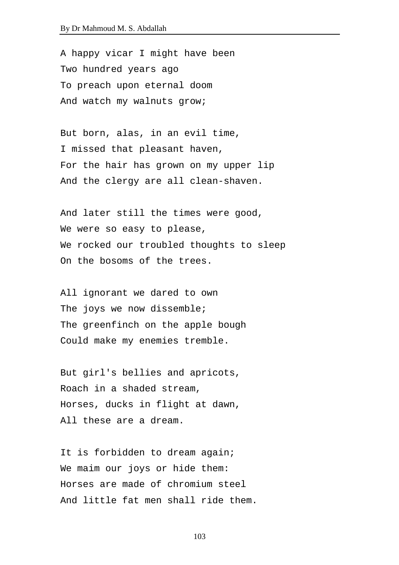A happy vicar I might have been Two hundred years ago To preach upon eternal doom And watch my walnuts grow;

But born, alas, in an evil time, I missed that pleasant haven, For the hair has grown on my upper lip And the clergy are all clean-shaven.

And later still the times were good, We were so easy to please, We rocked our troubled thoughts to sleep On the bosoms of the trees.

All ignorant we dared to own The joys we now dissemble; The greenfinch on the apple bough Could make my enemies tremble.

But girl's bellies and apricots, Roach in a shaded stream, Horses, ducks in flight at dawn, All these are a dream.

It is forbidden to dream again; We maim our joys or hide them: Horses are made of chromium steel And little fat men shall ride them.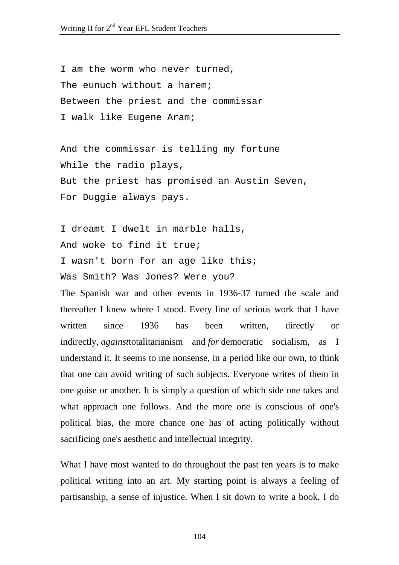I am the worm who never turned, The eunuch without a harem; Between the priest and the commissar I walk like Eugene Aram;

And the commissar is telling my fortune While the radio plays, But the priest has promised an Austin Seven, For Duggie always pays.

I dreamt I dwelt in marble halls, And woke to find it true; I wasn't born for an age like this; Was Smith? Was Jones? Were you? The Spanish war and other events in 1936-37 turned the scale and thereafter I knew where I stood. Every line of serious work that I have written since 1936 has been written, directly or indirectly, *against*totalitarianism and *for* democratic socialism, as I understand it. It seems to me nonsense, in a period like our own, to think that one can avoid writing of such subjects. Everyone writes of them in one guise or another. It is simply a question of which side one takes and what approach one follows. And the more one is conscious of one's political bias, the more chance one has of acting politically without sacrificing one's aesthetic and intellectual integrity.

What I have most wanted to do throughout the past ten years is to make political writing into an art. My starting point is always a feeling of partisanship, a sense of injustice. When I sit down to write a book, I do

104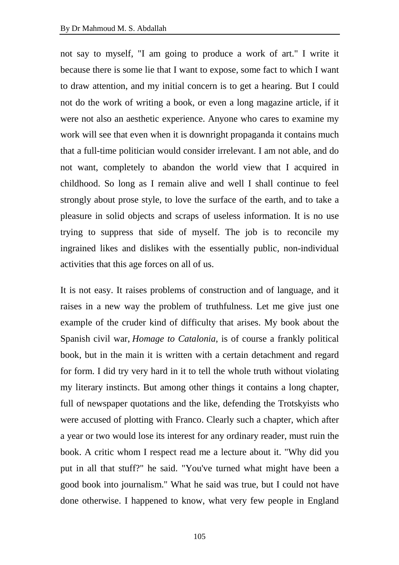not say to myself, "I am going to produce a work of art." I write it because there is some lie that I want to expose, some fact to which I want to draw attention, and my initial concern is to get a hearing. But I could not do the work of writing a book, or even a long magazine article, if it were not also an aesthetic experience. Anyone who cares to examine my work will see that even when it is downright propaganda it contains much that a full-time politician would consider irrelevant. I am not able, and do not want, completely to abandon the world view that I acquired in childhood. So long as I remain alive and well I shall continue to feel strongly about prose style, to love the surface of the earth, and to take a pleasure in solid objects and scraps of useless information. It is no use trying to suppress that side of myself. The job is to reconcile my ingrained likes and dislikes with the essentially public, non-individual activities that this age forces on all of us.

It is not easy. It raises problems of construction and of language, and it raises in a new way the problem of truthfulness. Let me give just one example of the cruder kind of difficulty that arises. My book about the Spanish civil war, *Homage to Catalonia*, is of course a frankly political book, but in the main it is written with a certain detachment and regard for form. I did try very hard in it to tell the whole truth without violating my literary instincts. But among other things it contains a long chapter, full of newspaper quotations and the like, defending the Trotskyists who were accused of plotting with Franco. Clearly such a chapter, which after a year or two would lose its interest for any ordinary reader, must ruin the book. A critic whom I respect read me a lecture about it. "Why did you put in all that stuff?" he said. "You've turned what might have been a good book into journalism." What he said was true, but I could not have done otherwise. I happened to know, what very few people in England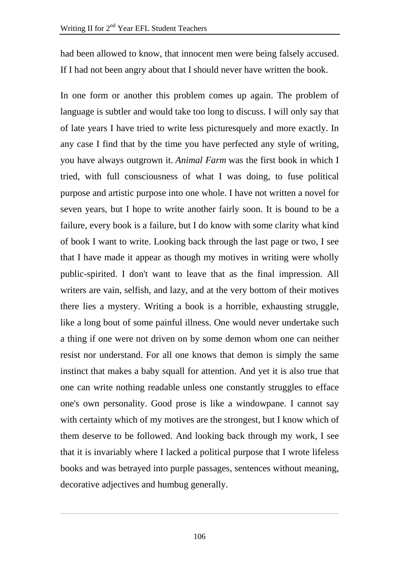had been allowed to know, that innocent men were being falsely accused. If I had not been angry about that I should never have written the book.

In one form or another this problem comes up again. The problem of language is subtler and would take too long to discuss. I will only say that of late years I have tried to write less picturesquely and more exactly. In any case I find that by the time you have perfected any style of writing, you have always outgrown it. *Animal Farm* was the first book in which I tried, with full consciousness of what I was doing, to fuse political purpose and artistic purpose into one whole. I have not written a novel for seven years, but I hope to write another fairly soon. It is bound to be a failure, every book is a failure, but I do know with some clarity what kind of book I want to write. Looking back through the last page or two, I see that I have made it appear as though my motives in writing were wholly public-spirited. I don't want to leave that as the final impression. All writers are vain, selfish, and lazy, and at the very bottom of their motives there lies a mystery. Writing a book is a horrible, exhausting struggle, like a long bout of some painful illness. One would never undertake such a thing if one were not driven on by some demon whom one can neither resist nor understand. For all one knows that demon is simply the same instinct that makes a baby squall for attention. And yet it is also true that one can write nothing readable unless one constantly struggles to efface one's own personality. Good prose is like a windowpane. I cannot say with certainty which of my motives are the strongest, but I know which of them deserve to be followed. And looking back through my work, I see that it is invariably where I lacked a political purpose that I wrote lifeless books and was betrayed into purple passages, sentences without meaning, decorative adjectives and humbug generally.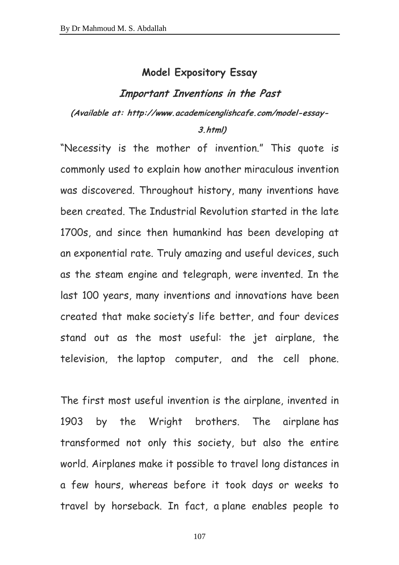### **Model Expository Essay**

### **Important Inventions in the Past**

#### **(Available at: http://www.academicenglishcafe.com/model-essay-**

#### **3.html)**

"Necessity is the mother of invention." This quote is commonly used to explain how another miraculous invention was discovered. Throughout history, many inventions have been created. The Industrial Revolution started in the late 1700s, and since then humankind has been developing at an exponential rate. Truly amazing and useful devices, such as the steam engine and telegraph, were invented. In the last 100 years, many inventions and innovations have been created that make society's life better, and four devices stand out as the most useful: the jet airplane, the television, the laptop computer, and the cell phone.

The first most useful invention is the airplane, invented in 1903 by the Wright brothers. The airplane has transformed not only this society, but also the entire world. Airplanes make it possible to travel long distances in a few hours, whereas before it took days or weeks to travel by horseback. In fact, a plane enables people to

107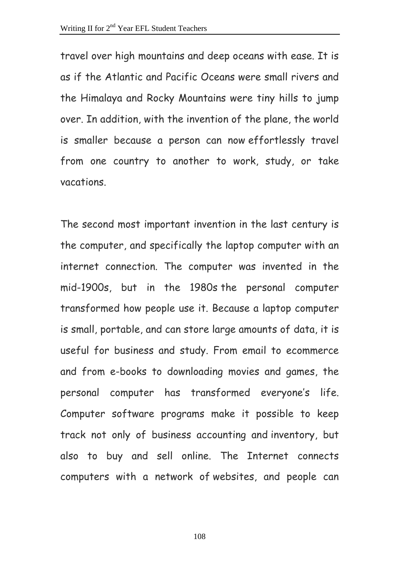travel over high mountains and deep oceans with ease. It is as if the Atlantic and Pacific Oceans were small rivers and the Himalaya and Rocky Mountains were tiny hills to jump over. In addition, with the invention of the plane, the world is smaller because a person can now effortlessly travel from one country to another to work, study, or take vacations.

The second most important invention in the last century is the computer, and specifically the laptop computer with an internet connection. The computer was invented in the mid-1900s, but in the 1980s the personal computer transformed how people use it. Because a laptop computer is small, portable, and can store large amounts of data, it is useful for business and study. From email to ecommerce and from e-books to downloading movies and games, the personal computer has transformed everyone's life. Computer software programs make it possible to keep track not only of business accounting and inventory, but also to buy and sell online. The Internet connects computers with a network of websites, and people can

108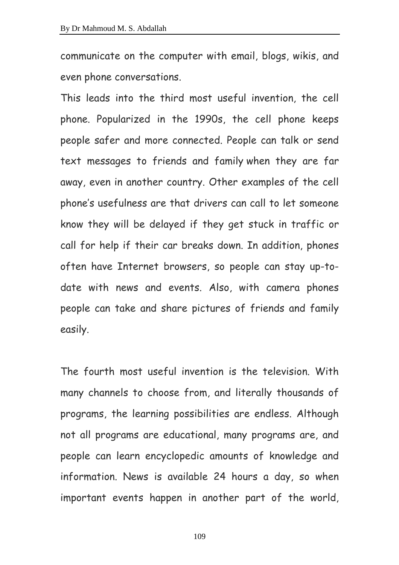communicate on the computer with email, blogs, wikis, and even phone conversations.

This leads into the third most useful invention, the cell phone. Popularized in the 1990s, the cell phone keeps people safer and more connected. People can talk or send text messages to friends and family when they are far away, even in another country. Other examples of the cell phone's usefulness are that drivers can call to let someone know they will be delayed if they get stuck in traffic or call for help if their car breaks down. In addition, phones often have Internet browsers, so people can stay up-todate with news and events. Also, with camera phones people can take and share pictures of friends and family easily.

The fourth most useful invention is the television. With many channels to choose from, and literally thousands of programs, the learning possibilities are endless. Although not all programs are educational, many programs are, and people can learn encyclopedic amounts of knowledge and information. News is available 24 hours a day, so when important events happen in another part of the world,

109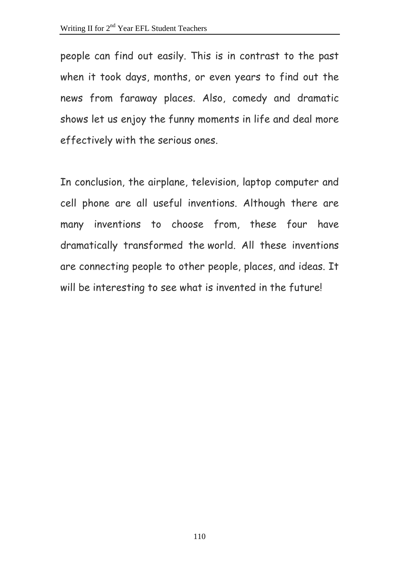people can find out easily. This is in contrast to the past when it took days, months, or even years to find out the news from faraway places. Also, comedy and dramatic shows let us enjoy the funny moments in life and deal more effectively with the serious ones.

In conclusion, the airplane, television, laptop computer and cell phone are all useful inventions. Although there are many inventions to choose from, these four have dramatically transformed the world. All these inventions are connecting people to other people, places, and ideas. It will be interesting to see what is invented in the future!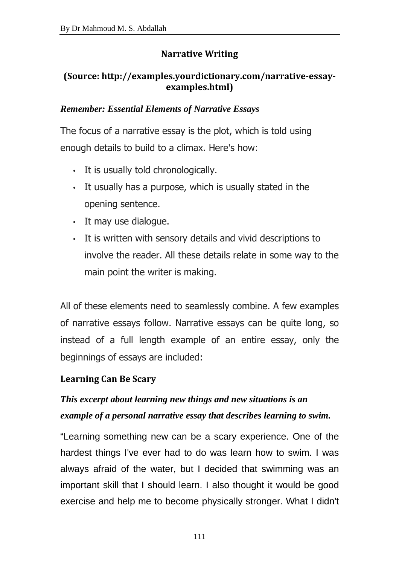### **Narrative Writing**

### **(Source: http://examples.yourdictionary.com/narrative-essayexamples.html)**

#### *Remember: Essential Elements of Narrative Essays*

The focus of a narrative essay is the plot, which is told using enough details to build to a climax. Here's how:

- It is usually told chronologically.
- It usually has a purpose, which is usually stated in the opening sentence.
- It may use dialogue.
- It is written with sensory details and vivid descriptions to involve the reader. All these details relate in some way to the main point the writer is making.

All of these elements need to seamlessly combine. A few examples of narrative essays follow. Narrative essays can be quite long, so instead of a full length example of an entire essay, only the beginnings of essays are included:

### **Learning Can Be Scary**

# *This excerpt about learning new things and new situations is an example of a personal narrative essay that describes learning to swim.*

"Learning something new can be a scary experience. One of the hardest things I've ever had to do was learn how to swim. I was always afraid of the water, but I decided that swimming was an important skill that I should learn. I also thought it would be good exercise and help me to become physically stronger. What I didn't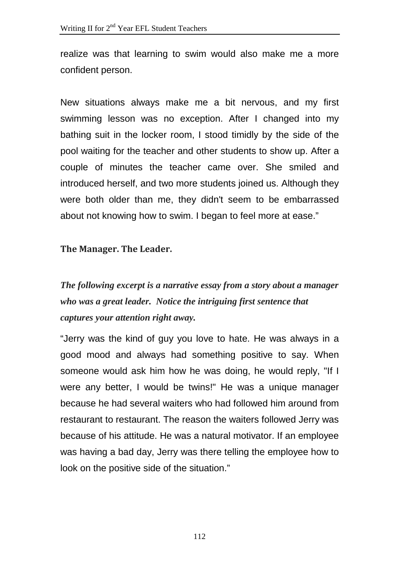realize was that learning to swim would also make me a more confident person.

New situations always make me a bit nervous, and my first swimming lesson was no exception. After I changed into my bathing suit in the locker room, I stood timidly by the side of the pool waiting for the teacher and other students to show up. After a couple of minutes the teacher came over. She smiled and introduced herself, and two more students joined us. Although they were both older than me, they didn't seem to be embarrassed about not knowing how to swim. I began to feel more at ease."

#### **The Manager. The Leader.**

*The following excerpt is a narrative essay from a story about a manager who was a great leader. Notice the intriguing first sentence that captures your attention right away.* 

"Jerry was the kind of guy you love to hate. He was always in a good mood and always had something positive to say. When someone would ask him how he was doing, he would reply, "If I were any better, I would be twins!" He was a unique manager because he had several waiters who had followed him around from restaurant to restaurant. The reason the waiters followed Jerry was because of his attitude. He was a natural motivator. If an employee was having a bad day, Jerry was there telling the employee how to look on the positive side of the situation."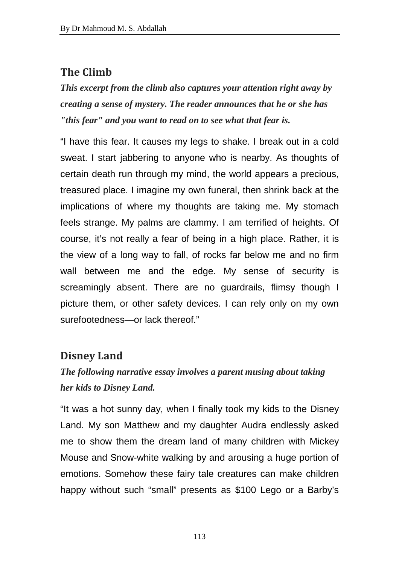# **The Climb**

*This excerpt from the climb also captures your attention right away by creating a sense of mystery. The reader announces that he or she has "this fear" and you want to read on to see what that fear is.* 

"I have this fear. It causes my legs to shake. I break out in a cold sweat. I start jabbering to anyone who is nearby. As thoughts of certain death run through my mind, the world appears a precious, treasured place. I imagine my own funeral, then shrink back at the implications of where my thoughts are taking me. My stomach feels strange. My palms are clammy. I am terrified of heights. Of course, it's not really a fear of being in a high place. Rather, it is the view of a long way to fall, of rocks far below me and no firm wall between me and the edge. My sense of security is screamingly absent. There are no guardrails, flimsy though I picture them, or other safety devices. I can rely only on my own surefootedness—or lack thereof."

### **Disney Land**

# *The following narrative essay involves a parent musing about taking her kids to Disney Land.*

"It was a hot sunny day, when I finally took my kids to the Disney Land. My son Matthew and my daughter Audra endlessly asked me to show them the dream land of many children with Mickey Mouse and Snow-white walking by and arousing a huge portion of emotions. Somehow these fairy tale creatures can make children happy without such "small" presents as \$100 Lego or a Barby's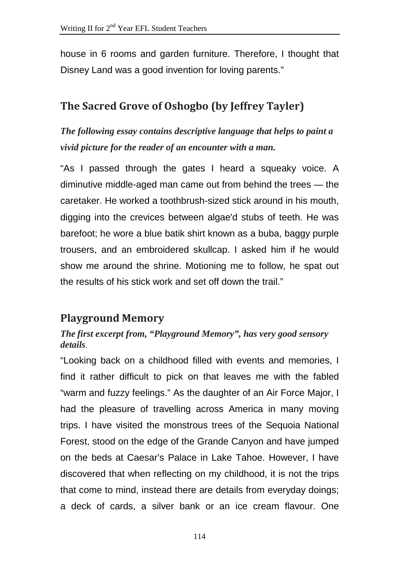house in 6 rooms and garden furniture. Therefore, I thought that Disney Land was a good invention for loving parents."

### **The Sacred Grove of Oshogbo (by Jeffrey Tayler)**

*The following essay contains descriptive language that helps to paint a vivid picture for the reader of an encounter with a man.* 

"As I passed through the gates I heard a squeaky voice. A diminutive middle-aged man came out from behind the trees — the caretaker. He worked a toothbrush-sized stick around in his mouth, digging into the crevices between algae'd stubs of teeth. He was barefoot; he wore a blue batik shirt known as a buba, baggy purple trousers, and an embroidered skullcap. I asked him if he would show me around the shrine. Motioning me to follow, he spat out the results of his stick work and set off down the trail."

### **Playground Memory**

### *The first excerpt from, "Playground Memory", has very good sensory details*.

"Looking back on a childhood filled with events and memories, I find it rather difficult to pick on that leaves me with the fabled "warm and fuzzy feelings." As the daughter of an Air Force Major, I had the pleasure of travelling across America in many moving trips. I have visited the monstrous trees of the Sequoia National Forest, stood on the edge of the Grande Canyon and have jumped on the beds at Caesar's Palace in Lake Tahoe. However, I have discovered that when reflecting on my childhood, it is not the trips that come to mind, instead there are details from everyday doings; a deck of cards, a silver bank or an ice cream flavour. One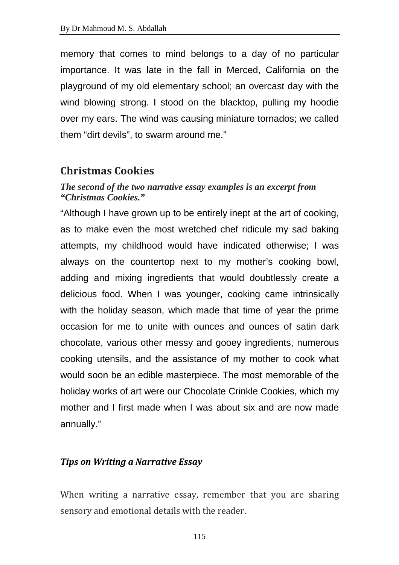memory that comes to mind belongs to a day of no particular importance. It was late in the fall in Merced, California on the playground of my old elementary school; an overcast day with the wind blowing strong. I stood on the blacktop, pulling my hoodie over my ears. The wind was causing miniature tornados; we called them "dirt devils", to swarm around me."

### **Christmas Cookies**

#### *The second of the two narrative essay examples is an excerpt from "Christmas Cookies."*

"Although I have grown up to be entirely inept at the art of cooking, as to make even the most wretched chef ridicule my sad baking attempts, my childhood would have indicated otherwise; I was always on the countertop next to my mother's cooking bowl, adding and mixing ingredients that would doubtlessly create a delicious food. When I was younger, cooking came intrinsically with the holiday season, which made that time of year the prime occasion for me to unite with ounces and ounces of satin dark chocolate, various other messy and gooey ingredients, numerous cooking utensils, and the assistance of my mother to cook what would soon be an edible masterpiece. The most memorable of the holiday works of art were our Chocolate Crinkle Cookies, which my mother and I first made when I was about six and are now made annually."

#### *Tips on Writing a Narrative Essay*

When writing a narrative essay, remember that you are sharing sensory and emotional details with the reader.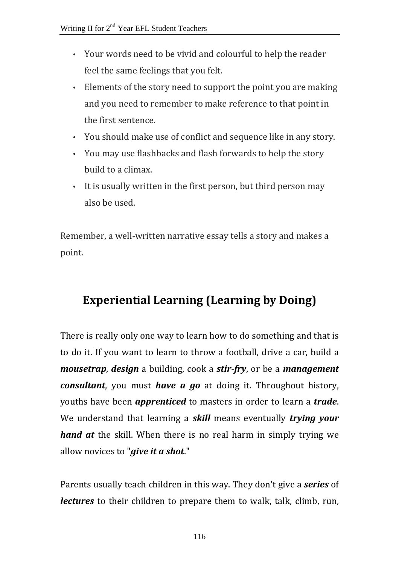- Your words need to be vivid and colourful to help the reader feel the same feelings that you felt.
- Elements of the story need to support the point you are making and you need to remember to make reference to that point in the first sentence.
- You should make use of conflict and sequence like in any story.
- You may use flashbacks and flash forwards to help the story build to a climax.
- It is usually written in the first person, but third person may also be used.

Remember, a well-written narrative essay tells a story and makes a point.

# **Experiential Learning (Learning by Doing)**

There is really only one way to learn how to do something and that is to do it. If you want to learn to throw a football, drive a car, build a *mousetrap*, *design* a building, cook a *stir-fry*, or be a *management consultant*, you must *have a go* at doing it. Throughout history, youths have been *apprenticed* to masters in order to learn a *trade*. We understand that learning a *skill* means eventually *trying your hand at* the skill. When there is no real harm in simply trying we allow novices to "*give it a shot*."

Parents usually teach children in this way. They don't give a *series* of *lectures* to their children to prepare them to walk, talk, climb, run,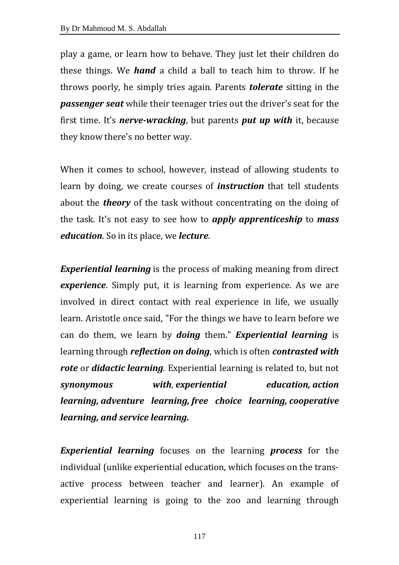play a game, or learn how to behave. They just let their children do these things. We *hand* a child a ball to teach him to throw. If he throws poorly, he simply tries again. Parents *tolerate* sitting in the *passenger seat* while their teenager tries out the driver's seat for the first time. It's *nerve-wracking*, but parents *put up with* it, because they know there's no better way.

When it comes to school, however, instead of allowing students to learn by doing, we create courses of *instruction* that tell students about the *theory* of the task without concentrating on the doing of the task. It's not easy to see how to *apply apprenticeship* to *mass education*. So in its place, we *lecture*.

*Experiential learning* is the process of making meaning from direct *experience*. Simply put, it is learning from experience. As we are involved in direct contact with real experience in life, we usually learn. Aristotle once said, "For the things we have to learn before we can do them, we learn by *doing* them." *Experiential learning* is learning through *reflection on doing*, which is often *contrasted with rote* or *didactic learning*. Experiential learning is related to, but not *synonymous with*, *experiential education, action learning, adventure learning, free choice learning, cooperative learning, and service learning.* 

*Experiential learning* focuses on the learning *process* for the individual (unlike experiential education, which focuses on the transactive process between teacher and learner). An example of experiential learning is going to the zoo and learning through

117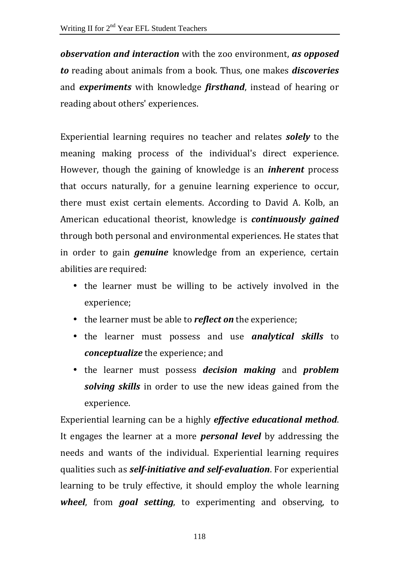*observation and interaction* with the zoo environment, *as opposed to* reading about animals from a book. Thus, one makes *discoveries* and *experiments* with knowledge *firsthand*, instead of hearing or reading about others' experiences.

Experiential learning requires no teacher and relates *solely* to the meaning making process of the individual's direct experience. However, though the gaining of knowledge is an *inherent* process that occurs naturally, for a genuine learning experience to occur, there must exist certain elements. According to David A. Kolb, an American educational theorist, knowledge is *continuously gained* through both personal and environmental experiences. He states that in order to gain *genuine* knowledge from an experience, certain abilities are required:

- the learner must be willing to be actively involved in the experience;
- the learner must be able to *reflect on* the experience;
- the learner must possess and use *analytical skills* to *conceptualize* the experience; and
- the learner must possess *decision making* and *problem solving skills* in order to use the new ideas gained from the experience.

Experiential learning can be a highly *effective educational method*. It engages the learner at a more *personal level* by addressing the needs and wants of the individual. Experiential learning requires qualities such as *self-initiative and self-evaluation*. For experiential learning to be truly effective, it should employ the whole learning *wheel*, from *goal setting*, to experimenting and observing, to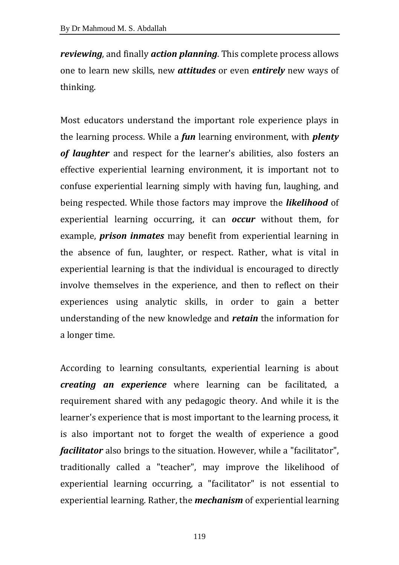*reviewing*, and finally *action planning*. This complete process allows one to learn new skills, new *attitudes* or even *entirely* new ways of thinking.

Most educators understand the important role experience plays in the learning process. While a *fun* learning environment, with *plenty of laughter* and respect for the learner's abilities, also fosters an effective experiential learning environment, it is important not to confuse experiential learning simply with having fun, laughing, and being respected. While those factors may improve the *likelihood* of experiential learning occurring, it can *occur* without them, for example, *prison inmates* may benefit from experiential learning in the absence of fun, laughter, or respect. Rather, what is vital in experiential learning is that the individual is encouraged to directly involve themselves in the experience, and then to reflect on their experiences using analytic skills, in order to gain a better understanding of the new knowledge and *retain* the information for a longer time.

According to learning consultants, experiential learning is about *creating an experience* where learning can be facilitated, a requirement shared with any pedagogic theory. And while it is the learner's experience that is most important to the learning process, it is also important not to forget the wealth of experience a good *facilitator* also brings to the situation. However, while a "facilitator", traditionally called a "teacher", may improve the likelihood of experiential learning occurring, a "facilitator" is not essential to experiential learning. Rather, the *mechanism* of experiential learning